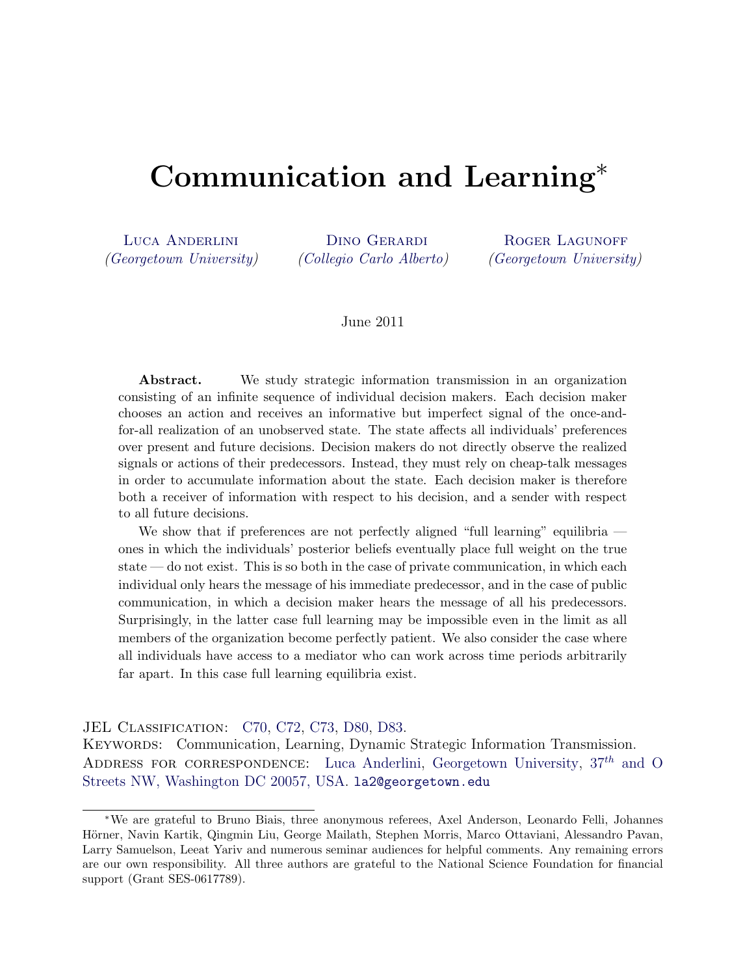# Communication and Learning<sup>∗</sup>

[Luca Anderlini](http://www.anderlini.net) [\(Georgetown University\)](http://www.georgetown.edu)

[Dino Gerardi](http://www.econ.yale.edu/~dg278/) [\(Collegio Carlo Alberto\)](http://www.carloalberto.org/)

ROGER LAGUNOFF [\(Georgetown University\)](http://www.georgetown.edu)

#### June 2011

Abstract. We study strategic information transmission in an organization consisting of an infinite sequence of individual decision makers. Each decision maker chooses an action and receives an informative but imperfect signal of the once-andfor-all realization of an unobserved state. The state affects all individuals' preferences over present and future decisions. Decision makers do not directly observe the realized signals or actions of their predecessors. Instead, they must rely on cheap-talk messages in order to accumulate information about the state. Each decision maker is therefore both a receiver of information with respect to his decision, and a sender with respect to all future decisions.

We show that if preferences are not perfectly aligned "full learning" equilibria ones in which the individuals' posterior beliefs eventually place full weight on the true state — do not exist. This is so both in the case of private communication, in which each individual only hears the message of his immediate predecessor, and in the case of public communication, in which a decision maker hears the message of all his predecessors. Surprisingly, in the latter case full learning may be impossible even in the limit as all members of the organization become perfectly patient. We also consider the case where all individuals have access to a mediator who can work across time periods arbitrarily far apart. In this case full learning equilibria exist.

JEL Classification: [C70,](http://www.aeaweb.org/journal/jel_class_system.php#C) [C72,](http://www.aeaweb.org/journal/jel_class_system.php#C) [C73,](http://www.aeaweb.org/journal/jel_class_system.php#C) [D80,](http://www.aeaweb.org/journal/jel_class_system.php#D) [D83.](http://www.aeaweb.org/journal/jel_class_system.php#D)

KEYWORDS: Communication, Learning, Dynamic Strategic Information Transmission. ADDRESS FOR CORRESPONDENCE: [Luca Anderlini,](http://www.anderlini.net/) [Georgetown University,](http://www.georgetown.edu/)  $37<sup>th</sup>$  [and O](http://maps.google.com/maps?f=q&hl=en&time=&date=&ttype=&q=O+St+NW+%26+37th+St+NW,+Washington,+District+of+Columbia,+District+of+Columbia+20007,+United+States&sll=38.908498,-77.059774&sspn=0.009217,0.01678&ie=UTF8&cd=1&geocode=0,38.907680,-77.071610&ll=38.908484,-77.066431&spn=0.018434,0.03356&z=15&om=1) [Streets NW, Washington DC 20057, USA.](http://maps.google.com/maps?f=q&hl=en&time=&date=&ttype=&q=O+St+NW+%26+37th+St+NW,+Washington,+District+of+Columbia,+District+of+Columbia+20007,+United+States&sll=38.908498,-77.059774&sspn=0.009217,0.01678&ie=UTF8&cd=1&geocode=0,38.907680,-77.071610&ll=38.908484,-77.066431&spn=0.018434,0.03356&z=15&om=1) [la2@georgetown.edu](mailto:la2@georgetown.edu)

<sup>∗</sup>We are grateful to Bruno Biais, three anonymous referees, Axel Anderson, Leonardo Felli, Johannes Hörner, Navin Kartik, Qingmin Liu, George Mailath, Stephen Morris, Marco Ottaviani, Alessandro Pavan, Larry Samuelson, Leeat Yariv and numerous seminar audiences for helpful comments. Any remaining errors are our own responsibility. All three authors are grateful to the National Science Foundation for financial support (Grant SES-0617789).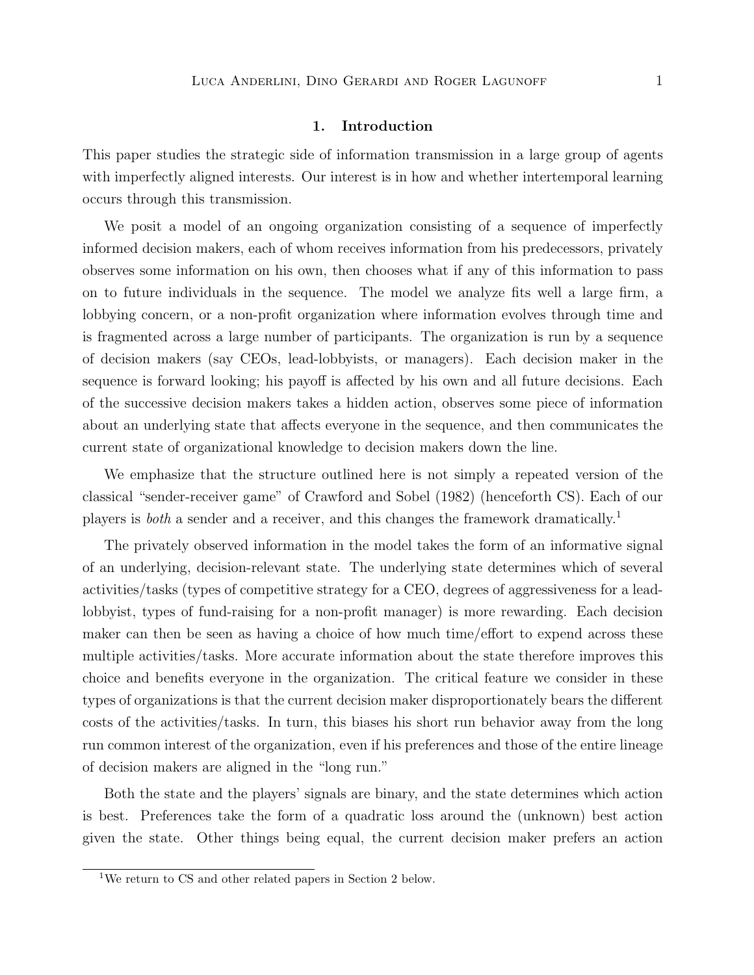#### 1. Introduction

This paper studies the strategic side of information transmission in a large group of agents with imperfectly aligned interests. Our interest is in how and whether intertemporal learning occurs through this transmission.

We posit a model of an ongoing organization consisting of a sequence of imperfectly informed decision makers, each of whom receives information from his predecessors, privately observes some information on his own, then chooses what if any of this information to pass on to future individuals in the sequence. The model we analyze fits well a large firm, a lobbying concern, or a non-profit organization where information evolves through time and is fragmented across a large number of participants. The organization is run by a sequence of decision makers (say CEOs, lead-lobbyists, or managers). Each decision maker in the sequence is forward looking; his payoff is affected by his own and all future decisions. Each of the successive decision makers takes a hidden action, observes some piece of information about an underlying state that affects everyone in the sequence, and then communicates the current state of organizational knowledge to decision makers down the line.

We emphasize that the structure outlined here is not simply a repeated version of the classical "sender-receiver game" of Crawford and Sobel (1982) (henceforth CS). Each of our players is both a sender and a receiver, and this changes the framework dramatically.<sup>1</sup>

The privately observed information in the model takes the form of an informative signal of an underlying, decision-relevant state. The underlying state determines which of several activities/tasks (types of competitive strategy for a CEO, degrees of aggressiveness for a leadlobbyist, types of fund-raising for a non-profit manager) is more rewarding. Each decision maker can then be seen as having a choice of how much time/effort to expend across these multiple activities/tasks. More accurate information about the state therefore improves this choice and benefits everyone in the organization. The critical feature we consider in these types of organizations is that the current decision maker disproportionately bears the different costs of the activities/tasks. In turn, this biases his short run behavior away from the long run common interest of the organization, even if his preferences and those of the entire lineage of decision makers are aligned in the "long run."

Both the state and the players' signals are binary, and the state determines which action is best. Preferences take the form of a quadratic loss around the (unknown) best action given the state. Other things being equal, the current decision maker prefers an action

<sup>&</sup>lt;sup>1</sup>We return to CS and other related papers in Section 2 below.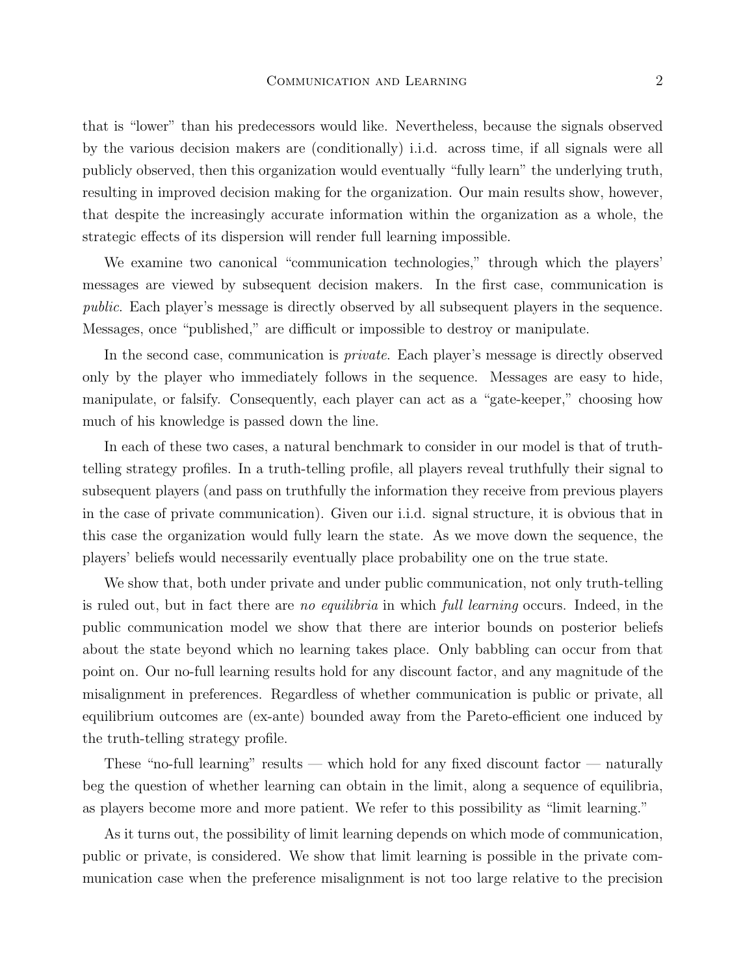that is "lower" than his predecessors would like. Nevertheless, because the signals observed by the various decision makers are (conditionally) i.i.d. across time, if all signals were all publicly observed, then this organization would eventually "fully learn" the underlying truth, resulting in improved decision making for the organization. Our main results show, however, that despite the increasingly accurate information within the organization as a whole, the strategic effects of its dispersion will render full learning impossible.

We examine two canonical "communication technologies," through which the players' messages are viewed by subsequent decision makers. In the first case, communication is public. Each player's message is directly observed by all subsequent players in the sequence. Messages, once "published," are difficult or impossible to destroy or manipulate.

In the second case, communication is private. Each player's message is directly observed only by the player who immediately follows in the sequence. Messages are easy to hide, manipulate, or falsify. Consequently, each player can act as a "gate-keeper," choosing how much of his knowledge is passed down the line.

In each of these two cases, a natural benchmark to consider in our model is that of truthtelling strategy profiles. In a truth-telling profile, all players reveal truthfully their signal to subsequent players (and pass on truthfully the information they receive from previous players in the case of private communication). Given our i.i.d. signal structure, it is obvious that in this case the organization would fully learn the state. As we move down the sequence, the players' beliefs would necessarily eventually place probability one on the true state.

We show that, both under private and under public communication, not only truth-telling is ruled out, but in fact there are no equilibria in which full learning occurs. Indeed, in the public communication model we show that there are interior bounds on posterior beliefs about the state beyond which no learning takes place. Only babbling can occur from that point on. Our no-full learning results hold for any discount factor, and any magnitude of the misalignment in preferences. Regardless of whether communication is public or private, all equilibrium outcomes are (ex-ante) bounded away from the Pareto-efficient one induced by the truth-telling strategy profile.

These "no-full learning" results — which hold for any fixed discount factor — naturally beg the question of whether learning can obtain in the limit, along a sequence of equilibria, as players become more and more patient. We refer to this possibility as "limit learning."

As it turns out, the possibility of limit learning depends on which mode of communication, public or private, is considered. We show that limit learning is possible in the private communication case when the preference misalignment is not too large relative to the precision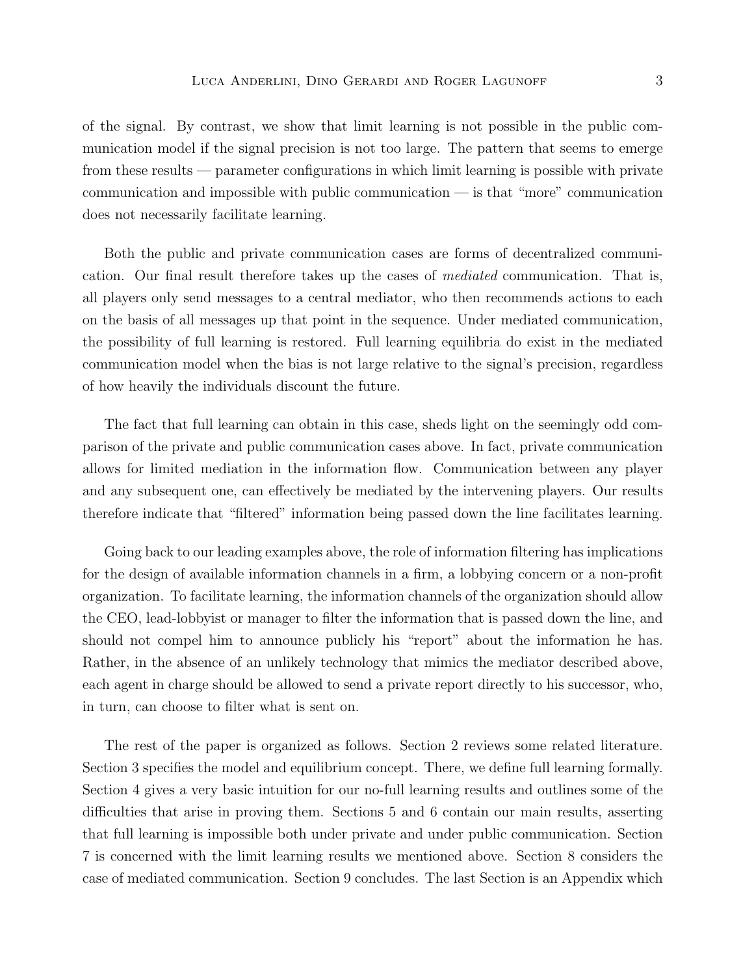of the signal. By contrast, we show that limit learning is not possible in the public communication model if the signal precision is not too large. The pattern that seems to emerge from these results — parameter configurations in which limit learning is possible with private communication and impossible with public communication — is that "more" communication does not necessarily facilitate learning.

Both the public and private communication cases are forms of decentralized communication. Our final result therefore takes up the cases of mediated communication. That is, all players only send messages to a central mediator, who then recommends actions to each on the basis of all messages up that point in the sequence. Under mediated communication, the possibility of full learning is restored. Full learning equilibria do exist in the mediated communication model when the bias is not large relative to the signal's precision, regardless of how heavily the individuals discount the future.

The fact that full learning can obtain in this case, sheds light on the seemingly odd comparison of the private and public communication cases above. In fact, private communication allows for limited mediation in the information flow. Communication between any player and any subsequent one, can effectively be mediated by the intervening players. Our results therefore indicate that "filtered" information being passed down the line facilitates learning.

Going back to our leading examples above, the role of information filtering has implications for the design of available information channels in a firm, a lobbying concern or a non-profit organization. To facilitate learning, the information channels of the organization should allow the CEO, lead-lobbyist or manager to filter the information that is passed down the line, and should not compel him to announce publicly his "report" about the information he has. Rather, in the absence of an unlikely technology that mimics the mediator described above, each agent in charge should be allowed to send a private report directly to his successor, who, in turn, can choose to filter what is sent on.

The rest of the paper is organized as follows. Section 2 reviews some related literature. Section 3 specifies the model and equilibrium concept. There, we define full learning formally. Section 4 gives a very basic intuition for our no-full learning results and outlines some of the difficulties that arise in proving them. Sections 5 and 6 contain our main results, asserting that full learning is impossible both under private and under public communication. Section 7 is concerned with the limit learning results we mentioned above. Section 8 considers the case of mediated communication. Section 9 concludes. The last Section is an Appendix which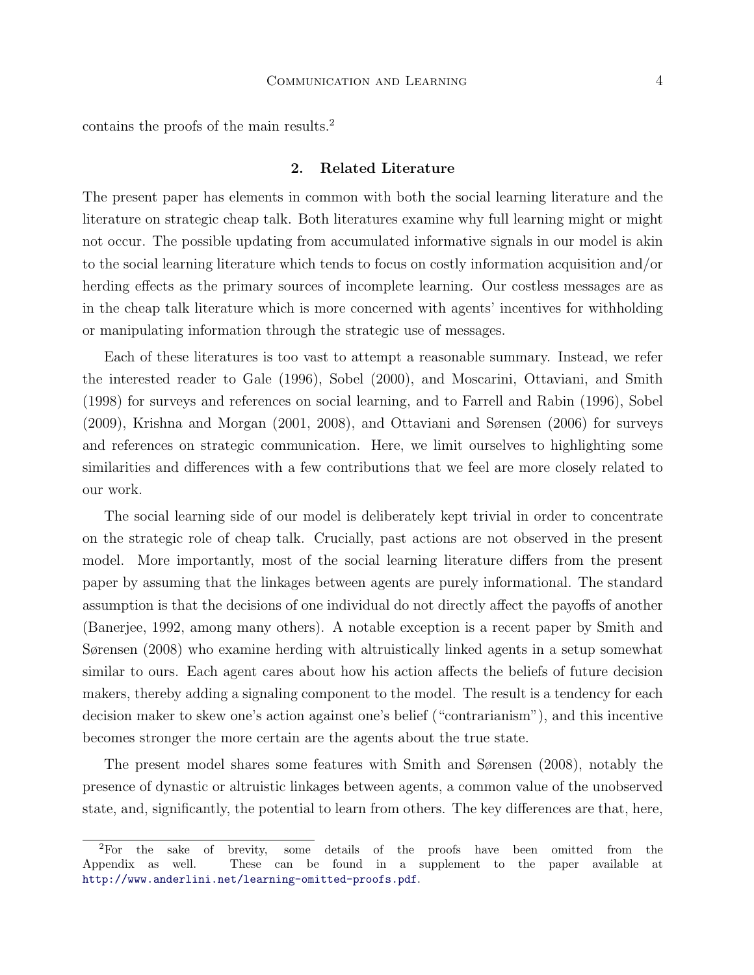contains the proofs of the main results.<sup>2</sup>

## 2. Related Literature

The present paper has elements in common with both the social learning literature and the literature on strategic cheap talk. Both literatures examine why full learning might or might not occur. The possible updating from accumulated informative signals in our model is akin to the social learning literature which tends to focus on costly information acquisition and/or herding effects as the primary sources of incomplete learning. Our costless messages are as in the cheap talk literature which is more concerned with agents' incentives for withholding or manipulating information through the strategic use of messages.

Each of these literatures is too vast to attempt a reasonable summary. Instead, we refer the interested reader to Gale (1996), Sobel (2000), and Moscarini, Ottaviani, and Smith (1998) for surveys and references on social learning, and to Farrell and Rabin (1996), Sobel (2009), Krishna and Morgan (2001, 2008), and Ottaviani and Sørensen (2006) for surveys and references on strategic communication. Here, we limit ourselves to highlighting some similarities and differences with a few contributions that we feel are more closely related to our work.

The social learning side of our model is deliberately kept trivial in order to concentrate on the strategic role of cheap talk. Crucially, past actions are not observed in the present model. More importantly, most of the social learning literature differs from the present paper by assuming that the linkages between agents are purely informational. The standard assumption is that the decisions of one individual do not directly affect the payoffs of another (Banerjee, 1992, among many others). A notable exception is a recent paper by Smith and Sørensen (2008) who examine herding with altruistically linked agents in a setup somewhat similar to ours. Each agent cares about how his action affects the beliefs of future decision makers, thereby adding a signaling component to the model. The result is a tendency for each decision maker to skew one's action against one's belief ("contrarianism"), and this incentive becomes stronger the more certain are the agents about the true state.

The present model shares some features with Smith and Sørensen (2008), notably the presence of dynastic or altruistic linkages between agents, a common value of the unobserved state, and, significantly, the potential to learn from others. The key differences are that, here,

<sup>2</sup>For the sake of brevity, some details of the proofs have been omitted from the Appendix as well. These can be found in a supplement to the paper available at <http://www.anderlini.net/learning-omitted-proofs.pdf>.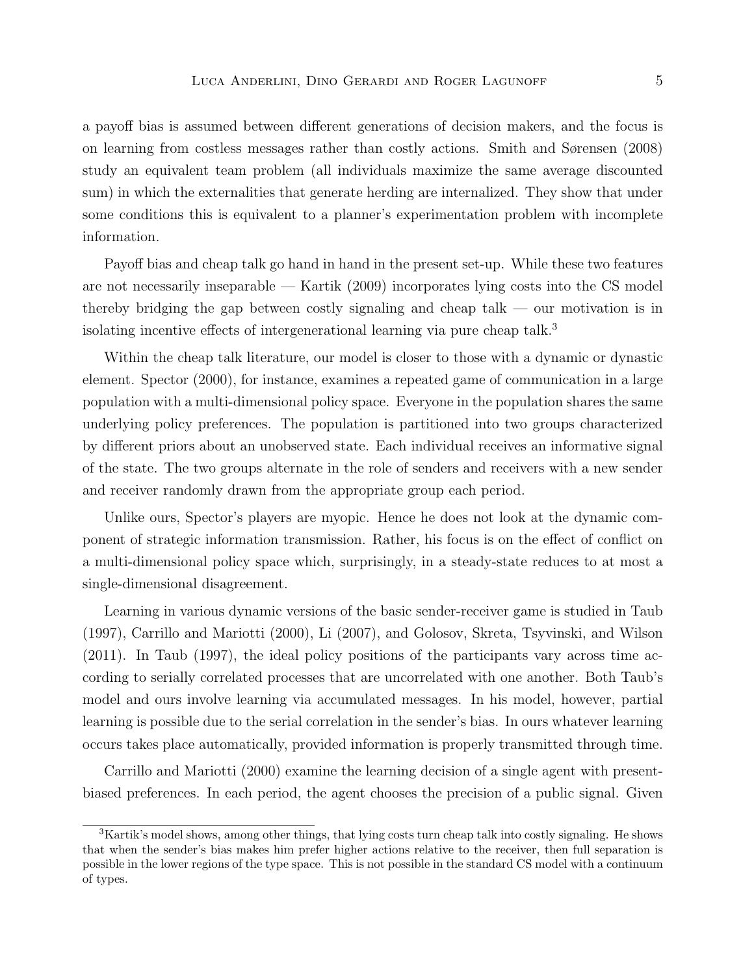a payoff bias is assumed between different generations of decision makers, and the focus is on learning from costless messages rather than costly actions. Smith and Sørensen (2008) study an equivalent team problem (all individuals maximize the same average discounted sum) in which the externalities that generate herding are internalized. They show that under some conditions this is equivalent to a planner's experimentation problem with incomplete information.

Payoff bias and cheap talk go hand in hand in the present set-up. While these two features are not necessarily inseparable — Kartik (2009) incorporates lying costs into the CS model thereby bridging the gap between costly signaling and cheap talk — our motivation is in isolating incentive effects of intergenerational learning via pure cheap talk.<sup>3</sup>

Within the cheap talk literature, our model is closer to those with a dynamic or dynastic element. Spector (2000), for instance, examines a repeated game of communication in a large population with a multi-dimensional policy space. Everyone in the population shares the same underlying policy preferences. The population is partitioned into two groups characterized by different priors about an unobserved state. Each individual receives an informative signal of the state. The two groups alternate in the role of senders and receivers with a new sender and receiver randomly drawn from the appropriate group each period.

Unlike ours, Spector's players are myopic. Hence he does not look at the dynamic component of strategic information transmission. Rather, his focus is on the effect of conflict on a multi-dimensional policy space which, surprisingly, in a steady-state reduces to at most a single-dimensional disagreement.

Learning in various dynamic versions of the basic sender-receiver game is studied in Taub (1997), Carrillo and Mariotti (2000), Li (2007), and Golosov, Skreta, Tsyvinski, and Wilson (2011). In Taub (1997), the ideal policy positions of the participants vary across time according to serially correlated processes that are uncorrelated with one another. Both Taub's model and ours involve learning via accumulated messages. In his model, however, partial learning is possible due to the serial correlation in the sender's bias. In ours whatever learning occurs takes place automatically, provided information is properly transmitted through time.

Carrillo and Mariotti (2000) examine the learning decision of a single agent with presentbiased preferences. In each period, the agent chooses the precision of a public signal. Given

<sup>3</sup>Kartik's model shows, among other things, that lying costs turn cheap talk into costly signaling. He shows that when the sender's bias makes him prefer higher actions relative to the receiver, then full separation is possible in the lower regions of the type space. This is not possible in the standard CS model with a continuum of types.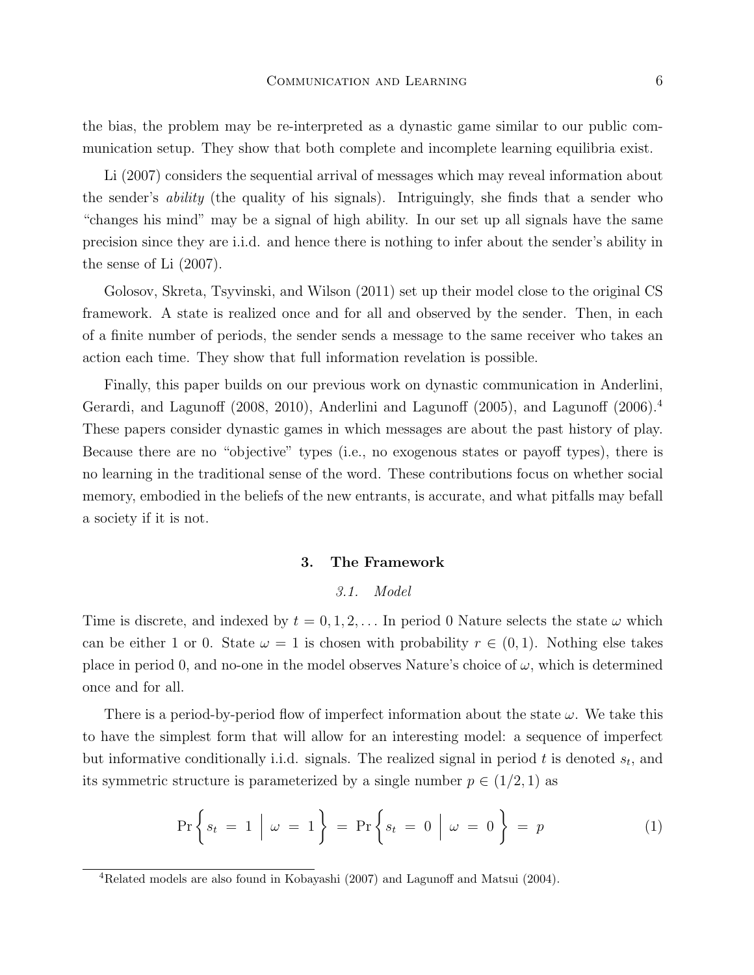the bias, the problem may be re-interpreted as a dynastic game similar to our public communication setup. They show that both complete and incomplete learning equilibria exist.

Li (2007) considers the sequential arrival of messages which may reveal information about the sender's ability (the quality of his signals). Intriguingly, she finds that a sender who "changes his mind" may be a signal of high ability. In our set up all signals have the same precision since they are i.i.d. and hence there is nothing to infer about the sender's ability in the sense of Li (2007).

Golosov, Skreta, Tsyvinski, and Wilson (2011) set up their model close to the original CS framework. A state is realized once and for all and observed by the sender. Then, in each of a finite number of periods, the sender sends a message to the same receiver who takes an action each time. They show that full information revelation is possible.

Finally, this paper builds on our previous work on dynastic communication in Anderlini, Gerardi, and Lagunoff (2008, 2010), Anderlini and Lagunoff (2005), and Lagunoff (2006).<sup>4</sup> These papers consider dynastic games in which messages are about the past history of play. Because there are no "objective" types (i.e., no exogenous states or payoff types), there is no learning in the traditional sense of the word. These contributions focus on whether social memory, embodied in the beliefs of the new entrants, is accurate, and what pitfalls may befall a society if it is not.

#### 3. The Framework

## 3.1. Model

Time is discrete, and indexed by  $t = 0, 1, 2, \ldots$  In period 0 Nature selects the state  $\omega$  which can be either 1 or 0. State  $\omega = 1$  is chosen with probability  $r \in (0,1)$ . Nothing else takes place in period 0, and no-one in the model observes Nature's choice of  $\omega$ , which is determined once and for all.

There is a period-by-period flow of imperfect information about the state  $\omega$ . We take this to have the simplest form that will allow for an interesting model: a sequence of imperfect but informative conditionally i.i.d. signals. The realized signal in period  $t$  is denoted  $s_t$ , and its symmetric structure is parameterized by a single number  $p \in (1/2, 1)$  as

$$
\Pr\left\{s_t = 1 \mid \omega = 1\right\} = \Pr\left\{s_t = 0 \mid \omega = 0\right\} = p \tag{1}
$$

<sup>4</sup>Related models are also found in Kobayashi (2007) and Lagunoff and Matsui (2004).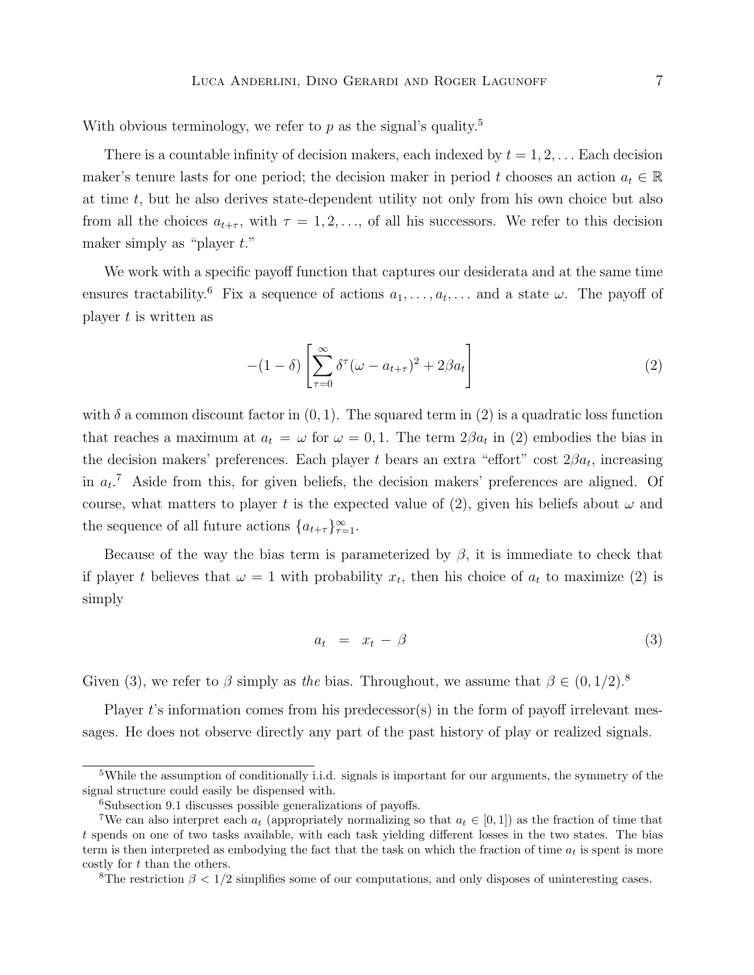With obvious terminology, we refer to  $p$  as the signal's quality.<sup>5</sup>

There is a countable infinity of decision makers, each indexed by  $t = 1, 2, \ldots$  Each decision maker's tenure lasts for one period; the decision maker in period t chooses an action  $a_t \in \mathbb{R}$ at time  $t$ , but he also derives state-dependent utility not only from his own choice but also from all the choices  $a_{t+\tau}$ , with  $\tau = 1, 2, \ldots$ , of all his successors. We refer to this decision maker simply as "player t."

We work with a specific payoff function that captures our desiderata and at the same time ensures tractability.<sup>6</sup> Fix a sequence of actions  $a_1, \ldots, a_t, \ldots$  and a state  $\omega$ . The payoff of player t is written as

$$
-(1-\delta)\left[\sum_{\tau=0}^{\infty} \delta^{\tau} (\omega - a_{t+\tau})^2 + 2\beta a_t\right]
$$
\n(2)

with  $\delta$  a common discount factor in  $(0, 1)$ . The squared term in (2) is a quadratic loss function that reaches a maximum at  $a_t = \omega$  for  $\omega = 0, 1$ . The term  $2\beta a_t$  in (2) embodies the bias in the decision makers' preferences. Each player t bears an extra "effort" cost  $2\beta a_t$ , increasing in  $a_t$ .<sup>7</sup> Aside from this, for given beliefs, the decision makers' preferences are aligned. Of course, what matters to player t is the expected value of (2), given his beliefs about  $\omega$  and the sequence of all future actions  $\{a_{t+\tau}\}_{\tau=1}^{\infty}$ .

Because of the way the bias term is parameterized by  $\beta$ , it is immediate to check that if player t believes that  $\omega = 1$  with probability  $x_t$ , then his choice of  $a_t$  to maximize (2) is simply

$$
a_t = x_t - \beta \tag{3}
$$

Given (3), we refer to  $\beta$  simply as the bias. Throughout, we assume that  $\beta \in (0, 1/2)^8$ 

Player  $t$ 's information comes from his predecessor(s) in the form of payoff irrelevant messages. He does not observe directly any part of the past history of play or realized signals.

<sup>&</sup>lt;sup>5</sup>While the assumption of conditionally i.i.d. signals is important for our arguments, the symmetry of the signal structure could easily be dispensed with.

<sup>6</sup>Subsection 9.1 discusses possible generalizations of payoffs.

<sup>&</sup>lt;sup>7</sup>We can also interpret each  $a_t$  (appropriately normalizing so that  $a_t \in [0,1]$ ) as the fraction of time that t spends on one of two tasks available, with each task yielding different losses in the two states. The bias term is then interpreted as embodying the fact that the task on which the fraction of time  $a_t$  is spent is more costly for t than the others.

<sup>&</sup>lt;sup>8</sup>The restriction  $\beta$  < 1/2 simplifies some of our computations, and only disposes of uninteresting cases.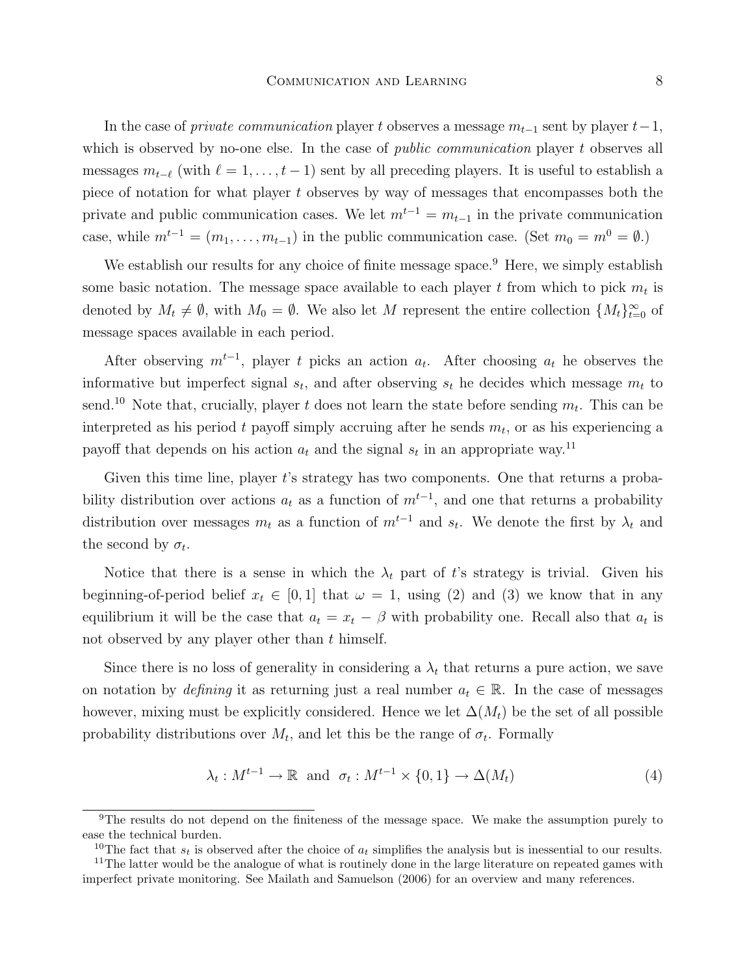In the case of *private communication* player t observes a message  $m_{t-1}$  sent by player  $t-1$ , which is observed by no-one else. In the case of *public communication* player  $t$  observes all messages  $m_{t-\ell}$  (with  $\ell = 1, \ldots, t-1$ ) sent by all preceding players. It is useful to establish a piece of notation for what player t observes by way of messages that encompasses both the private and public communication cases. We let  $m^{t-1} = m_{t-1}$  in the private communication case, while  $m^{t-1} = (m_1, \ldots, m_{t-1})$  in the public communication case. (Set  $m_0 = m^0 = \emptyset$ .)

We establish our results for any choice of finite message space.<sup>9</sup> Here, we simply establish some basic notation. The message space available to each player t from which to pick  $m_t$  is denoted by  $M_t \neq \emptyset$ , with  $M_0 = \emptyset$ . We also let M represent the entire collection  $\{M_t\}_{t=0}^{\infty}$  of message spaces available in each period.

After observing  $m^{t-1}$ , player t picks an action  $a_t$ . After choosing  $a_t$  he observes the informative but imperfect signal  $s_t$ , and after observing  $s_t$  he decides which message  $m_t$  to send.<sup>10</sup> Note that, crucially, player t does not learn the state before sending  $m_t$ . This can be interpreted as his period t payoff simply accruing after he sends  $m_t$ , or as his experiencing a payoff that depends on his action  $a_t$  and the signal  $s_t$  in an appropriate way.<sup>11</sup>

Given this time line, player t's strategy has two components. One that returns a probability distribution over actions  $a_t$  as a function of  $m^{t-1}$ , and one that returns a probability distribution over messages  $m_t$  as a function of  $m^{t-1}$  and  $s_t$ . We denote the first by  $\lambda_t$  and the second by  $\sigma_t$ .

Notice that there is a sense in which the  $\lambda_t$  part of t's strategy is trivial. Given his beginning-of-period belief  $x_t \in [0,1]$  that  $\omega = 1$ , using (2) and (3) we know that in any equilibrium it will be the case that  $a_t = x_t - \beta$  with probability one. Recall also that  $a_t$  is not observed by any player other than  $t$  himself.

Since there is no loss of generality in considering a  $\lambda_t$  that returns a pure action, we save on notation by *defining* it as returning just a real number  $a_t \in \mathbb{R}$ . In the case of messages however, mixing must be explicitly considered. Hence we let  $\Delta(M_t)$  be the set of all possible probability distributions over  $M_t$ , and let this be the range of  $\sigma_t$ . Formally

$$
\lambda_t: M^{t-1} \to \mathbb{R} \text{ and } \sigma_t: M^{t-1} \times \{0, 1\} \to \Delta(M_t) \tag{4}
$$

<sup>&</sup>lt;sup>9</sup>The results do not depend on the finiteness of the message space. We make the assumption purely to ease the technical burden.

<sup>&</sup>lt;sup>10</sup>The fact that  $s_t$  is observed after the choice of  $a_t$  simplifies the analysis but is inessential to our results.

<sup>&</sup>lt;sup>11</sup>The latter would be the analogue of what is routinely done in the large literature on repeated games with imperfect private monitoring. See Mailath and Samuelson (2006) for an overview and many references.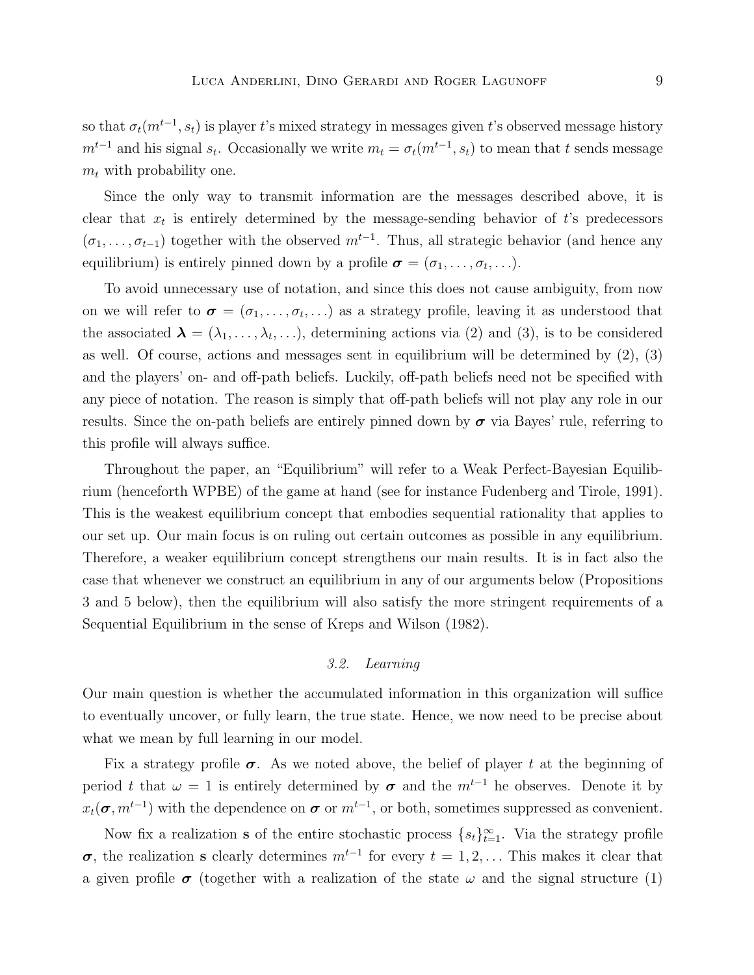so that  $\sigma_t(m^{t-1}, s_t)$  is player t's mixed strategy in messages given t's observed message history  $m^{t-1}$  and his signal  $s_t$ . Occasionally we write  $m_t = \sigma_t(m^{t-1}, s_t)$  to mean that t sends message  $m_t$  with probability one.

Since the only way to transmit information are the messages described above, it is clear that  $x_t$  is entirely determined by the message-sending behavior of t's predecessors  $(\sigma_1, \ldots, \sigma_{t-1})$  together with the observed  $m^{t-1}$ . Thus, all strategic behavior (and hence any equilibrium) is entirely pinned down by a profile  $\boldsymbol{\sigma} = (\sigma_1, \dots, \sigma_t, \dots)$ .

To avoid unnecessary use of notation, and since this does not cause ambiguity, from now on we will refer to  $\boldsymbol{\sigma} = (\sigma_1, \ldots, \sigma_t, \ldots)$  as a strategy profile, leaving it as understood that the associated  $\boldsymbol{\lambda} = (\lambda_1, \ldots, \lambda_t, \ldots)$ , determining actions via (2) and (3), is to be considered as well. Of course, actions and messages sent in equilibrium will be determined by (2), (3) and the players' on- and off-path beliefs. Luckily, off-path beliefs need not be specified with any piece of notation. The reason is simply that off-path beliefs will not play any role in our results. Since the on-path beliefs are entirely pinned down by  $\sigma$  via Bayes' rule, referring to this profile will always suffice.

Throughout the paper, an "Equilibrium" will refer to a Weak Perfect-Bayesian Equilibrium (henceforth WPBE) of the game at hand (see for instance Fudenberg and Tirole, 1991). This is the weakest equilibrium concept that embodies sequential rationality that applies to our set up. Our main focus is on ruling out certain outcomes as possible in any equilibrium. Therefore, a weaker equilibrium concept strengthens our main results. It is in fact also the case that whenever we construct an equilibrium in any of our arguments below (Propositions 3 and 5 below), then the equilibrium will also satisfy the more stringent requirements of a Sequential Equilibrium in the sense of Kreps and Wilson (1982).

## 3.2. Learning

Our main question is whether the accumulated information in this organization will suffice to eventually uncover, or fully learn, the true state. Hence, we now need to be precise about what we mean by full learning in our model.

Fix a strategy profile  $\sigma$ . As we noted above, the belief of player t at the beginning of period t that  $\omega = 1$  is entirely determined by  $\sigma$  and the  $m^{t-1}$  he observes. Denote it by  $x_t(\sigma, m^{t-1})$  with the dependence on  $\sigma$  or  $m^{t-1}$ , or both, sometimes suppressed as convenient.

Now fix a realization **s** of the entire stochastic process  $\{s_t\}_{t=1}^{\infty}$ . Via the strategy profile  $\sigma$ , the realization s clearly determines  $m^{t-1}$  for every  $t = 1, 2, \ldots$  This makes it clear that a given profile  $\sigma$  (together with a realization of the state  $\omega$  and the signal structure (1)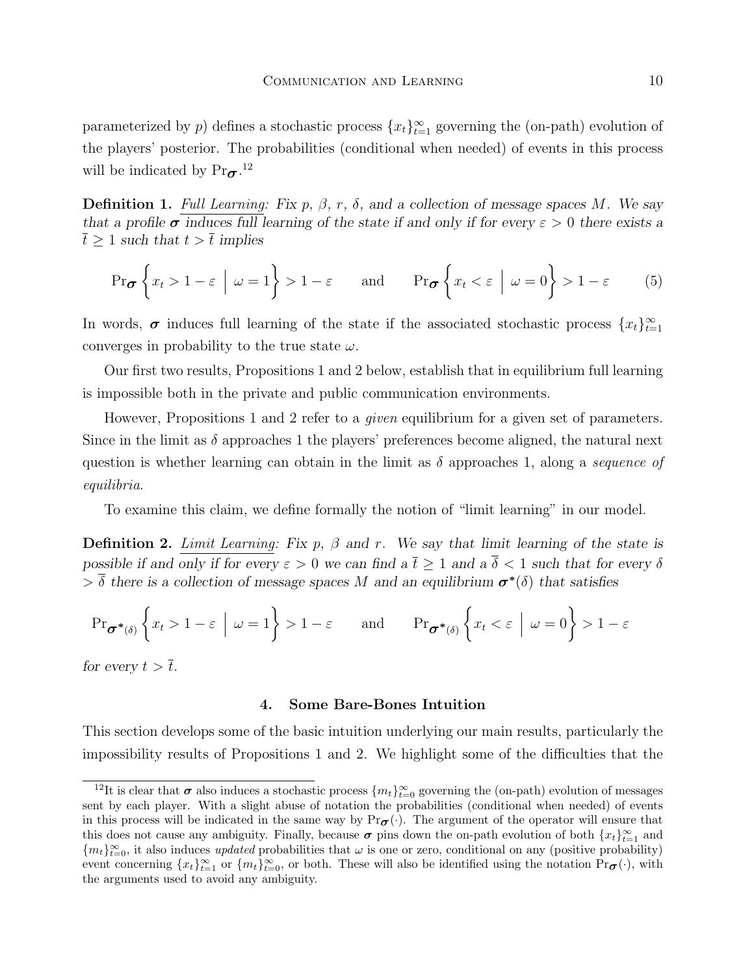parameterized by p) defines a stochastic process  $\{x_t\}_{t=1}^{\infty}$  governing the (on-path) evolution of the players' posterior. The probabilities (conditional when needed) of events in this process will be indicated by  $Pr_{\sigma}$ .<sup>12</sup>

**Definition 1.** Full Learning: Fix p,  $\beta$ , r,  $\delta$ , and a collection of message spaces M. We say that a profile  $\sigma$  induces full learning of the state if and only if for every  $\varepsilon > 0$  there exists a  $\bar{t} \geq 1$  such that  $t > \bar{t}$  implies

$$
\Pr_{\sigma} \left\{ x_t > 1 - \varepsilon \; \middle| \; \omega = 1 \right\} > 1 - \varepsilon \quad \text{and} \quad \Pr_{\sigma} \left\{ x_t < \varepsilon \; \middle| \; \omega = 0 \right\} > 1 - \varepsilon \quad (5)
$$

In words,  $\sigma$  induces full learning of the state if the associated stochastic process  $\{x_t\}_{t=1}^{\infty}$ converges in probability to the true state  $\omega$ .

Our first two results, Propositions 1 and 2 below, establish that in equilibrium full learning is impossible both in the private and public communication environments.

However, Propositions 1 and 2 refer to a *given* equilibrium for a given set of parameters. Since in the limit as  $\delta$  approaches 1 the players' preferences become aligned, the natural next question is whether learning can obtain in the limit as  $\delta$  approaches 1, along a *sequence of* equilibria.

To examine this claim, we define formally the notion of "limit learning" in our model.

**Definition 2.** Limit Learning: Fix p,  $\beta$  and r. We say that limit learning of the state is possible if and only if for every  $\varepsilon > 0$  we can find a  $\bar{t} > 1$  and a  $\bar{\delta} < 1$  such that for every  $\delta$  $> \bar{\delta}$  there is a collection of message spaces M and an equilibrium  $\sigma^*(\delta)$  that satisfies

$$
\Pr_{\boldsymbol{\sigma}^*(\delta)} \left\{ x_t > 1 - \varepsilon \; \Big| \; \omega = 1 \right\} > 1 - \varepsilon \quad \text{and} \quad \Pr_{\boldsymbol{\sigma}^*(\delta)} \left\{ x_t < \varepsilon \; \Big| \; \omega = 0 \right\} > 1 - \varepsilon
$$

for every  $t > \overline{t}$ .

## 4. Some Bare-Bones Intuition

This section develops some of the basic intuition underlying our main results, particularly the impossibility results of Propositions 1 and 2. We highlight some of the difficulties that the

<sup>&</sup>lt;sup>12</sup>It is clear that  $\sigma$  also induces a stochastic process  $\{m_t\}_{t=0}^{\infty}$  governing the (on-path) evolution of messages sent by each player. With a slight abuse of notation the probabilities (conditional when needed) of events in this process will be indicated in the same way by  $Pr_{\sigma}(\cdot)$ . The argument of the operator will ensure that this does not cause any ambiguity. Finally, because  $\sigma$  pins down the on-path evolution of both  $\{x_t\}_{t=1}^{\infty}$  and  ${m_t}_{t=0}^{\infty}$ , it also induces updated probabilities that  $\omega$  is one or zero, conditional on any (positive probability) event concerning  $\{x_t\}_{t=1}^{\infty}$  or  $\{m_t\}_{t=0}^{\infty}$ , or both. These will also be identified using the notation  $\Pr_{\sigma}(\cdot)$ , with the arguments used to avoid any ambiguity.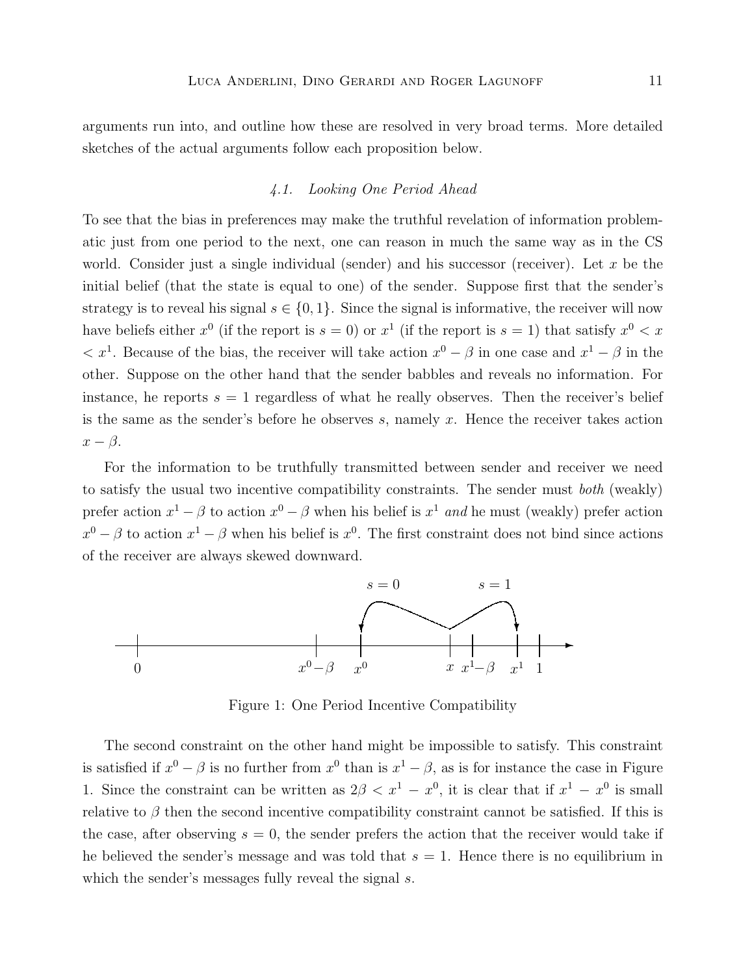arguments run into, and outline how these are resolved in very broad terms. More detailed sketches of the actual arguments follow each proposition below.

## 4.1. Looking One Period Ahead

To see that the bias in preferences may make the truthful revelation of information problematic just from one period to the next, one can reason in much the same way as in the CS world. Consider just a single individual (sender) and his successor (receiver). Let x be the initial belief (that the state is equal to one) of the sender. Suppose first that the sender's strategy is to reveal his signal  $s \in \{0, 1\}$ . Since the signal is informative, the receiver will now have beliefs either  $x^0$  (if the report is  $s = 0$ ) or  $x^1$  (if the report is  $s = 1$ ) that satisfy  $x^0 < x$  $\langle x^1, z^2 \rangle$  Because of the bias, the receiver will take action  $x^0 - \beta$  in one case and  $x^1 - \beta$  in the other. Suppose on the other hand that the sender babbles and reveals no information. For instance, he reports  $s = 1$  regardless of what he really observes. Then the receiver's belief is the same as the sender's before he observes  $s$ , namely  $x$ . Hence the receiver takes action  $x - \beta$ .

For the information to be truthfully transmitted between sender and receiver we need to satisfy the usual two incentive compatibility constraints. The sender must both (weakly) prefer action  $x^1 - \beta$  to action  $x^0 - \beta$  when his belief is  $x^1$  and he must (weakly) prefer action  $x^0 - \beta$  to action  $x^1 - \beta$  when his belief is  $x^0$ . The first constraint does not bind since actions of the receiver are always skewed downward.



Figure 1: One Period Incentive Compatibility

The second constraint on the other hand might be impossible to satisfy. This constraint is satisfied if  $x^0 - \beta$  is no further from  $x^0$  than is  $x^1 - \beta$ , as is for instance the case in Figure 1. Since the constraint can be written as  $2\beta < x^1 - x^0$ , it is clear that if  $x^1 - x^0$  is small relative to  $\beta$  then the second incentive compatibility constraint cannot be satisfied. If this is the case, after observing  $s = 0$ , the sender prefers the action that the receiver would take if he believed the sender's message and was told that  $s = 1$ . Hence there is no equilibrium in which the sender's messages fully reveal the signal s.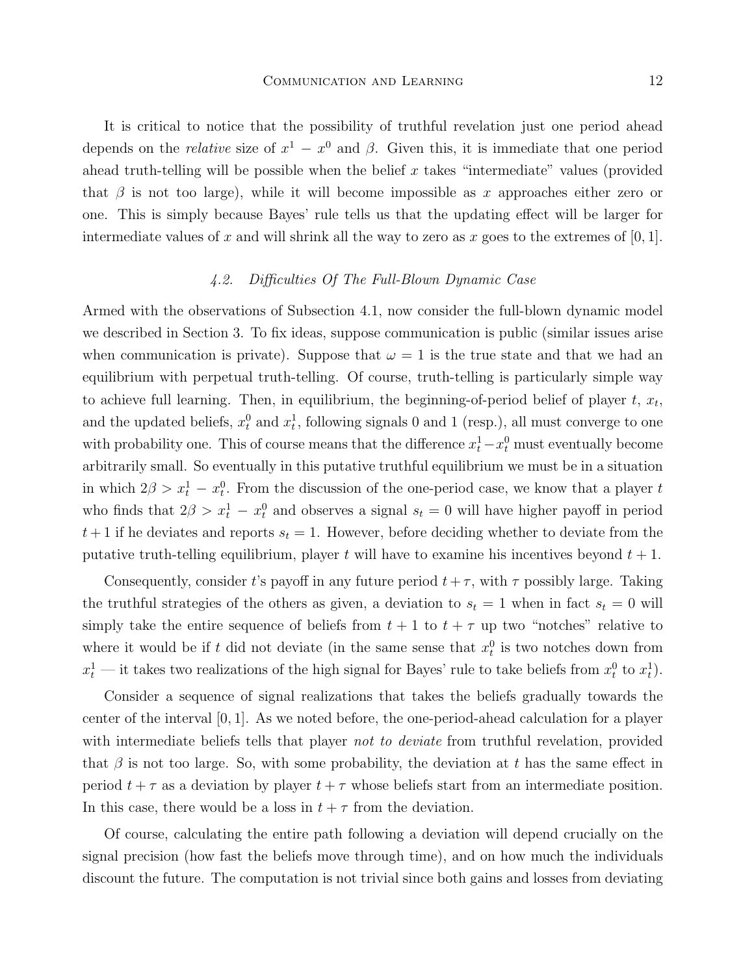It is critical to notice that the possibility of truthful revelation just one period ahead depends on the *relative* size of  $x^1 - x^0$  and  $\beta$ . Given this, it is immediate that one period ahead truth-telling will be possible when the belief x takes "intermediate" values (provided that  $\beta$  is not too large), while it will become impossible as x approaches either zero or one. This is simply because Bayes' rule tells us that the updating effect will be larger for intermediate values of x and will shrink all the way to zero as x goes to the extremes of  $[0, 1]$ .

## 4.2. Difficulties Of The Full-Blown Dynamic Case

Armed with the observations of Subsection 4.1, now consider the full-blown dynamic model we described in Section 3. To fix ideas, suppose communication is public (similar issues arise when communication is private). Suppose that  $\omega = 1$  is the true state and that we had an equilibrium with perpetual truth-telling. Of course, truth-telling is particularly simple way to achieve full learning. Then, in equilibrium, the beginning-of-period belief of player  $t, x_t$ , and the updated beliefs,  $x_t^0$  and  $x_t^1$ , following signals 0 and 1 (resp.), all must converge to one with probability one. This of course means that the difference  $x_t^1 - x_t^0$  must eventually become arbitrarily small. So eventually in this putative truthful equilibrium we must be in a situation in which  $2\beta > x_t^1 - x_t^0$ . From the discussion of the one-period case, we know that a player t who finds that  $2\beta > x_t^1 - x_t^0$  and observes a signal  $s_t = 0$  will have higher payoff in period  $t+1$  if he deviates and reports  $s_t = 1$ . However, before deciding whether to deviate from the putative truth-telling equilibrium, player t will have to examine his incentives beyond  $t + 1$ .

Consequently, consider t's payoff in any future period  $t + \tau$ , with  $\tau$  possibly large. Taking the truthful strategies of the others as given, a deviation to  $s_t = 1$  when in fact  $s_t = 0$  will simply take the entire sequence of beliefs from  $t + 1$  to  $t + \tau$  up two "notches" relative to where it would be if t did not deviate (in the same sense that  $x_t^0$  is two notches down from  $x_t^1$  — it takes two realizations of the high signal for Bayes' rule to take beliefs from  $x_t^0$  to  $x_t^1$ ).

Consider a sequence of signal realizations that takes the beliefs gradually towards the center of the interval [0, 1]. As we noted before, the one-period-ahead calculation for a player with intermediate beliefs tells that player not to deviate from truthful revelation, provided that  $\beta$  is not too large. So, with some probability, the deviation at t has the same effect in period  $t + \tau$  as a deviation by player  $t + \tau$  whose beliefs start from an intermediate position. In this case, there would be a loss in  $t + \tau$  from the deviation.

Of course, calculating the entire path following a deviation will depend crucially on the signal precision (how fast the beliefs move through time), and on how much the individuals discount the future. The computation is not trivial since both gains and losses from deviating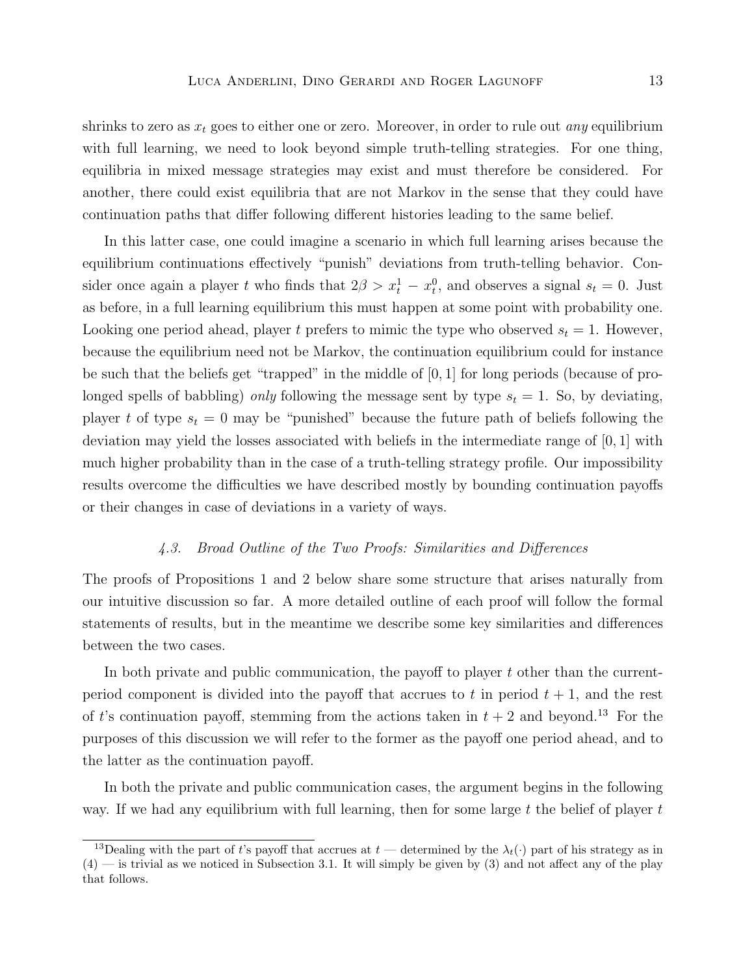shrinks to zero as  $x_t$  goes to either one or zero. Moreover, in order to rule out *any* equilibrium with full learning, we need to look beyond simple truth-telling strategies. For one thing, equilibria in mixed message strategies may exist and must therefore be considered. For another, there could exist equilibria that are not Markov in the sense that they could have continuation paths that differ following different histories leading to the same belief.

In this latter case, one could imagine a scenario in which full learning arises because the equilibrium continuations effectively "punish" deviations from truth-telling behavior. Consider once again a player t who finds that  $2\beta > x_t^1 - x_t^0$ , and observes a signal  $s_t = 0$ . Just as before, in a full learning equilibrium this must happen at some point with probability one. Looking one period ahead, player t prefers to mimic the type who observed  $s_t = 1$ . However, because the equilibrium need not be Markov, the continuation equilibrium could for instance be such that the beliefs get "trapped" in the middle of [0, 1] for long periods (because of prolonged spells of babbling) only following the message sent by type  $s_t = 1$ . So, by deviating, player t of type  $s_t = 0$  may be "punished" because the future path of beliefs following the deviation may yield the losses associated with beliefs in the intermediate range of [0, 1] with much higher probability than in the case of a truth-telling strategy profile. Our impossibility results overcome the difficulties we have described mostly by bounding continuation payoffs or their changes in case of deviations in a variety of ways.

## 4.3. Broad Outline of the Two Proofs: Similarities and Differences

The proofs of Propositions 1 and 2 below share some structure that arises naturally from our intuitive discussion so far. A more detailed outline of each proof will follow the formal statements of results, but in the meantime we describe some key similarities and differences between the two cases.

In both private and public communication, the payoff to player t other than the currentperiod component is divided into the payoff that accrues to t in period  $t + 1$ , and the rest of t's continuation payoff, stemming from the actions taken in  $t + 2$  and beyond.<sup>13</sup> For the purposes of this discussion we will refer to the former as the payoff one period ahead, and to the latter as the continuation payoff.

In both the private and public communication cases, the argument begins in the following way. If we had any equilibrium with full learning, then for some large  $t$  the belief of player  $t$ 

<sup>&</sup>lt;sup>13</sup>Dealing with the part of t's payoff that accrues at  $t$  — determined by the  $\lambda_t(\cdot)$  part of his strategy as in  $(4)$  — is trivial as we noticed in Subsection 3.1. It will simply be given by (3) and not affect any of the play that follows.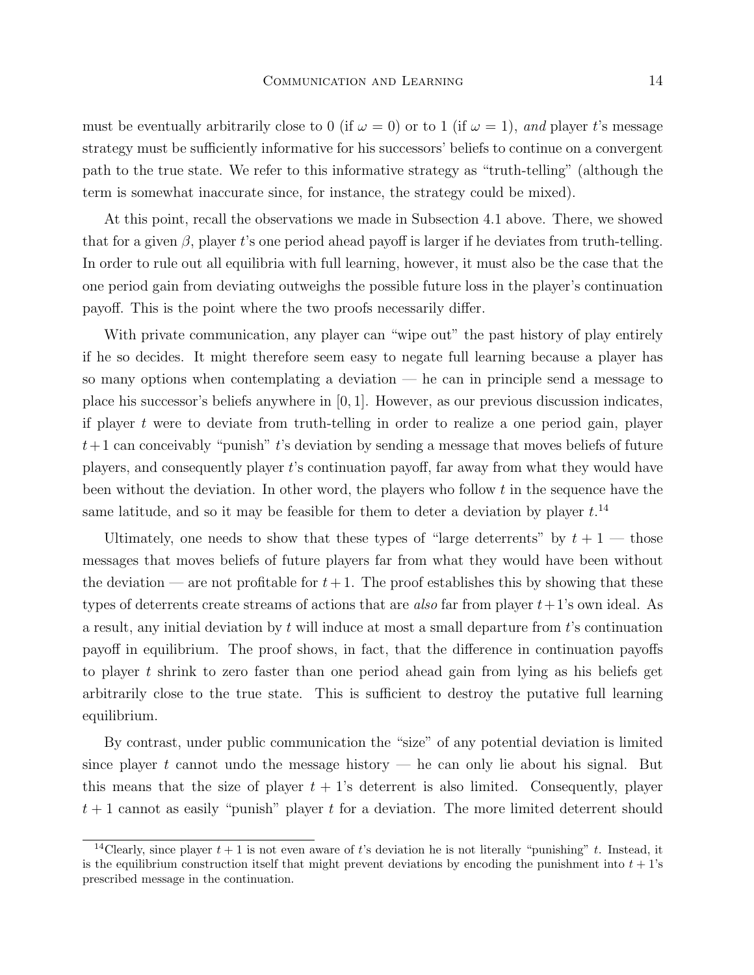must be eventually arbitrarily close to 0 (if  $\omega = 0$ ) or to 1 (if  $\omega = 1$ ), and player t's message strategy must be sufficiently informative for his successors' beliefs to continue on a convergent path to the true state. We refer to this informative strategy as "truth-telling" (although the term is somewhat inaccurate since, for instance, the strategy could be mixed).

At this point, recall the observations we made in Subsection 4.1 above. There, we showed that for a given  $\beta$ , player t's one period ahead payoff is larger if he deviates from truth-telling. In order to rule out all equilibria with full learning, however, it must also be the case that the one period gain from deviating outweighs the possible future loss in the player's continuation payoff. This is the point where the two proofs necessarily differ.

With private communication, any player can "wipe out" the past history of play entirely if he so decides. It might therefore seem easy to negate full learning because a player has so many options when contemplating a deviation — he can in principle send a message to place his successor's beliefs anywhere in [0, 1]. However, as our previous discussion indicates, if player t were to deviate from truth-telling in order to realize a one period gain, player  $t+1$  can conceivably "punish" t's deviation by sending a message that moves beliefs of future players, and consequently player t's continuation payoff, far away from what they would have been without the deviation. In other word, the players who follow  $t$  in the sequence have the same latitude, and so it may be feasible for them to deter a deviation by player  $t^{14}$ 

Ultimately, one needs to show that these types of "large deterrents" by  $t + 1$  — those messages that moves beliefs of future players far from what they would have been without the deviation — are not profitable for  $t + 1$ . The proof establishes this by showing that these types of deterrents create streams of actions that are also far from player  $t+1$ 's own ideal. As a result, any initial deviation by  $t$  will induce at most a small departure from  $t$ 's continuation payoff in equilibrium. The proof shows, in fact, that the difference in continuation payoffs to player t shrink to zero faster than one period ahead gain from lying as his beliefs get arbitrarily close to the true state. This is sufficient to destroy the putative full learning equilibrium.

By contrast, under public communication the "size" of any potential deviation is limited since player t cannot undo the message history — he can only lie about his signal. But this means that the size of player  $t + 1$ 's deterrent is also limited. Consequently, player  $t + 1$  cannot as easily "punish" player t for a deviation. The more limited deterrent should

<sup>&</sup>lt;sup>14</sup>Clearly, since player  $t + 1$  is not even aware of t's deviation he is not literally "punishing" t. Instead, it is the equilibrium construction itself that might prevent deviations by encoding the punishment into  $t + 1$ 's prescribed message in the continuation.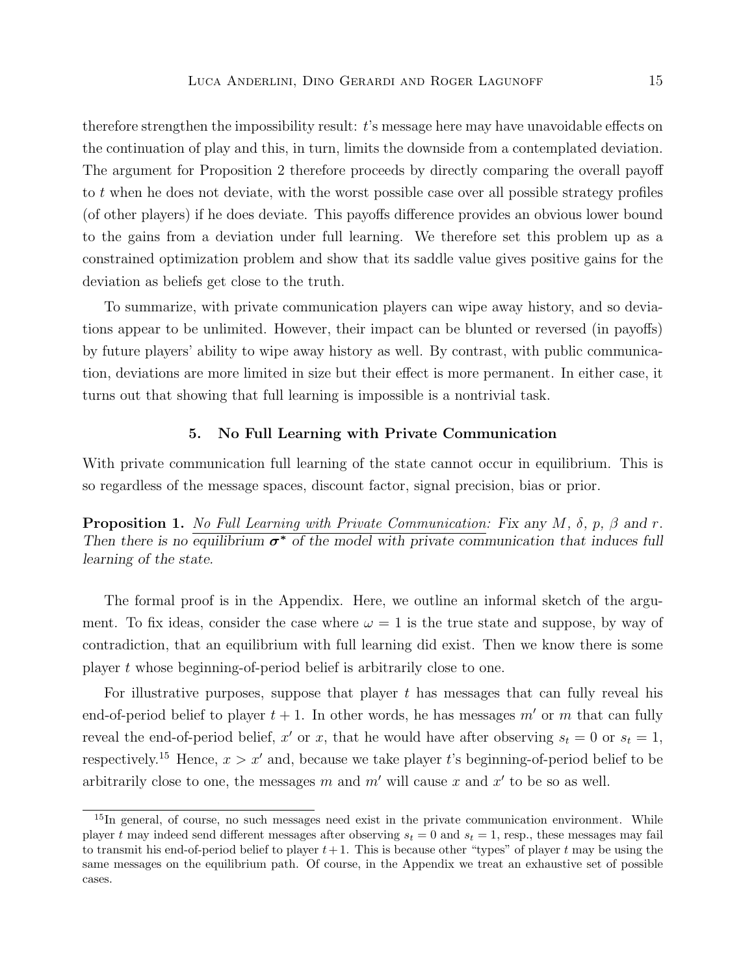therefore strengthen the impossibility result: t's message here may have unavoidable effects on the continuation of play and this, in turn, limits the downside from a contemplated deviation. The argument for Proposition 2 therefore proceeds by directly comparing the overall payoff to t when he does not deviate, with the worst possible case over all possible strategy profiles (of other players) if he does deviate. This payoffs difference provides an obvious lower bound to the gains from a deviation under full learning. We therefore set this problem up as a constrained optimization problem and show that its saddle value gives positive gains for the deviation as beliefs get close to the truth.

To summarize, with private communication players can wipe away history, and so deviations appear to be unlimited. However, their impact can be blunted or reversed (in payoffs) by future players' ability to wipe away history as well. By contrast, with public communication, deviations are more limited in size but their effect is more permanent. In either case, it turns out that showing that full learning is impossible is a nontrivial task.

## 5. No Full Learning with Private Communication

With private communication full learning of the state cannot occur in equilibrium. This is so regardless of the message spaces, discount factor, signal precision, bias or prior.

**Proposition 1.** No Full Learning with Private Communication: Fix any M,  $\delta$ , p,  $\beta$  and r. Then there is no equilibrium  $\sigma^*$  of the model with private communication that induces full learning of the state.

The formal proof is in the Appendix. Here, we outline an informal sketch of the argument. To fix ideas, consider the case where  $\omega = 1$  is the true state and suppose, by way of contradiction, that an equilibrium with full learning did exist. Then we know there is some player t whose beginning-of-period belief is arbitrarily close to one.

For illustrative purposes, suppose that player  $t$  has messages that can fully reveal his end-of-period belief to player  $t + 1$ . In other words, he has messages m' or m that can fully reveal the end-of-period belief, x' or x, that he would have after observing  $s_t = 0$  or  $s_t = 1$ , respectively.<sup>15</sup> Hence,  $x > x'$  and, because we take player t's beginning-of-period belief to be arbitrarily close to one, the messages m and m' will cause x and  $x'$  to be so as well.

<sup>&</sup>lt;sup>15</sup>In general, of course, no such messages need exist in the private communication environment. While player t may indeed send different messages after observing  $s_t = 0$  and  $s_t = 1$ , resp., these messages may fail to transmit his end-of-period belief to player  $t+1$ . This is because other "types" of player t may be using the same messages on the equilibrium path. Of course, in the Appendix we treat an exhaustive set of possible cases.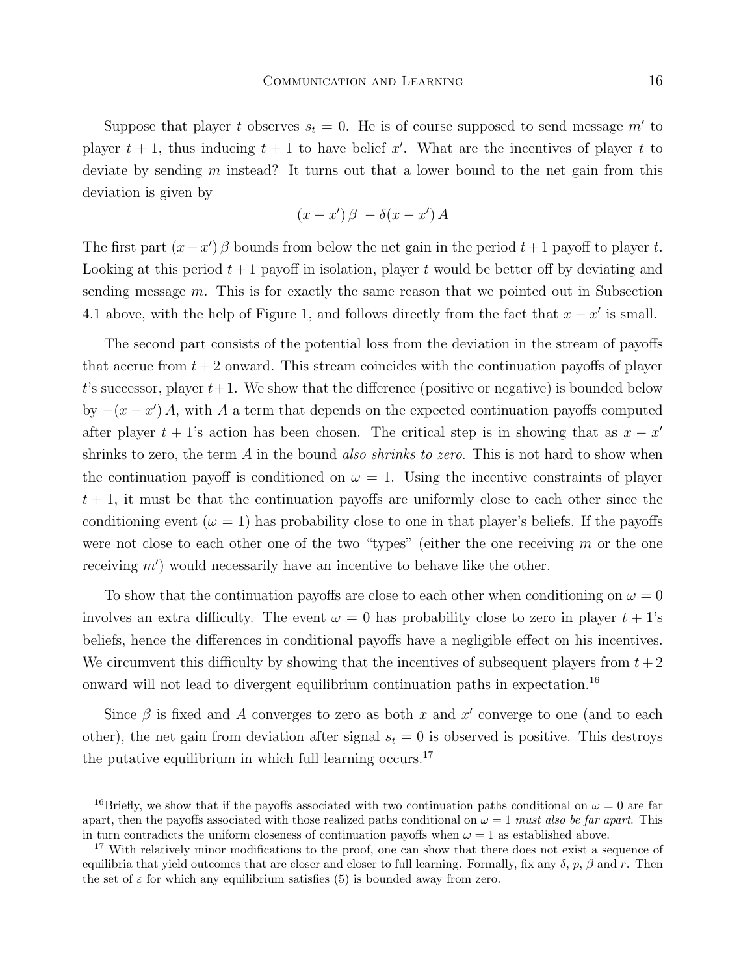Suppose that player t observes  $s_t = 0$ . He is of course supposed to send message m' to player  $t + 1$ , thus inducing  $t + 1$  to have belief x'. What are the incentives of player t to deviate by sending  $m$  instead? It turns out that a lower bound to the net gain from this deviation is given by

$$
(x-x')\beta - \delta(x-x')A
$$

The first part  $(x - x')$  β bounds from below the net gain in the period  $t + 1$  payoff to player t. Looking at this period  $t + 1$  payoff in isolation, player t would be better off by deviating and sending message m. This is for exactly the same reason that we pointed out in Subsection 4.1 above, with the help of Figure 1, and follows directly from the fact that  $x - x'$  is small.

The second part consists of the potential loss from the deviation in the stream of payoffs that accrue from  $t + 2$  onward. This stream coincides with the continuation payoffs of player t's successor, player  $t+1$ . We show that the difference (positive or negative) is bounded below by  $-(x-x')A$ , with A a term that depends on the expected continuation payoffs computed after player  $t + 1$ 's action has been chosen. The critical step is in showing that as  $x - x'$ shrinks to zero, the term A in the bound also shrinks to zero. This is not hard to show when the continuation payoff is conditioned on  $\omega = 1$ . Using the incentive constraints of player  $t + 1$ , it must be that the continuation payoffs are uniformly close to each other since the conditioning event ( $\omega = 1$ ) has probability close to one in that player's beliefs. If the payoffs were not close to each other one of the two "types" (either the one receiving  $m$  or the one receiving  $m'$ ) would necessarily have an incentive to behave like the other.

To show that the continuation payoffs are close to each other when conditioning on  $\omega = 0$ involves an extra difficulty. The event  $\omega = 0$  has probability close to zero in player  $t + 1$ 's beliefs, hence the differences in conditional payoffs have a negligible effect on his incentives. We circumvent this difficulty by showing that the incentives of subsequent players from  $t + 2$ onward will not lead to divergent equilibrium continuation paths in expectation.<sup>16</sup>

Since  $\beta$  is fixed and A converges to zero as both x and x' converge to one (and to each other), the net gain from deviation after signal  $s_t = 0$  is observed is positive. This destroys the putative equilibrium in which full learning occurs.<sup>17</sup>

<sup>&</sup>lt;sup>16</sup>Briefly, we show that if the payoffs associated with two continuation paths conditional on  $\omega = 0$  are far apart, then the payoffs associated with those realized paths conditional on  $\omega = 1$  must also be far apart. This in turn contradicts the uniform closeness of continuation payoffs when  $\omega = 1$  as established above.

<sup>&</sup>lt;sup>17</sup> With relatively minor modifications to the proof, one can show that there does not exist a sequence of equilibria that yield outcomes that are closer and closer to full learning. Formally, fix any  $\delta$ , p,  $\beta$  and r. Then the set of  $\varepsilon$  for which any equilibrium satisfies (5) is bounded away from zero.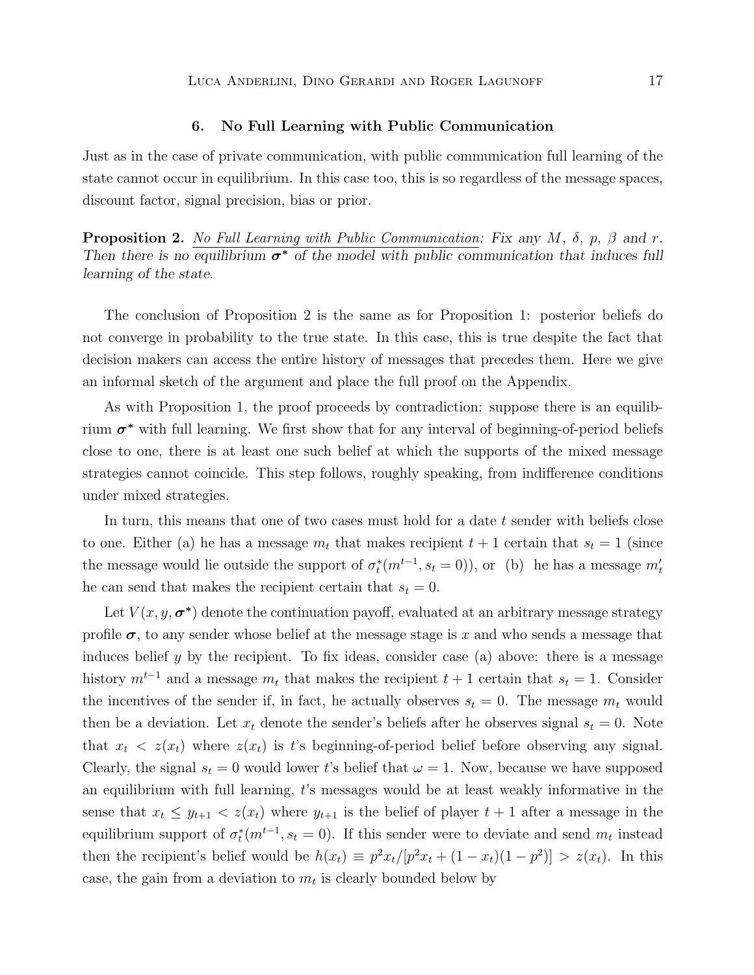### 6. No Full Learning with Public Communication

Just as in the case of private communication, with public communication full learning of the state cannot occur in equilibrium. In this case too, this is so regardless of the message spaces, discount factor, signal precision, bias or prior.

**Proposition 2.** No Full Learning with Public Communication: Fix any M,  $\delta$ , p,  $\beta$  and r. Then there is no equilibrium  $\sigma^*$  of the model with public communication that induces full learning of the state.

The conclusion of Proposition 2 is the same as for Proposition 1: posterior beliefs do not converge in probability to the true state. In this case, this is true despite the fact that decision makers can access the entire history of messages that precedes them. Here we give an informal sketch of the argument and place the full proof on the Appendix.

As with Proposition 1, the proof proceeds by contradiction: suppose there is an equilibrium  $\sigma^*$  with full learning. We first show that for any interval of beginning-of-period beliefs close to one, there is at least one such belief at which the supports of the mixed message strategies cannot coincide. This step follows, roughly speaking, from indifference conditions under mixed strategies.

In turn, this means that one of two cases must hold for a date t sender with beliefs close to one. Either (a) he has a message  $m_t$  that makes recipient  $t + 1$  certain that  $s_t = 1$  (since the message would lie outside the support of  $\sigma_t^*(m^{t-1}, s_t = 0)$ , or (b) he has a message  $m'_t$ he can send that makes the recipient certain that  $s_t = 0$ .

Let  $V(x, y, \sigma^*)$  denote the continuation payoff, evaluated at an arbitrary message strategy profile  $\sigma$ , to any sender whose belief at the message stage is x and who sends a message that induces belief y by the recipient. To fix ideas, consider case (a) above: there is a message history  $m^{t-1}$  and a message  $m_t$  that makes the recipient  $t + 1$  certain that  $s_t = 1$ . Consider the incentives of the sender if, in fact, he actually observes  $s_t = 0$ . The message  $m_t$  would then be a deviation. Let  $x_t$  denote the sender's beliefs after he observes signal  $s_t = 0$ . Note that  $x_t < z(x_t)$  where  $z(x_t)$  is t's beginning-of-period belief before observing any signal. Clearly, the signal  $s_t = 0$  would lower t's belief that  $\omega = 1$ . Now, because we have supposed an equilibrium with full learning, t's messages would be at least weakly informative in the sense that  $x_t \leq y_{t+1} < z(x_t)$  where  $y_{t+1}$  is the belief of player  $t+1$  after a message in the equilibrium support of  $\sigma_t^*(m^{t-1}, s_t = 0)$ . If this sender were to deviate and send  $m_t$  instead then the recipient's belief would be  $h(x_t) \equiv p^2 x_t / [p^2 x_t + (1 - x_t)(1 - p^2)] > z(x_t)$ . In this case, the gain from a deviation to  $m_t$  is clearly bounded below by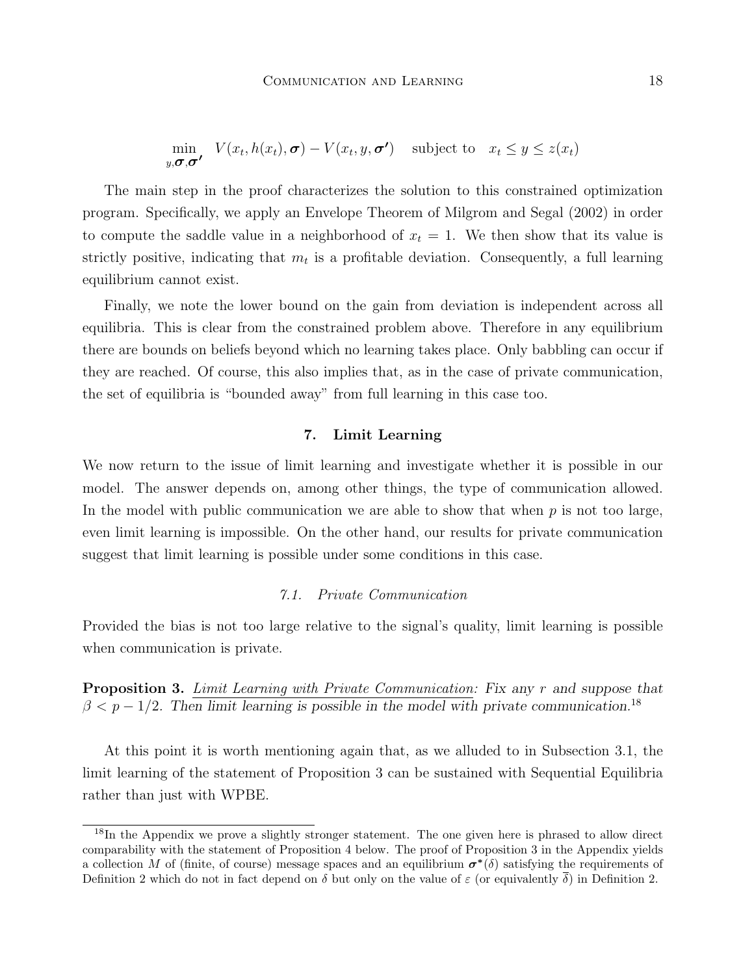$$
\min_{y,\boldsymbol{\sigma},\boldsymbol{\sigma'}} V(x_t, h(x_t), \boldsymbol{\sigma}) - V(x_t, y, \boldsymbol{\sigma'}) \quad \text{subject to} \quad x_t \leq y \leq z(x_t)
$$

The main step in the proof characterizes the solution to this constrained optimization program. Specifically, we apply an Envelope Theorem of Milgrom and Segal (2002) in order to compute the saddle value in a neighborhood of  $x_t = 1$ . We then show that its value is strictly positive, indicating that  $m_t$  is a profitable deviation. Consequently, a full learning equilibrium cannot exist.

Finally, we note the lower bound on the gain from deviation is independent across all equilibria. This is clear from the constrained problem above. Therefore in any equilibrium there are bounds on beliefs beyond which no learning takes place. Only babbling can occur if they are reached. Of course, this also implies that, as in the case of private communication, the set of equilibria is "bounded away" from full learning in this case too.

### 7. Limit Learning

We now return to the issue of limit learning and investigate whether it is possible in our model. The answer depends on, among other things, the type of communication allowed. In the model with public communication we are able to show that when  $p$  is not too large, even limit learning is impossible. On the other hand, our results for private communication suggest that limit learning is possible under some conditions in this case.

## 7.1. Private Communication

Provided the bias is not too large relative to the signal's quality, limit learning is possible when communication is private.

**Proposition 3.** Limit Learning with Private Communication: Fix any r and suppose that  $\beta < p - 1/2$ . Then limit learning is possible in the model with private communication.<sup>18</sup>

At this point it is worth mentioning again that, as we alluded to in Subsection 3.1, the limit learning of the statement of Proposition 3 can be sustained with Sequential Equilibria rather than just with WPBE.

<sup>&</sup>lt;sup>18</sup>In the Appendix we prove a slightly stronger statement. The one given here is phrased to allow direct comparability with the statement of Proposition 4 below. The proof of Proposition 3 in the Appendix yields a collection M of (finite, of course) message spaces and an equilibrium  $\sigma^*(\delta)$  satisfying the requirements of Definition 2 which do not in fact depend on  $\delta$  but only on the value of  $\varepsilon$  (or equivalently  $\overline{\delta}$ ) in Definition 2.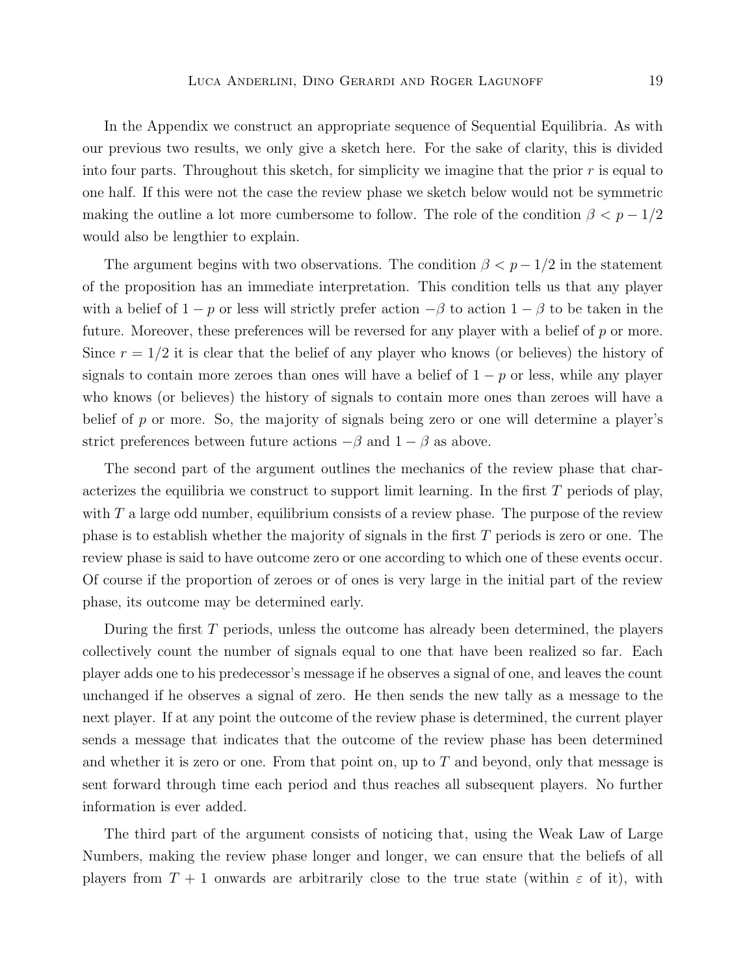In the Appendix we construct an appropriate sequence of Sequential Equilibria. As with our previous two results, we only give a sketch here. For the sake of clarity, this is divided into four parts. Throughout this sketch, for simplicity we imagine that the prior  $r$  is equal to one half. If this were not the case the review phase we sketch below would not be symmetric making the outline a lot more cumbersome to follow. The role of the condition  $\beta < p - 1/2$ would also be lengthier to explain.

The argument begins with two observations. The condition  $\beta < p - 1/2$  in the statement of the proposition has an immediate interpretation. This condition tells us that any player with a belief of  $1 - p$  or less will strictly prefer action  $-\beta$  to action  $1 - \beta$  to be taken in the future. Moreover, these preferences will be reversed for any player with a belief of  $p$  or more. Since  $r = 1/2$  it is clear that the belief of any player who knows (or believes) the history of signals to contain more zeroes than ones will have a belief of  $1 - p$  or less, while any player who knows (or believes) the history of signals to contain more ones than zeroes will have a belief of p or more. So, the majority of signals being zero or one will determine a player's strict preferences between future actions  $-\beta$  and  $1-\beta$  as above.

The second part of the argument outlines the mechanics of the review phase that characterizes the equilibria we construct to support limit learning. In the first T periods of play, with  $T$  a large odd number, equilibrium consists of a review phase. The purpose of the review phase is to establish whether the majority of signals in the first T periods is zero or one. The review phase is said to have outcome zero or one according to which one of these events occur. Of course if the proportion of zeroes or of ones is very large in the initial part of the review phase, its outcome may be determined early.

During the first T periods, unless the outcome has already been determined, the players collectively count the number of signals equal to one that have been realized so far. Each player adds one to his predecessor's message if he observes a signal of one, and leaves the count unchanged if he observes a signal of zero. He then sends the new tally as a message to the next player. If at any point the outcome of the review phase is determined, the current player sends a message that indicates that the outcome of the review phase has been determined and whether it is zero or one. From that point on, up to  $T$  and beyond, only that message is sent forward through time each period and thus reaches all subsequent players. No further information is ever added.

The third part of the argument consists of noticing that, using the Weak Law of Large Numbers, making the review phase longer and longer, we can ensure that the beliefs of all players from  $T + 1$  onwards are arbitrarily close to the true state (within  $\varepsilon$  of it), with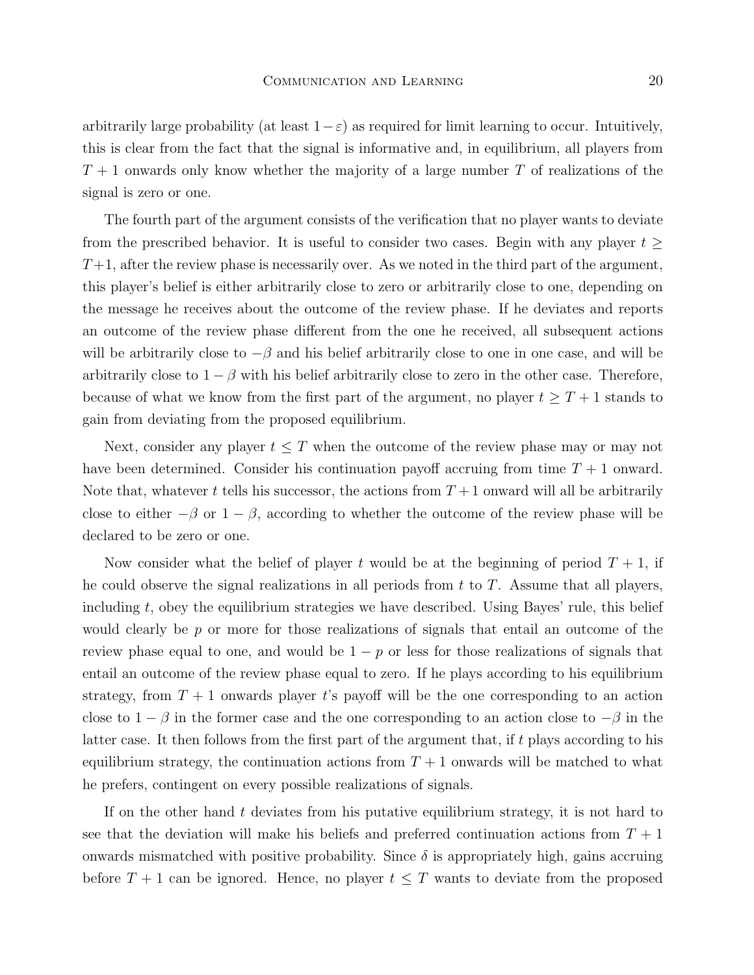arbitrarily large probability (at least  $1-\varepsilon$ ) as required for limit learning to occur. Intuitively, this is clear from the fact that the signal is informative and, in equilibrium, all players from  $T+1$  onwards only know whether the majority of a large number T of realizations of the signal is zero or one.

The fourth part of the argument consists of the verification that no player wants to deviate from the prescribed behavior. It is useful to consider two cases. Begin with any player  $t \geq$  $T+1$ , after the review phase is necessarily over. As we noted in the third part of the argument, this player's belief is either arbitrarily close to zero or arbitrarily close to one, depending on the message he receives about the outcome of the review phase. If he deviates and reports an outcome of the review phase different from the one he received, all subsequent actions will be arbitrarily close to  $-\beta$  and his belief arbitrarily close to one in one case, and will be arbitrarily close to  $1 - \beta$  with his belief arbitrarily close to zero in the other case. Therefore, because of what we know from the first part of the argument, no player  $t \geq T + 1$  stands to gain from deviating from the proposed equilibrium.

Next, consider any player  $t \leq T$  when the outcome of the review phase may or may not have been determined. Consider his continuation payoff accruing from time  $T + 1$  onward. Note that, whatever t tells his successor, the actions from  $T+1$  onward will all be arbitrarily close to either  $-\beta$  or  $1-\beta$ , according to whether the outcome of the review phase will be declared to be zero or one.

Now consider what the belief of player t would be at the beginning of period  $T + 1$ , if he could observe the signal realizations in all periods from  $t$  to  $T$ . Assume that all players, including  $t$ , obey the equilibrium strategies we have described. Using Bayes' rule, this belief would clearly be  $p$  or more for those realizations of signals that entail an outcome of the review phase equal to one, and would be  $1 - p$  or less for those realizations of signals that entail an outcome of the review phase equal to zero. If he plays according to his equilibrium strategy, from  $T + 1$  onwards player t's payoff will be the one corresponding to an action close to  $1 - \beta$  in the former case and the one corresponding to an action close to  $-\beta$  in the latter case. It then follows from the first part of the argument that, if t plays according to his equilibrium strategy, the continuation actions from  $T + 1$  onwards will be matched to what he prefers, contingent on every possible realizations of signals.

If on the other hand  $t$  deviates from his putative equilibrium strategy, it is not hard to see that the deviation will make his beliefs and preferred continuation actions from  $T + 1$ onwards mismatched with positive probability. Since  $\delta$  is appropriately high, gains accruing before  $T + 1$  can be ignored. Hence, no player  $t \leq T$  wants to deviate from the proposed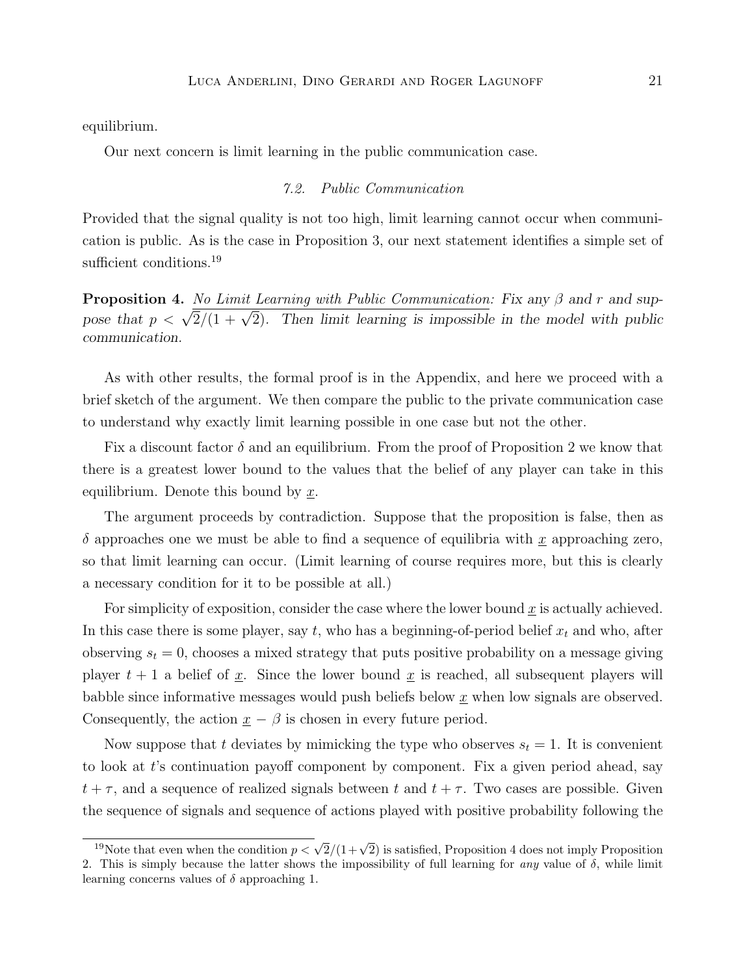equilibrium.

Our next concern is limit learning in the public communication case.

## 7.2. Public Communication

Provided that the signal quality is not too high, limit learning cannot occur when communication is public. As is the case in Proposition 3, our next statement identifies a simple set of sufficient conditions.<sup>19</sup>

**Proposition 4.** No Limit Learning with Public Communication: Fix any  $\beta$  and r and suppose that  $p < \sqrt{2}/(1+\sqrt{2})$ . Then limit learning is impossible in the model with public communication.

As with other results, the formal proof is in the Appendix, and here we proceed with a brief sketch of the argument. We then compare the public to the private communication case to understand why exactly limit learning possible in one case but not the other.

Fix a discount factor  $\delta$  and an equilibrium. From the proof of Proposition 2 we know that there is a greatest lower bound to the values that the belief of any player can take in this equilibrium. Denote this bound by  $x$ .

The argument proceeds by contradiction. Suppose that the proposition is false, then as  $\delta$  approaches one we must be able to find a sequence of equilibria with x approaching zero, so that limit learning can occur. (Limit learning of course requires more, but this is clearly a necessary condition for it to be possible at all.)

For simplicity of exposition, consider the case where the lower bound  $\underline{x}$  is actually achieved. In this case there is some player, say t, who has a beginning-of-period belief  $x_t$  and who, after observing  $s_t = 0$ , chooses a mixed strategy that puts positive probability on a message giving player  $t + 1$  a belief of <u>x</u>. Since the lower bound <u>x</u> is reached, all subsequent players will babble since informative messages would push beliefs below  $x$  when low signals are observed. Consequently, the action  $\underline{x} - \beta$  is chosen in every future period.

Now suppose that t deviates by mimicking the type who observes  $s_t = 1$ . It is convenient to look at  $t$ 's continuation payoff component by component. Fix a given period ahead, say  $t + \tau$ , and a sequence of realized signals between t and  $t + \tau$ . Two cases are possible. Given the sequence of signals and sequence of actions played with positive probability following the

<sup>&</sup>lt;sup>19</sup>Note that even when the condition  $p < \sqrt{2}/(1+\sqrt{2})$  is satisfied, Proposition 4 does not imply Proposition 2. This is simply because the latter shows the impossibility of full learning for any value of  $\delta$ , while limit learning concerns values of  $\delta$  approaching 1.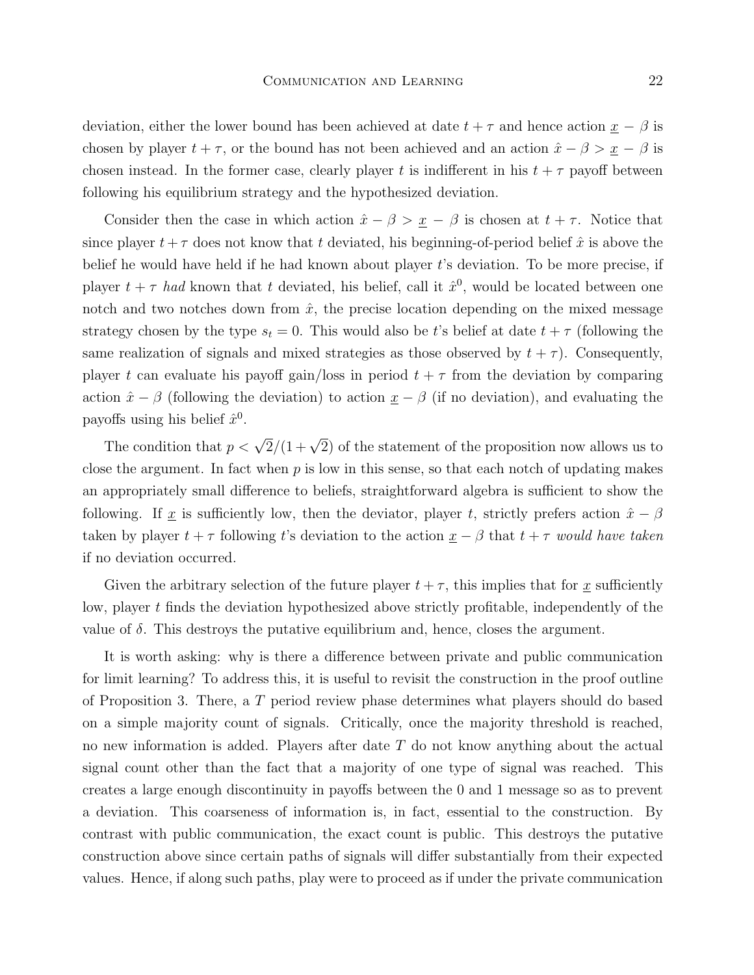deviation, either the lower bound has been achieved at date  $t + \tau$  and hence action  $\underline{x} - \beta$  is chosen by player  $t + \tau$ , or the bound has not been achieved and an action  $\hat{x} - \beta > \underline{x} - \beta$  is chosen instead. In the former case, clearly player t is indifferent in his  $t + \tau$  payoff between following his equilibrium strategy and the hypothesized deviation.

Consider then the case in which action  $\hat{x} - \beta > \underline{x} - \beta$  is chosen at  $t + \tau$ . Notice that since player  $t + \tau$  does not know that t deviated, his beginning-of-period belief  $\hat{x}$  is above the belief he would have held if he had known about player t's deviation. To be more precise, if player  $t + \tau$  had known that t deviated, his belief, call it  $\hat{x}^0$ , would be located between one notch and two notches down from  $\hat{x}$ , the precise location depending on the mixed message strategy chosen by the type  $s_t = 0$ . This would also be t's belief at date  $t + \tau$  (following the same realization of signals and mixed strategies as those observed by  $t + \tau$ ). Consequently, player t can evaluate his payoff gain/loss in period  $t + \tau$  from the deviation by comparing action  $\hat{x} - \beta$  (following the deviation) to action  $\underline{x} - \beta$  (if no deviation), and evaluating the payoffs using his belief  $\hat{x}^0$ .

The condition that  $p < \sqrt{2}/(1+\sqrt{2})$  of the statement of the proposition now allows us to close the argument. In fact when  $p$  is low in this sense, so that each notch of updating makes an appropriately small difference to beliefs, straightforward algebra is sufficient to show the following. If <u>x</u> is sufficiently low, then the deviator, player t, strictly prefers action  $\hat{x} - \beta$ taken by player  $t + \tau$  following t's deviation to the action  $\underline{x} - \beta$  that  $t + \tau$  would have taken if no deviation occurred.

Given the arbitrary selection of the future player  $t + \tau$ , this implies that for <u>x</u> sufficiently low, player t finds the deviation hypothesized above strictly profitable, independently of the value of  $\delta$ . This destroys the putative equilibrium and, hence, closes the argument.

It is worth asking: why is there a difference between private and public communication for limit learning? To address this, it is useful to revisit the construction in the proof outline of Proposition 3. There, a T period review phase determines what players should do based on a simple majority count of signals. Critically, once the majority threshold is reached, no new information is added. Players after date  $T$  do not know anything about the actual signal count other than the fact that a majority of one type of signal was reached. This creates a large enough discontinuity in payoffs between the 0 and 1 message so as to prevent a deviation. This coarseness of information is, in fact, essential to the construction. By contrast with public communication, the exact count is public. This destroys the putative construction above since certain paths of signals will differ substantially from their expected values. Hence, if along such paths, play were to proceed as if under the private communication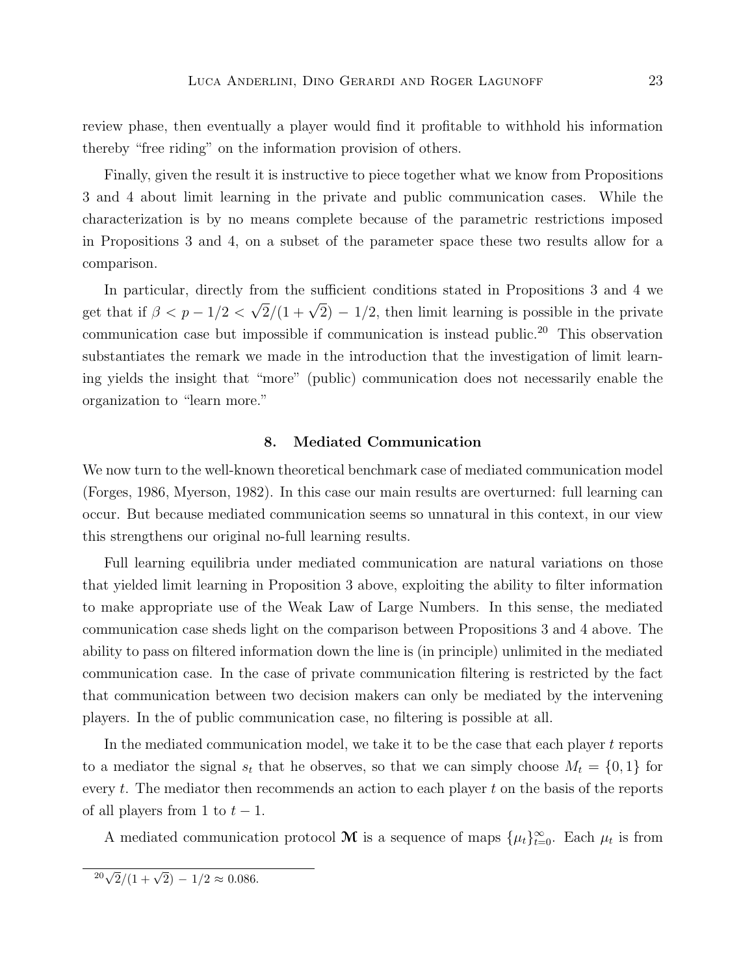review phase, then eventually a player would find it profitable to withhold his information thereby "free riding" on the information provision of others.

Finally, given the result it is instructive to piece together what we know from Propositions 3 and 4 about limit learning in the private and public communication cases. While the characterization is by no means complete because of the parametric restrictions imposed in Propositions 3 and 4, on a subset of the parameter space these two results allow for a comparison.

In particular, directly from the sufficient conditions stated in Propositions 3 and 4 we get that if  $\beta < p - 1/2 <$  $\sqrt{2}/(1+\sqrt{2}) - 1/2$ , then limit learning is possible in the private communication case but impossible if communication is instead public.<sup>20</sup> This observation substantiates the remark we made in the introduction that the investigation of limit learning yields the insight that "more" (public) communication does not necessarily enable the organization to "learn more."

#### 8. Mediated Communication

We now turn to the well-known theoretical benchmark case of mediated communication model (Forges, 1986, Myerson, 1982). In this case our main results are overturned: full learning can occur. But because mediated communication seems so unnatural in this context, in our view this strengthens our original no-full learning results.

Full learning equilibria under mediated communication are natural variations on those that yielded limit learning in Proposition 3 above, exploiting the ability to filter information to make appropriate use of the Weak Law of Large Numbers. In this sense, the mediated communication case sheds light on the comparison between Propositions 3 and 4 above. The ability to pass on filtered information down the line is (in principle) unlimited in the mediated communication case. In the case of private communication filtering is restricted by the fact that communication between two decision makers can only be mediated by the intervening players. In the of public communication case, no filtering is possible at all.

In the mediated communication model, we take it to be the case that each player  $t$  reports to a mediator the signal  $s_t$  that he observes, so that we can simply choose  $M_t = \{0, 1\}$  for every  $t$ . The mediator then recommends an action to each player  $t$  on the basis of the reports of all players from 1 to  $t-1$ .

A mediated communication protocol  $\mathbf{\mathcal{M}}$  is a sequence of maps  $\{\mu_t\}_{t=0}^{\infty}$ . Each  $\mu_t$  is from

 $\sqrt{2}/(1+\sqrt{2}) - 1/2 \approx 0.086$ .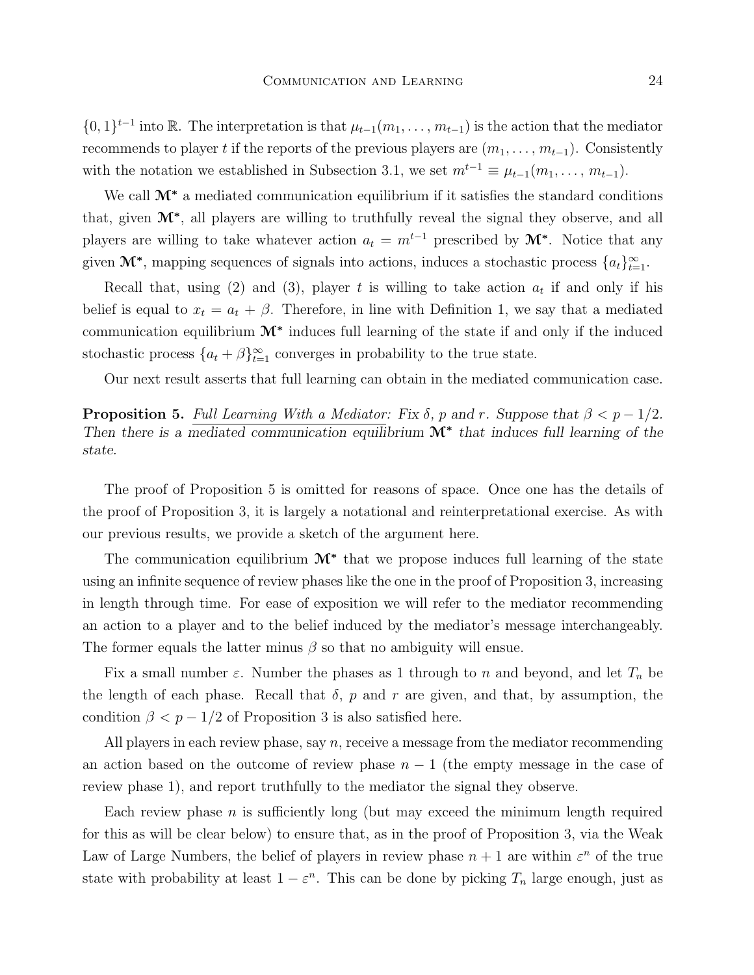$\{0,1\}^{t-1}$  into R. The interpretation is that  $\mu_{t-1}(m_1,\ldots,m_{t-1})$  is the action that the mediator recommends to player t if the reports of the previous players are  $(m_1, \ldots, m_{t-1})$ . Consistently with the notation we established in Subsection 3.1, we set  $m^{t-1} \equiv \mu_{t-1}(m_1, \ldots, m_{t-1}).$ 

We call M<sup>∗</sup> a mediated communication equilibrium if it satisfies the standard conditions that, given  $\mathcal{M}^*$ , all players are willing to truthfully reveal the signal they observe, and all players are willing to take whatever action  $a_t = m^{t-1}$  prescribed by  $\mathcal{M}^*$ . Notice that any given  $\mathbf{M}^*$ , mapping sequences of signals into actions, induces a stochastic process  $\{a_t\}_{t=1}^{\infty}$ .

Recall that, using (2) and (3), player t is willing to take action  $a_t$  if and only if his belief is equal to  $x_t = a_t + \beta$ . Therefore, in line with Definition 1, we say that a mediated communication equilibrium  $\mathcal{M}^*$  induces full learning of the state if and only if the induced stochastic process  $\{a_t + \beta\}_{t=1}^{\infty}$  converges in probability to the true state.

Our next result asserts that full learning can obtain in the mediated communication case.

**Proposition 5.** Full Learning With a Mediator: Fix  $\delta$ , p and r. Suppose that  $\beta < p - 1/2$ . Then there is a mediated communication equilibrium  $\mathbf{M}^*$  that induces full learning of the state.

The proof of Proposition 5 is omitted for reasons of space. Once one has the details of the proof of Proposition 3, it is largely a notational and reinterpretational exercise. As with our previous results, we provide a sketch of the argument here.

The communication equilibrium  $\mathcal{M}^*$  that we propose induces full learning of the state using an infinite sequence of review phases like the one in the proof of Proposition 3, increasing in length through time. For ease of exposition we will refer to the mediator recommending an action to a player and to the belief induced by the mediator's message interchangeably. The former equals the latter minus  $\beta$  so that no ambiguity will ensue.

Fix a small number  $\varepsilon$ . Number the phases as 1 through to n and beyond, and let  $T_n$  be the length of each phase. Recall that  $\delta$ , p and r are given, and that, by assumption, the condition  $\beta < p - 1/2$  of Proposition 3 is also satisfied here.

All players in each review phase, say  $n$ , receive a message from the mediator recommending an action based on the outcome of review phase  $n-1$  (the empty message in the case of review phase 1), and report truthfully to the mediator the signal they observe.

Each review phase  $n$  is sufficiently long (but may exceed the minimum length required for this as will be clear below) to ensure that, as in the proof of Proposition 3, via the Weak Law of Large Numbers, the belief of players in review phase  $n + 1$  are within  $\varepsilon^n$  of the true state with probability at least  $1 - \varepsilon^n$ . This can be done by picking  $T_n$  large enough, just as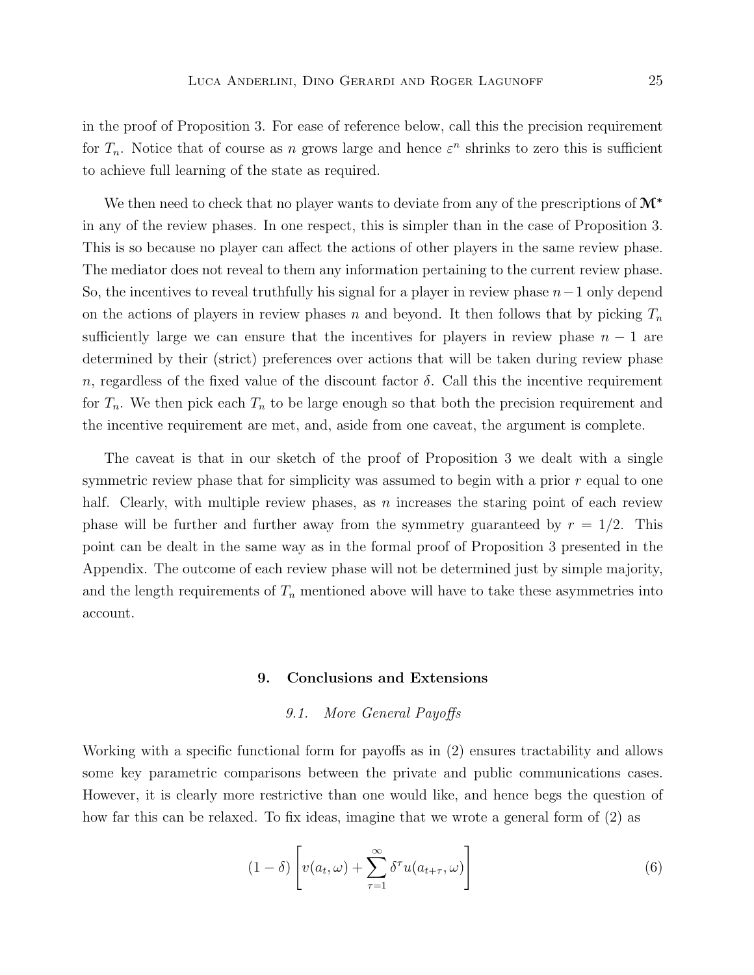in the proof of Proposition 3. For ease of reference below, call this the precision requirement for  $T_n$ . Notice that of course as n grows large and hence  $\varepsilon^n$  shrinks to zero this is sufficient to achieve full learning of the state as required.

We then need to check that no player wants to deviate from any of the prescriptions of  $\mathcal{M}^*$ in any of the review phases. In one respect, this is simpler than in the case of Proposition 3. This is so because no player can affect the actions of other players in the same review phase. The mediator does not reveal to them any information pertaining to the current review phase. So, the incentives to reveal truthfully his signal for a player in review phase  $n-1$  only depend on the actions of players in review phases n and beyond. It then follows that by picking  $T_n$ sufficiently large we can ensure that the incentives for players in review phase  $n - 1$  are determined by their (strict) preferences over actions that will be taken during review phase n, regardless of the fixed value of the discount factor  $\delta$ . Call this the incentive requirement for  $T_n$ . We then pick each  $T_n$  to be large enough so that both the precision requirement and the incentive requirement are met, and, aside from one caveat, the argument is complete.

The caveat is that in our sketch of the proof of Proposition 3 we dealt with a single symmetric review phase that for simplicity was assumed to begin with a prior  $r$  equal to one half. Clearly, with multiple review phases, as n increases the staring point of each review phase will be further and further away from the symmetry guaranteed by  $r = 1/2$ . This point can be dealt in the same way as in the formal proof of Proposition 3 presented in the Appendix. The outcome of each review phase will not be determined just by simple majority, and the length requirements of  $T_n$  mentioned above will have to take these asymmetries into account.

### 9. Conclusions and Extensions

## 9.1. More General Payoffs

Working with a specific functional form for payoffs as in (2) ensures tractability and allows some key parametric comparisons between the private and public communications cases. However, it is clearly more restrictive than one would like, and hence begs the question of how far this can be relaxed. To fix ideas, imagine that we wrote a general form of (2) as

$$
(1 - \delta) \left[ v(a_t, \omega) + \sum_{\tau=1}^{\infty} \delta^{\tau} u(a_{t+\tau}, \omega) \right]
$$
 (6)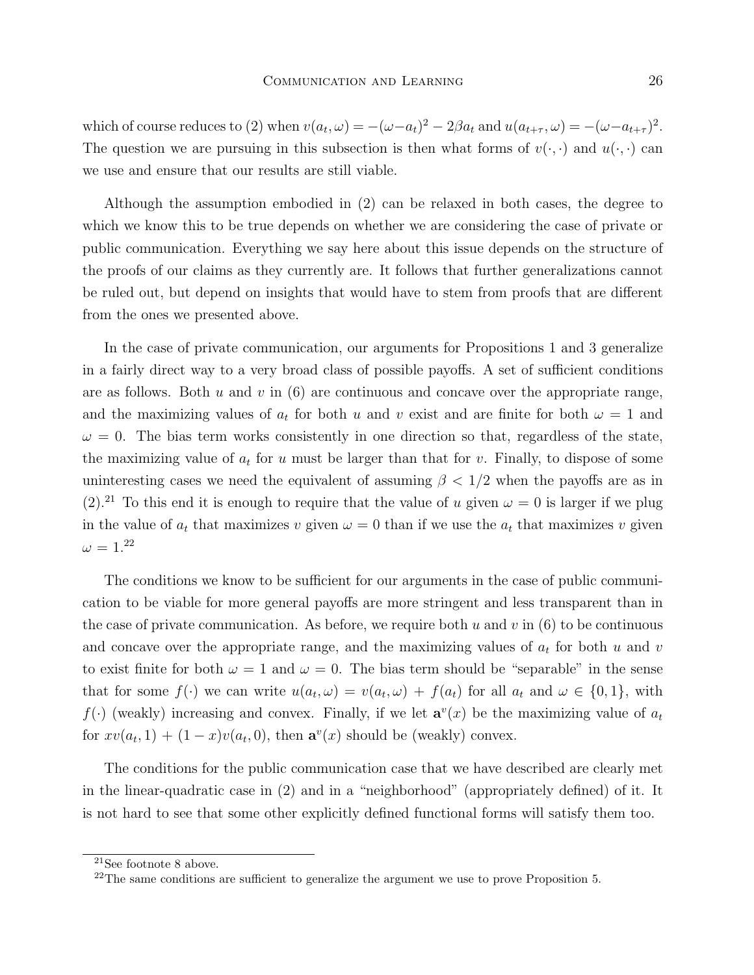which of course reduces to (2) when  $v(a_t, \omega) = -(\omega - a_t)^2 - 2\beta a_t$  and  $u(a_{t+\tau}, \omega) = -(\omega - a_{t+\tau})^2$ . The question we are pursuing in this subsection is then what forms of  $v(\cdot, \cdot)$  and  $u(\cdot, \cdot)$  can we use and ensure that our results are still viable.

Although the assumption embodied in (2) can be relaxed in both cases, the degree to which we know this to be true depends on whether we are considering the case of private or public communication. Everything we say here about this issue depends on the structure of the proofs of our claims as they currently are. It follows that further generalizations cannot be ruled out, but depend on insights that would have to stem from proofs that are different from the ones we presented above.

In the case of private communication, our arguments for Propositions 1 and 3 generalize in a fairly direct way to a very broad class of possible payoffs. A set of sufficient conditions are as follows. Both u and v in  $(6)$  are continuous and concave over the appropriate range, and the maximizing values of  $a_t$  for both u and v exist and are finite for both  $\omega = 1$  and  $\omega = 0$ . The bias term works consistently in one direction so that, regardless of the state, the maximizing value of  $a_t$  for u must be larger than that for v. Finally, to dispose of some uninteresting cases we need the equivalent of assuming  $\beta < 1/2$  when the payoffs are as in (2).<sup>21</sup> To this end it is enough to require that the value of u given  $\omega = 0$  is larger if we plug in the value of  $a_t$  that maximizes v given  $\omega = 0$  than if we use the  $a_t$  that maximizes v given  $\omega = 1.^{22}$ 

The conditions we know to be sufficient for our arguments in the case of public communication to be viable for more general payoffs are more stringent and less transparent than in the case of private communication. As before, we require both u and v in  $(6)$  to be continuous and concave over the appropriate range, and the maximizing values of  $a_t$  for both u and v to exist finite for both  $\omega = 1$  and  $\omega = 0$ . The bias term should be "separable" in the sense that for some  $f(\cdot)$  we can write  $u(a_t, \omega) = v(a_t, \omega) + f(a_t)$  for all  $a_t$  and  $\omega \in \{0, 1\}$ , with  $f(\cdot)$  (weakly) increasing and convex. Finally, if we let  $\mathbf{a}^v(x)$  be the maximizing value of  $a_t$ for  $xv(a_t,1) + (1-x)v(a_t,0)$ , then  $\mathbf{a}^v(x)$  should be (weakly) convex.

The conditions for the public communication case that we have described are clearly met in the linear-quadratic case in (2) and in a "neighborhood" (appropriately defined) of it. It is not hard to see that some other explicitly defined functional forms will satisfy them too.

<sup>21</sup>See footnote 8 above.

 $22$ The same conditions are sufficient to generalize the argument we use to prove Proposition 5.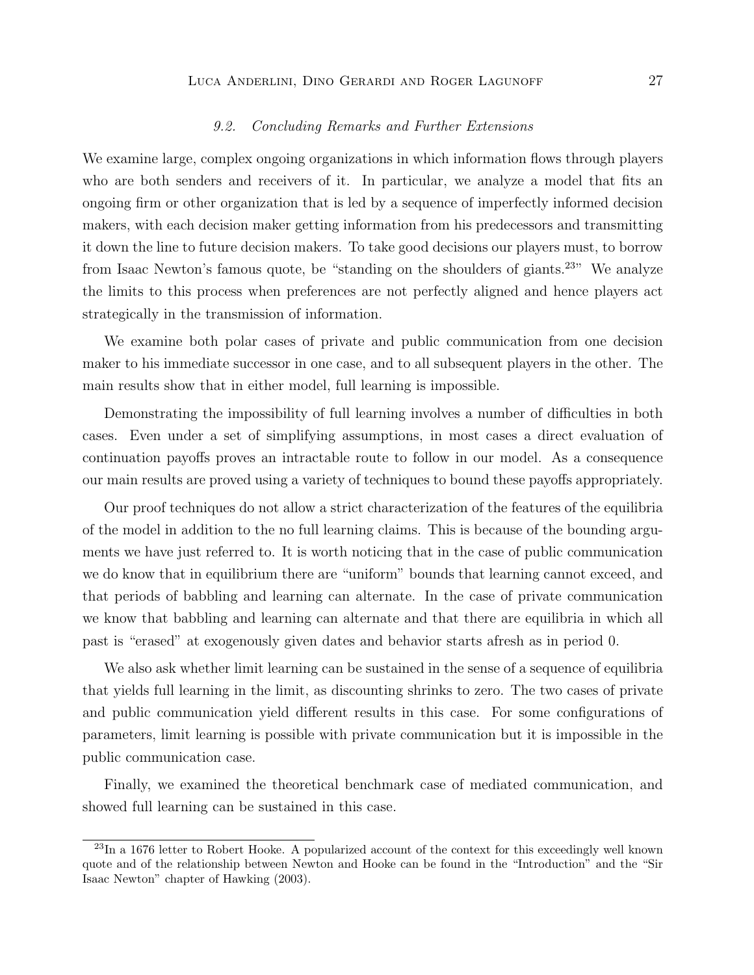### LUCA ANDERLINI, DINO GERARDI AND ROGER LAGUNOFF 27

## 9.2. Concluding Remarks and Further Extensions

We examine large, complex ongoing organizations in which information flows through players who are both senders and receivers of it. In particular, we analyze a model that fits an ongoing firm or other organization that is led by a sequence of imperfectly informed decision makers, with each decision maker getting information from his predecessors and transmitting it down the line to future decision makers. To take good decisions our players must, to borrow from Isaac Newton's famous quote, be "standing on the shoulders of giants.<sup>23</sup>" We analyze the limits to this process when preferences are not perfectly aligned and hence players act strategically in the transmission of information.

We examine both polar cases of private and public communication from one decision maker to his immediate successor in one case, and to all subsequent players in the other. The main results show that in either model, full learning is impossible.

Demonstrating the impossibility of full learning involves a number of difficulties in both cases. Even under a set of simplifying assumptions, in most cases a direct evaluation of continuation payoffs proves an intractable route to follow in our model. As a consequence our main results are proved using a variety of techniques to bound these payoffs appropriately.

Our proof techniques do not allow a strict characterization of the features of the equilibria of the model in addition to the no full learning claims. This is because of the bounding arguments we have just referred to. It is worth noticing that in the case of public communication we do know that in equilibrium there are "uniform" bounds that learning cannot exceed, and that periods of babbling and learning can alternate. In the case of private communication we know that babbling and learning can alternate and that there are equilibria in which all past is "erased" at exogenously given dates and behavior starts afresh as in period 0.

We also ask whether limit learning can be sustained in the sense of a sequence of equilibria that yields full learning in the limit, as discounting shrinks to zero. The two cases of private and public communication yield different results in this case. For some configurations of parameters, limit learning is possible with private communication but it is impossible in the public communication case.

Finally, we examined the theoretical benchmark case of mediated communication, and showed full learning can be sustained in this case.

<sup>&</sup>lt;sup>23</sup>In a 1676 letter to Robert Hooke. A popularized account of the context for this exceedingly well known quote and of the relationship between Newton and Hooke can be found in the "Introduction" and the "Sir Isaac Newton" chapter of Hawking (2003).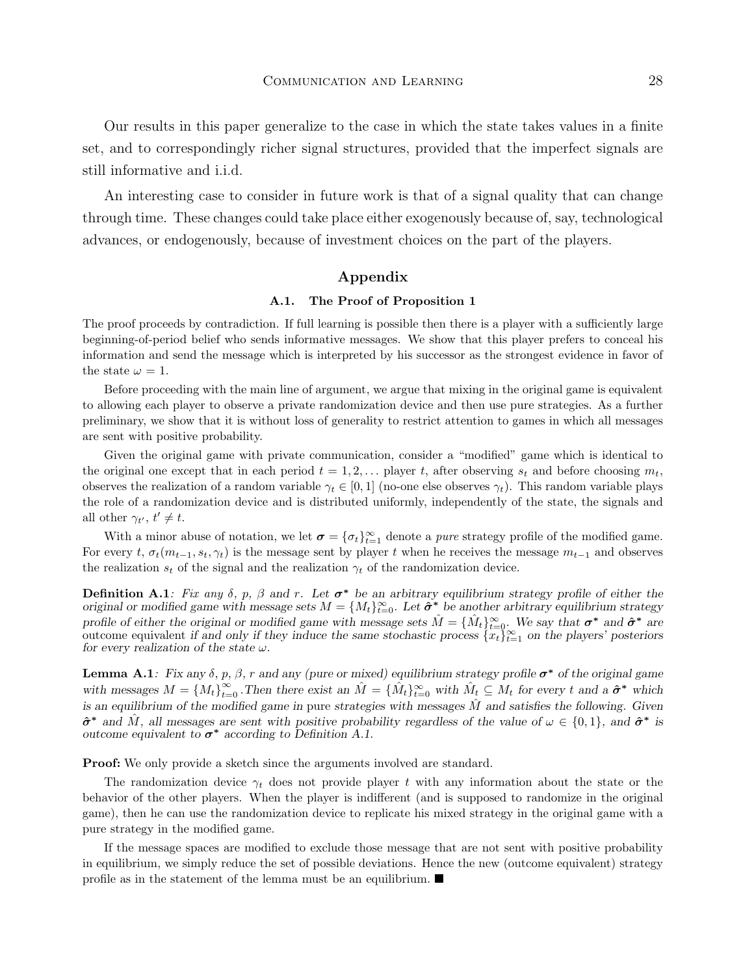Our results in this paper generalize to the case in which the state takes values in a finite set, and to correspondingly richer signal structures, provided that the imperfect signals are still informative and i.i.d.

An interesting case to consider in future work is that of a signal quality that can change through time. These changes could take place either exogenously because of, say, technological advances, or endogenously, because of investment choices on the part of the players.

## Appendix

#### A.1. The Proof of Proposition 1

The proof proceeds by contradiction. If full learning is possible then there is a player with a sufficiently large beginning-of-period belief who sends informative messages. We show that this player prefers to conceal his information and send the message which is interpreted by his successor as the strongest evidence in favor of the state  $\omega = 1$ .

Before proceeding with the main line of argument, we argue that mixing in the original game is equivalent to allowing each player to observe a private randomization device and then use pure strategies. As a further preliminary, we show that it is without loss of generality to restrict attention to games in which all messages are sent with positive probability.

Given the original game with private communication, consider a "modified" game which is identical to the original one except that in each period  $t = 1, 2, \ldots$  player t, after observing  $s_t$  and before choosing  $m_t$ . observes the realization of a random variable  $\gamma_t \in [0,1]$  (no-one else observes  $\gamma_t$ ). This random variable plays the role of a randomization device and is distributed uniformly, independently of the state, the signals and all other  $\gamma_{t'}, t' \neq t$ .

With a minor abuse of notation, we let  $\sigma = {\{\sigma_t\}}_{t=1}^{\infty}$  denote a *pure* strategy profile of the modified game. For every  $t, \sigma_t(m_{t-1}, s_t, \gamma_t)$  is the message sent by player t when he receives the message  $m_{t-1}$  and observes the realization  $s_t$  of the signal and the realization  $\gamma_t$  of the randomization device.

**Definition A.1**: Fix any  $\delta$ , p,  $\beta$  and r. Let  $\sigma^*$  be an arbitrary equilibrium strategy profile of either the original or modified game with message sets  $M = \{M_t\}_{t=0}^{\infty}$ . Let  $\hat{\sigma}^*$  be another arbitrary equilibrium strategy profile of either the original or modified game with message sets  $\hat{M} = \{\hat{M}_t\}_{t=0}^{\infty}$ . We say that  $\sigma^*$  and  $\hat{\sigma}^*$  are outcome equivalent if and only if they induce the same stochastic process  $\{x_t\}_{t=1}^{\infty}$  on the players' posteriors for every realization of the state  $\omega$ .

**Lemma A.1**: Fix any  $\delta$ , p,  $\beta$ , r and any (pure or mixed) equilibrium strategy profile  $\sigma^*$  of the original game with messages  $M = \{M_t\}_{t=0}^{\infty}$ . Then there exist an  $\hat{M} = \{\hat{M}_t\}_{t=0}^{\infty}$  with  $\hat{M}_t \subseteq M_t$  for every t and a  $\hat{\sigma}^*$  which is an equilibrium of the modified game in pure strategies with messages  $\hat{M}$  and satisfies the following. Given  $\hat{\sigma}^*$  and  $\hat{M}$ , all messages are sent with positive probability regardless of the value of  $\omega \in \{0,1\}$ , and  $\hat{\sigma}^*$  is outcome equivalent to  $\sigma^*$  according to Definition A.1.

Proof: We only provide a sketch since the arguments involved are standard.

The randomization device  $\gamma_t$  does not provide player t with any information about the state or the behavior of the other players. When the player is indifferent (and is supposed to randomize in the original game), then he can use the randomization device to replicate his mixed strategy in the original game with a pure strategy in the modified game.

If the message spaces are modified to exclude those message that are not sent with positive probability in equilibrium, we simply reduce the set of possible deviations. Hence the new (outcome equivalent) strategy profile as in the statement of the lemma must be an equilibrium.  $\blacksquare$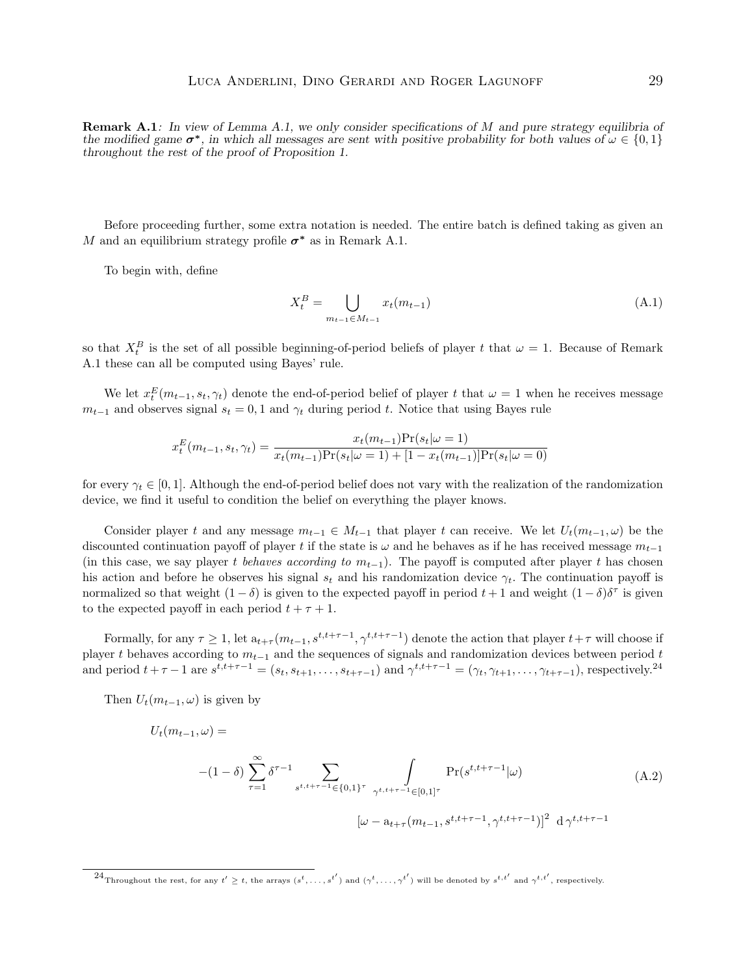**Remark A.1**: In view of Lemma A.1, we only consider specifications of M and pure strategy equilibria of the modified game  $\sigma^*$ , in which all messages are sent with positive probability for both values of  $\omega \in \{0,1\}$ throughout the rest of the proof of Proposition 1.

Before proceeding further, some extra notation is needed. The entire batch is defined taking as given an M and an equilibrium strategy profile  $\sigma^*$  as in Remark A.1.

To begin with, define

$$
X_t^B = \bigcup_{m_{t-1} \in M_{t-1}} x_t(m_{t-1})
$$
\n(A.1)

so that  $X_t^B$  is the set of all possible beginning-of-period beliefs of player t that  $\omega = 1$ . Because of Remark A.1 these can all be computed using Bayes' rule.

We let  $x_t^E(m_{t-1}, s_t, \gamma_t)$  denote the end-of-period belief of player t that  $\omega = 1$  when he receives message  $m_{t-1}$  and observes signal  $s_t = 0, 1$  and  $\gamma_t$  during period t. Notice that using Bayes rule

$$
x_t^E(m_{t-1}, s_t, \gamma_t) = \frac{x_t(m_{t-1}) \Pr(s_t | \omega = 1)}{x_t(m_{t-1}) \Pr(s_t | \omega = 1) + [1 - x_t(m_{t-1})] \Pr(s_t | \omega = 0)}
$$

for every  $\gamma_t \in [0,1]$ . Although the end-of-period belief does not vary with the realization of the randomization device, we find it useful to condition the belief on everything the player knows.

Consider player t and any message  $m_{t-1} \in M_{t-1}$  that player t can receive. We let  $U_t(m_{t-1}, \omega)$  be the discounted continuation payoff of player t if the state is  $\omega$  and he behaves as if he has received message  $m_{t-1}$ (in this case, we say player t behaves according to  $m_{t-1}$ ). The payoff is computed after player t has chosen his action and before he observes his signal  $s_t$  and his randomization device  $\gamma_t$ . The continuation payoff is normalized so that weight  $(1 - \delta)$  is given to the expected payoff in period  $t + 1$  and weight  $(1 - \delta)\delta^{\tau}$  is given to the expected payoff in each period  $t + \tau + 1$ .

Formally, for any  $\tau \geq 1$ , let  $a_{t+\tau}(m_{t-1}, s^{t,t+\tau-1}, \gamma^{t,t+\tau-1})$  denote the action that player  $t+\tau$  will choose if player t behaves according to  $m_{t-1}$  and the sequences of signals and randomization devices between period t and period  $t+\tau-1$  are  $s^{t,t+\tau-1} = (s_t, s_{t+1}, \ldots, s_{t+\tau-1})$  and  $\gamma^{t,t+\tau-1} = (\gamma_t, \gamma_{t+1}, \ldots, \gamma_{t+\tau-1})$ , respectively.<sup>24</sup>

Then  $U_t(m_{t-1}, \omega)$  is given by

 $U_t$ 

$$
(m_{t-1}, \omega) =
$$
  
\n
$$
-(1 - \delta) \sum_{\tau=1}^{\infty} \delta^{\tau-1} \sum_{s^{t,t+\tau-1} \in \{0,1\}^{\tau}} \int_{\gamma^{t,t+\tau-1} \in [0,1]^{\tau}} \Pr(s^{t,t+\tau-1}|\omega) \tag{A.2}
$$
  
\n
$$
[\omega - a_{t+\tau}(m_{t-1}, s^{t,t+\tau-1}, \gamma^{t,t+\tau-1})]^2 d\gamma^{t,t+\tau-1}
$$

<sup>&</sup>lt;sup>24</sup>Throughout the rest, for any  $t' \geq t$ , the arrays  $(s^t, \ldots, s^{t'})$  and  $(\gamma^t, \ldots, \gamma^{t'})$  will be denoted by  $s^{t,t'}$  and  $\gamma^{t,t'}$ , respectively.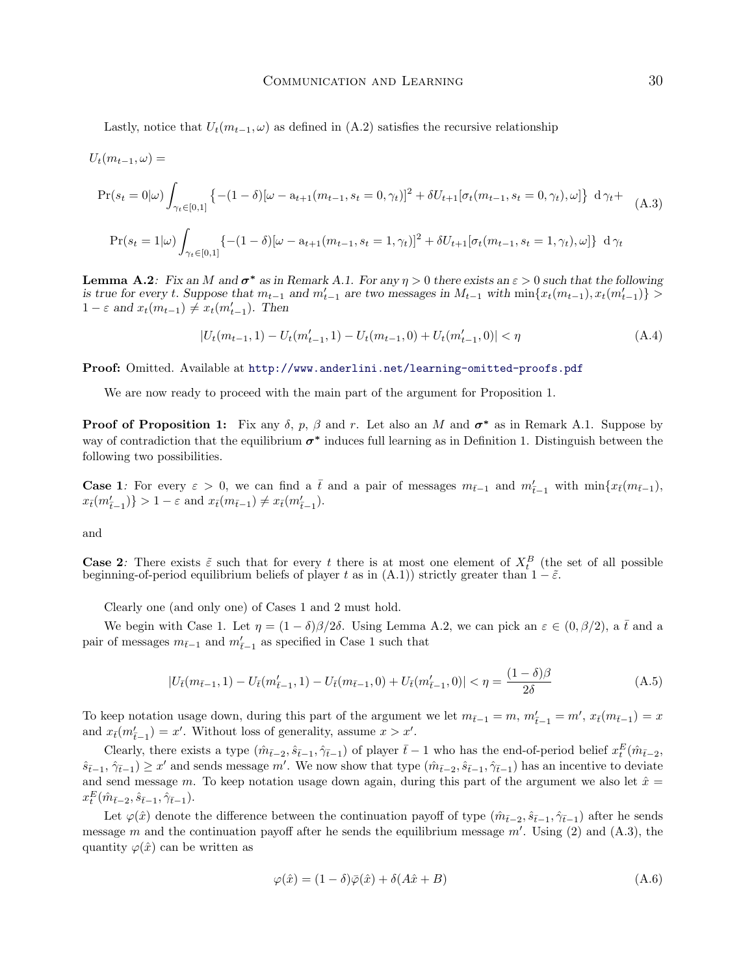Lastly, notice that  $U_t(m_{t-1}, \omega)$  as defined in (A.2) satisfies the recursive relationship

$$
U_t(m_{t-1}, \omega) =
$$
  
\n
$$
\Pr(s_t = 0 | \omega) \int_{\gamma_t \in [0,1]} \left\{ -(1 - \delta) [\omega - a_{t+1}(m_{t-1}, s_t = 0, \gamma_t)]^2 + \delta U_{t+1} [\sigma_t(m_{t-1}, s_t = 0, \gamma_t), \omega] \right\} d\gamma_t + (A.3)
$$

$$
\Pr(s_t = 1 | \omega) \int_{\gamma_t \in [0,1]} \{ -(1-\delta) [\omega - a_{t+1}(m_{t-1}, s_t = 1, \gamma_t)]^2 + \delta U_{t+1} [\sigma_t (m_{t-1}, s_t = 1, \gamma_t), \omega] \} d\, \gamma_t
$$

**Lemma A.2**: Fix an M and  $\sigma^*$  as in Remark A.1. For any  $\eta > 0$  there exists an  $\varepsilon > 0$  such that the following is true for every t. Suppose that  $m_{t-1}$  and  $m'_{t-1}$  are two messages in  $M_{t-1}$  with  $\min\{x_t(m_{t-1}), x_t(m'_{t-1})\} >$  $1 - \varepsilon$  and  $x_t(m_{t-1}) \neq x_t(m'_{t-1})$ . Then

$$
|U_t(m_{t-1}, 1) - U_t(m'_{t-1}, 1) - U_t(m_{t-1}, 0) + U_t(m'_{t-1}, 0)| < \eta
$$
\n(A.4)

Proof: Omitted. Available at <http://www.anderlini.net/learning-omitted-proofs.pdf>

We are now ready to proceed with the main part of the argument for Proposition 1.

**Proof of Proposition 1:** Fix any  $\delta$ ,  $p$ ,  $\beta$  and r. Let also an M and  $\sigma^*$  as in Remark A.1. Suppose by way of contradiction that the equilibrium  $\sigma^*$  induces full learning as in Definition 1. Distinguish between the following two possibilities.

**Case 1:** For every  $\varepsilon > 0$ , we can find a  $\bar{t}$  and a pair of messages  $m_{\bar{t}-1}$  and  $m'_{\bar{t}-1}$  with  $\min\{x_{\bar{t}}(m_{\bar{t}-1}),\}$  $x_{\bar{t}}(m'_{\bar{t}-1}) > 1 - \varepsilon$  and  $x_{\bar{t}}(m_{\bar{t}-1}) \neq x_{\bar{t}}(m'_{\bar{t}-1}).$ 

and

**Case 2:** There exists  $\tilde{\varepsilon}$  such that for every t there is at most one element of  $X_t^B$  (the set of all possible beginning-of-period equilibrium beliefs of player t as in  $(A.1)$ ) strictly greater than  $1 - \tilde{\varepsilon}$ .

Clearly one (and only one) of Cases 1 and 2 must hold.

We begin with Case 1. Let  $\eta = (1 - \delta)\beta/2\delta$ . Using Lemma A.2, we can pick an  $\varepsilon \in (0, \beta/2)$ , a  $\bar{t}$  and a pair of messages  $m_{\bar{t}-1}$  and  $m_{\bar{t}-1}'$  as specified in Case 1 such that

$$
|U_{\bar{t}}(m_{\bar{t}-1},1) - U_{\bar{t}}(m_{\bar{t}-1}',1) - U_{\bar{t}}(m_{\bar{t}-1},0) + U_{\bar{t}}(m_{\bar{t}-1}',0)| < \eta = \frac{(1-\delta)\beta}{2\delta}
$$
 (A.5)

To keep notation usage down, during this part of the argument we let  $m_{\bar{t}-1} = m$ ,  $m'_{\bar{t}-1} = m'$ ,  $x_{\bar{t}}(m_{\bar{t}-1}) = x$ and  $x_{\bar{t}}(m'_{\bar{t}-1}) = x'$ . Without loss of generality, assume  $x > x'$ .

Clearly, there exists a type  $(\hat{m}_{\bar{t}-2}, \hat{s}_{\bar{t}-1}, \hat{\gamma}_{\bar{t}-1})$  of player  $\bar{t}-1$  who has the end-of-period belief  $x_t^E(\hat{m}_{\bar{t}-2}, \hat{s}_{\bar{t}-1}, \hat{\gamma}_{\bar{t}-1})$  $\hat{s}_{\bar{t}-1}, \hat{\gamma}_{\bar{t}-1} \geq x'$  and sends message m'. We now show that type  $(\hat{m}_{\bar{t}-2}, \hat{s}_{\bar{t}-1}, \hat{\gamma}_{\bar{t}-1})$  has an incentive to deviate and send message m. To keep notation usage down again, during this part of the argument we also let  $\hat{x} =$  $x_t^E(\hat{m}_{\bar{t}-2}, \hat{s}_{\bar{t}-1}, \hat{\gamma}_{\bar{t}-1}).$ 

Let  $\varphi(\hat{x})$  denote the difference between the continuation payoff of type  $(\hat{m}_{\tilde{t}-2}, \hat{s}_{\tilde{t}-1}, \hat{\gamma}_{\tilde{t}-1})$  after he sends message m and the continuation payoff after he sends the equilibrium message  $m'$ . Using (2) and (A.3), the quantity  $\varphi(\hat{x})$  can be written as

$$
\varphi(\hat{x}) = (1 - \delta)\bar{\varphi}(\hat{x}) + \delta(A\hat{x} + B) \tag{A.6}
$$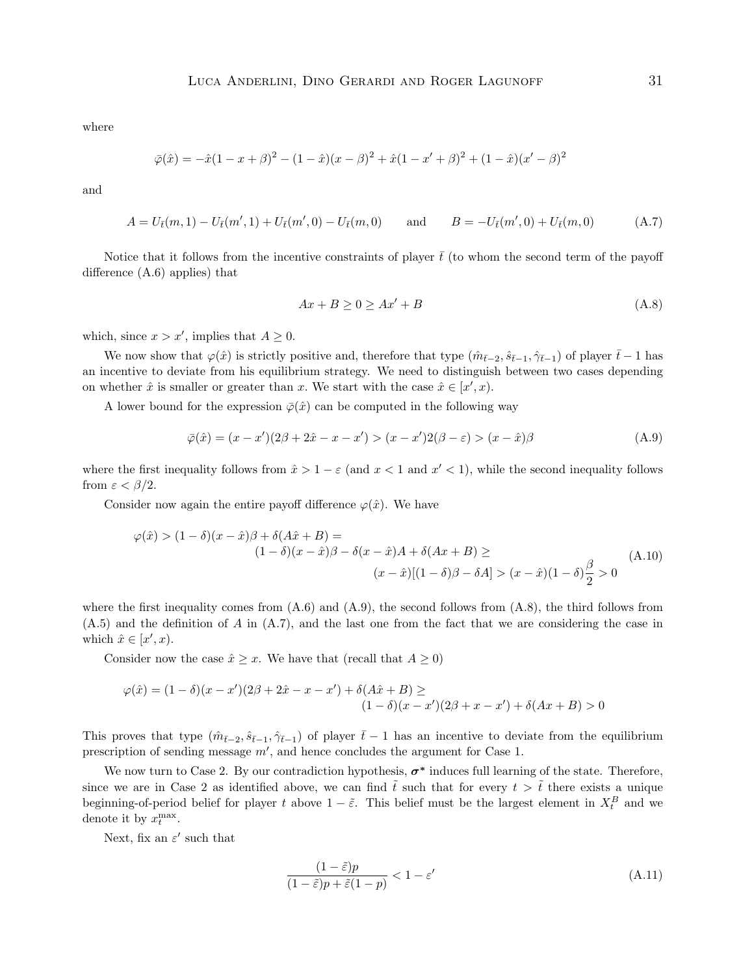where

$$
\bar{\varphi}(\hat{x}) = -\hat{x}(1 - x + \beta)^2 - (1 - \hat{x})(x - \beta)^2 + \hat{x}(1 - x' + \beta)^2 + (1 - \hat{x})(x' - \beta)^2
$$

and

$$
A = U_{\bar{t}}(m,1) - U_{\bar{t}}(m',1) + U_{\bar{t}}(m',0) - U_{\bar{t}}(m,0) \quad \text{and} \quad B = -U_{\bar{t}}(m',0) + U_{\bar{t}}(m,0) \tag{A.7}
$$

Notice that it follows from the incentive constraints of player  $\bar{t}$  (to whom the second term of the payoff difference (A.6) applies) that

$$
Ax + B \ge 0 \ge Ax' + B \tag{A.8}
$$

which, since  $x > x'$ , implies that  $A \geq 0$ .

We now show that  $\varphi(\hat{x})$  is strictly positive and, therefore that type  $(\hat{m}_{\bar{t}-2}, \hat{s}_{\bar{t}-1}, \hat{\gamma}_{\bar{t}-1})$  of player  $\bar{t}-1$  has an incentive to deviate from his equilibrium strategy. We need to distinguish between two cases depending on whether  $\hat{x}$  is smaller or greater than x. We start with the case  $\hat{x} \in [x', x)$ .

A lower bound for the expression  $\bar{\varphi}(\hat{x})$  can be computed in the following way

$$
\bar{\varphi}(\hat{x}) = (x - x')(2\beta + 2\hat{x} - x - x') > (x - x')2(\beta - \varepsilon) > (x - \hat{x})\beta
$$
\n(A.9)

where the first inequality follows from  $\hat{x} > 1 - \varepsilon$  (and  $x < 1$  and  $x' < 1$ ), while the second inequality follows from  $\varepsilon < \beta/2$ .

Consider now again the entire payoff difference  $\varphi(\hat{x})$ . We have

$$
\varphi(\hat{x}) > (1 - \delta)(x - \hat{x})\beta + \delta(A\hat{x} + B) = \\
(1 - \delta)(x - \hat{x})\beta - \delta(x - \hat{x})A + \delta(Ax + B) \ge \\
(x - \hat{x})[(1 - \delta)\beta - \delta A] > (x - \hat{x})(1 - \delta)\frac{\beta}{2} > 0\n \tag{A.10}
$$

where the first inequality comes from  $(A.6)$  and  $(A.9)$ , the second follows from  $(A.8)$ , the third follows from (A.5) and the definition of A in (A.7), and the last one from the fact that we are considering the case in which  $\hat{x} \in [x', x)$ .

Consider now the case  $\hat{x} \geq x$ . We have that (recall that  $A \geq 0$ )

$$
\varphi(\hat{x}) = (1 - \delta)(x - x')(2\beta + 2\hat{x} - x - x') + \delta(A\hat{x} + B) \ge
$$
  

$$
(1 - \delta)(x - x')(2\beta + x - x') + \delta(Ax + B) > 0
$$

This proves that type  $(\hat{m}_{\bar{t}-2}, \hat{s}_{\bar{t}-1}, \hat{\gamma}_{\bar{t}-1})$  of player  $\bar{t}-1$  has an incentive to deviate from the equilibrium prescription of sending message  $m'$ , and hence concludes the argument for Case 1.

We now turn to Case 2. By our contradiction hypothesis,  $\sigma^*$  induces full learning of the state. Therefore, since we are in Case 2 as identified above, we can find  $\tilde{t}$  such that for every  $t > \tilde{t}$  there exists a unique beginning-of-period belief for player t above  $1-\tilde{\varepsilon}$ . This belief must be the largest element in  $X_t^B$  and we denote it by  $x_t^{\max}$ .

Next, fix an  $\varepsilon'$  such that

$$
\frac{(1-\tilde{\varepsilon})p}{(1-\tilde{\varepsilon})p+\tilde{\varepsilon}(1-p)} < 1-\varepsilon' \tag{A.11}
$$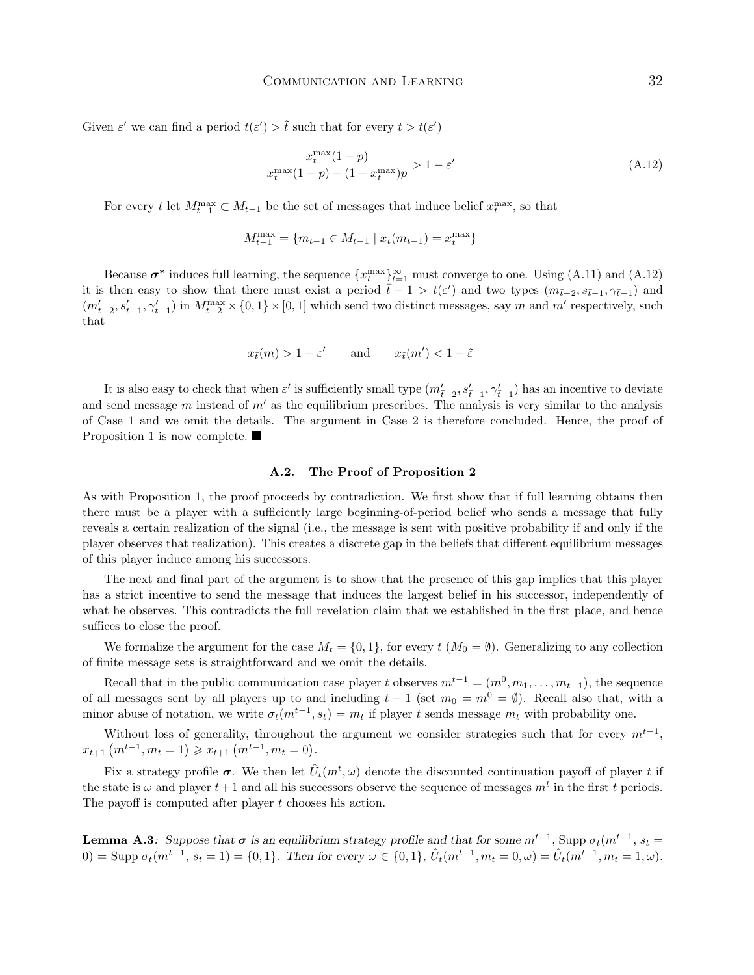Given  $\varepsilon'$  we can find a period  $t(\varepsilon') > \tilde{t}$  such that for every  $t > t(\varepsilon')$ 

$$
\frac{x_t^{\max}(1-p)}{x_t^{\max}(1-p) + (1-x_t^{\max})p} > 1 - \varepsilon'
$$
\n(A.12)

For every t let  $M_{t-1}^{\max} \subset M_{t-1}$  be the set of messages that induce belief  $x_t^{\max}$ , so that

$$
M_{t-1}^{\max} = \{ m_{t-1} \in M_{t-1} \mid x_t(m_{t-1}) = x_t^{\max} \}
$$

Because  $\sigma^*$  induces full learning, the sequence  $\{x_t^{\max}\}_{t=1}^{\infty}$  must converge to one. Using  $(A.11)$  and  $(A.12)$ it is then easy to show that there must exist a period  $\bar{t}$  − 1 >  $t(\varepsilon')$  and two types  $(m_{\bar{t}-2}, s_{\bar{t}-1}, \gamma_{\bar{t}-1})$  and  $(m'_{\bar{t}-2}, s'_{\bar{t}-1}, \gamma'_{\bar{t}-1})$  in  $M_{\bar{t}-2}^{\max} \times \{0,1\} \times [0,1]$  which send two distinct messages, say m and m' respectively, such that

$$
x_{\bar{t}}(m) > 1 - \varepsilon'
$$
 and  $x_{\bar{t}}(m') < 1 - \tilde{\varepsilon}$ 

It is also easy to check that when  $\varepsilon'$  is sufficiently small type  $(m'_{\bar{t}-2}, s'_{\bar{t}-1}, \gamma'_{\bar{t}-1})$  has an incentive to deviate and send message m instead of  $m'$  as the equilibrium prescribes. The analysis is very similar to the analysis of Case 1 and we omit the details. The argument in Case 2 is therefore concluded. Hence, the proof of Proposition 1 is now complete.

#### A.2. The Proof of Proposition 2

As with Proposition 1, the proof proceeds by contradiction. We first show that if full learning obtains then there must be a player with a sufficiently large beginning-of-period belief who sends a message that fully reveals a certain realization of the signal (i.e., the message is sent with positive probability if and only if the player observes that realization). This creates a discrete gap in the beliefs that different equilibrium messages of this player induce among his successors.

The next and final part of the argument is to show that the presence of this gap implies that this player has a strict incentive to send the message that induces the largest belief in his successor, independently of what he observes. This contradicts the full revelation claim that we established in the first place, and hence suffices to close the proof.

We formalize the argument for the case  $M_t = \{0, 1\}$ , for every  $t$   $(M_0 = \emptyset)$ . Generalizing to any collection of finite message sets is straightforward and we omit the details.

Recall that in the public communication case player t observes  $m^{t-1} = (m^0, m_1, \ldots, m_{t-1})$ , the sequence of all messages sent by all players up to and including  $t - 1$  (set  $m_0 = m^0 = \emptyset$ ). Recall also that, with a minor abuse of notation, we write  $\sigma_t(m^{t-1}, s_t) = m_t$  if player t sends message  $m_t$  with probability one.

Without loss of generality, throughout the argument we consider strategies such that for every  $m^{t-1}$ ,  $x_{t+1}(m^{t-1}, m_t = 1) \geq x_{t+1}(m^{t-1}, m_t = 0).$ 

Fix a strategy profile  $\sigma$ . We then let  $\hat{U}_t(m^t, \omega)$  denote the discounted continuation payoff of player t if the state is  $\omega$  and player  $t+1$  and all his successors observe the sequence of messages  $m^t$  in the first t periods. The payoff is computed after player t chooses his action.

**Lemma A.3**: Suppose that  $\sigma$  is an equilibrium strategy profile and that for some  $m^{t-1}$ , Supp  $\sigma_t(m^{t-1}, s_t =$  $(0) = \text{Supp }\sigma_t(m^{t-1}, s_t = 1) = \{0, 1\}.$  Then for every  $\omega \in \{0, 1\}, \hat{U}_t(m^{t-1}, m_t = 0, \omega) = \hat{U}_t(m^{t-1}, m_t = 1, \omega).$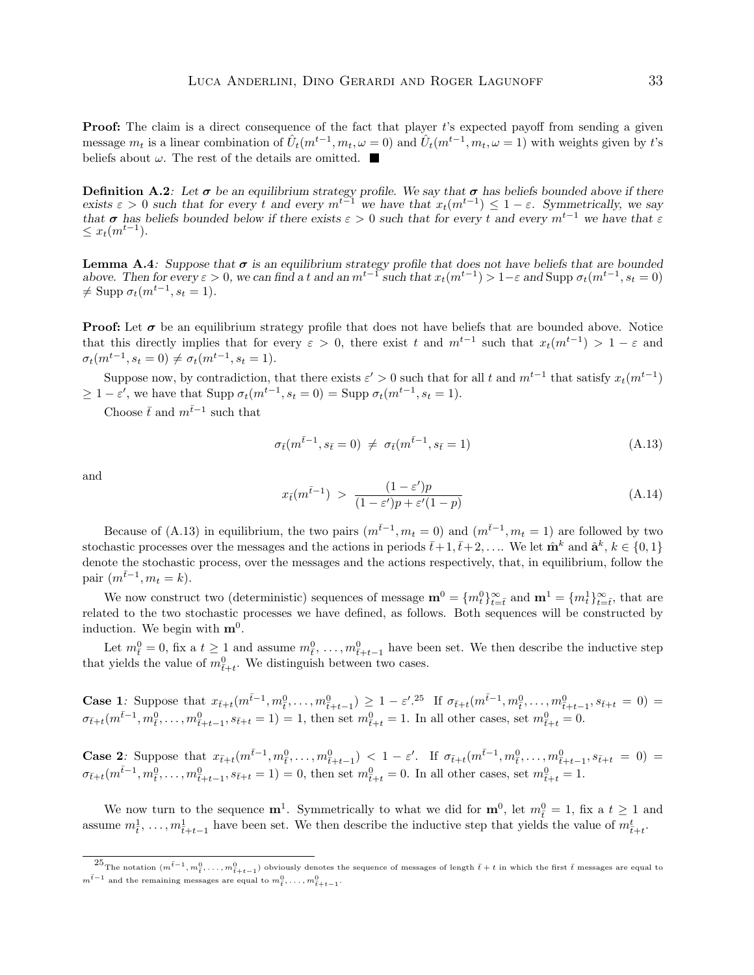**Proof:** The claim is a direct consequence of the fact that player t's expected payoff from sending a given message  $m_t$  is a linear combination of  $\hat{U}_t(m^{t-1}, m_t, \omega = 0)$  and  $\hat{U}_t(m^{t-1}, m_t, \omega = 1)$  with weights given by t's beliefs about  $\omega$ . The rest of the details are omitted.  $\blacksquare$ 

**Definition A.2**: Let  $\sigma$  be an equilibrium strategy profile. We say that  $\sigma$  has beliefs bounded above if there exists  $\varepsilon > 0$  such that for every t and every  $m^{t-1}$  we have that  $x_t(m^{t-1}) \leq 1 - \varepsilon$ . Symmetrically, we say that  $\sigma$  has beliefs bounded below if there exists  $\varepsilon > 0$  such that for every t and every  $m^{t-1}$  we have that  $\varepsilon$  $\leq x_t(m^{t-1}).$ 

**Lemma A.4**: Suppose that  $\sigma$  is an equilibrium strategy profile that does not have beliefs that are bounded above. Then for every  $\varepsilon > 0$ , we can find a t and an  $m^{t-1}$  such that  $x_t(m^{t-1}) > 1-\varepsilon$  and Supp  $\sigma_t(m^{t-1}, s_t = 0)$  $\neq$  Supp  $\sigma_t(m^{t-1}, s_t = 1)$ .

**Proof:** Let  $\sigma$  be an equilibrium strategy profile that does not have beliefs that are bounded above. Notice that this directly implies that for every  $\varepsilon > 0$ , there exist t and  $m^{t-1}$  such that  $x_t(m^{t-1}) > 1 - \varepsilon$  and  $\sigma_t(m^{t-1}, s_t = 0) \neq \sigma_t(m^{t-1}, s_t = 1).$ 

Suppose now, by contradiction, that there exists  $\varepsilon' > 0$  such that for all t and  $m^{t-1}$  that satisfy  $x_t(m^{t-1})$  $\geq 1-\varepsilon'$ , we have that Supp  $\sigma_t(m^{t-1}, s_t = 0) =$  Supp  $\sigma_t(m^{t-1}, s_t = 1)$ .

Choose  $\bar{t}$  and  $m^{\bar{t}-1}$  such that

$$
\sigma_{\bar{t}}(m^{\bar{t}-1}, s_{\bar{t}} = 0) \neq \sigma_{\bar{t}}(m^{\bar{t}-1}, s_{\bar{t}} = 1)
$$
\n(A.13)

and

$$
x_{\bar{t}}(m^{\bar{t}-1}) > \frac{(1-\varepsilon')p}{(1-\varepsilon')p + \varepsilon'(1-p)}
$$
(A.14)

Because of (A.13) in equilibrium, the two pairs  $(m^{\bar{t}-1}, m_t = 0)$  and  $(m^{\bar{t}-1}, m_t = 1)$  are followed by two stochastic processes over the messages and the actions in periods  $\bar{t}+1,\bar{t}+2,\ldots$  We let  $\hat{\mathbf{m}}^k$  and  $\hat{\mathbf{a}}^k, k \in \{0,1\}$ denote the stochastic process, over the messages and the actions respectively, that, in equilibrium, follow the pair  $(m^{\bar{t}-1}, m_t = k)$ .

We now construct two (deterministic) sequences of message  $\mathbf{m}^0 = \{m_t^0\}_{t=\bar{t}}^{\infty}$  and  $\mathbf{m}^1 = \{m_t^1\}_{t=\bar{t}}^{\infty}$ , that are related to the two stochastic processes we have defined, as follows. Both sequences will be constructed by induction. We begin with  $m^0$ .

Let  $m_{\tilde{t}}^0 = 0$ , fix a  $t \ge 1$  and assume  $m_{\tilde{t}}^0, \ldots, m_{\tilde{t}+t-1}^0$  have been set. We then describe the inductive step that yields the value of  $m^0_{\bar{t}+t}$ . We distinguish between two cases.

**Case 1**: Suppose that  $x_{\bar{t}+t}(m^{\bar{t}-1}, m_{\bar{t}}^0, \ldots, m_{\bar{t}+t-1}^0) \ge 1 - \varepsilon'.^{25}$  If  $\sigma_{\bar{t}+t}(m^{\bar{t}-1}, m_{\bar{t}}^0, \ldots, m_{\bar{t}+t-1}^0, s_{\bar{t}+t} = 0) =$  $\sigma_{\bar{t}+t}(m^{\bar{t}-1}, m_{\bar{t}}^0, \ldots, m_{\bar{t}+t-1}^0, s_{\bar{t}+t} = 1) = 1$ , then set  $m_{\bar{t}+t}^0 = 1$ . In all other cases, set  $m_{\bar{t}+t}^0 = 0$ .

Case 2: Suppose that  $x_{\bar{t}+t}(m^{\bar{t}-1}, m_{\bar{t}}^0, \ldots, m_{\bar{t}+t-1}^0) < 1 - \varepsilon'$ . If  $\sigma_{\bar{t}+t}(m^{\bar{t}-1}, m_{\bar{t}}^0, \ldots, m_{\bar{t}+t-1}^0, s_{\bar{t}+t} = 0) =$  $\sigma_{\bar{t}+t}(m^{\bar{t}-1}, m_{\bar{t}}^0, \ldots, m_{\bar{t}+t-1}^0, s_{\bar{t}+t} = 1) = 0$ , then set  $m_{\bar{t}+t}^0 = 0$ . In all other cases, set  $m_{\bar{t}+t}^0 = 1$ .

We now turn to the sequence  $\mathbf{m}^1$ . Symmetrically to what we did for  $\mathbf{m}^0$ , let  $m_{\tilde{t}}^0 = 1$ , fix a  $t \ge 1$  and assume  $m_{\bar{t}}^1, \ldots, m_{\bar{t}+t-1}^1$  have been set. We then describe the inductive step that yields the value of  $m_{\bar{t}+t}^t$ .

 $^{25}$ The notation  $(m^{\bar t-1},m^0_{\bar t},\ldots,m^0_{\bar t+t-1})$  obviously denotes the sequence of messages of length  $\bar t+t$  in which the first  $\bar t$  messages are equal to  $m^{\bar{t}-1}$  and the remaining messages are equal to  $m_{\bar{t}}^0, \ldots, m_{\bar{t}+t-1}^0$ .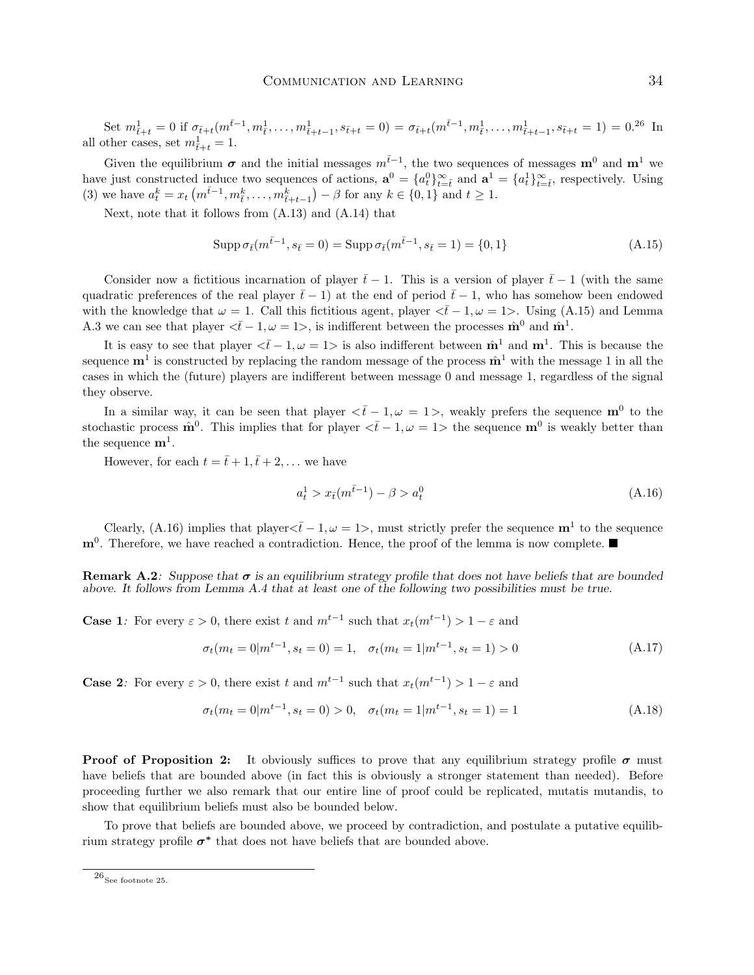Set  $m_{\bar{t}+t}^1 = 0$  if  $\sigma_{\bar{t}+t}(m^{\bar{t}-1}, m_{\bar{t}}^1, \ldots, m_{\bar{t}+t-1}^1, s_{\bar{t}+t} = 0) = \sigma_{\bar{t}+t}(m^{\bar{t}-1}, m_{\bar{t}}^1, \ldots, m_{\bar{t}+t-1}^1, s_{\bar{t}+t} = 1) = 0^{26}$  In all other cases, set  $m^1_{\bar{t}+t} = 1$ .

Given the equilibrium  $\sigma$  and the initial messages  $m^{\bar{t}-1}$ , the two sequences of messages  $m^0$  and  $m^1$  we have just constructed induce two sequences of actions,  $\mathbf{a}^0 = \{a_t^0\}_{t=\bar{t}}^{\infty}$  and  $\mathbf{a}^1 = \{a_t^1\}_{t=\bar{t}}^{\infty}$ , respectively. Using (3) we have  $a_t^k = x_t \left( m^{\bar{t}-1}, m_{\bar{t}}^k, \ldots, m_{\bar{t}+t-1}^k \right) - \beta$  for any  $k \in \{0, 1\}$  and  $t \geq 1$ .

Next, note that it follows from (A.13) and (A.14) that

$$
\operatorname{Supp} \sigma_{\bar{t}}(m^{\bar{t}-1}, s_{\bar{t}} = 0) = \operatorname{Supp} \sigma_{\bar{t}}(m^{\bar{t}-1}, s_{\bar{t}} = 1) = \{0, 1\}
$$
\n(A.15)

Consider now a fictitious incarnation of player  $\bar{t}$ −1. This is a version of player  $\bar{t}$ −1 (with the same quadratic preferences of the real player  $\bar{t}$  − 1) at the end of period  $\bar{t}$  − 1, who has somehow been endowed with the knowledge that  $\omega = 1$ . Call this fictitious agent, player  $\langle \bar{t} - 1, \omega = 1 \rangle$ . Using (A.15) and Lemma A.3 we can see that player  $\langle \bar{t} - 1, \omega = 1 \rangle$ , is indifferent between the processes  $\hat{m}^0$  and  $\hat{m}^1$ .

It is easy to see that player  $\langle \bar{t} - 1, \omega = 1 \rangle$  is also indifferent between  $\hat{m}^1$  and  $m^1$ . This is because the sequence  $m<sup>1</sup>$  is constructed by replacing the random message of the process  $\hat{m}<sup>1</sup>$  with the message 1 in all the cases in which the (future) players are indifferent between message 0 and message 1, regardless of the signal they observe.

In a similar way, it can be seen that player  $\langle \bar{t} - 1, \omega = 1 \rangle$ , weakly prefers the sequence m<sup>0</sup> to the stochastic process  $\hat{\mathbf{m}}^0$ . This implies that for player  $\langle \bar{t} - 1, \omega = 1 \rangle$  the sequence  $\mathbf{m}^0$  is weakly better than the sequence  $m^1$ .

However, for each  $t = \bar{t} + 1, \bar{t} + 2, \ldots$  we have

$$
a_t^1 > x_t(m^{\bar{t}-1}) - \beta > a_t^0
$$
\n(A.16)

Clearly, (A.16) implies that player  $\langle \bar{t} - 1, \omega = 1 \rangle$ , must strictly prefer the sequence m<sup>1</sup> to the sequence  $m<sup>0</sup>$ . Therefore, we have reached a contradiction. Hence, the proof of the lemma is now complete.

**Remark A.2:** Suppose that  $\sigma$  is an equilibrium strategy profile that does not have beliefs that are bounded above. It follows from Lemma A.4 that at least one of the following two possibilities must be true.

**Case 1**: For every  $\varepsilon > 0$ , there exist t and  $m^{t-1}$  such that  $x_t(m^{t-1}) > 1 - \varepsilon$  and

$$
\sigma_t(m_t = 0|m^{t-1}, s_t = 0) = 1, \quad \sigma_t(m_t = 1|m^{t-1}, s_t = 1) > 0
$$
\n(A.17)

**Case 2:** For every  $\varepsilon > 0$ , there exist t and  $m^{t-1}$  such that  $x_t(m^{t-1}) > 1 - \varepsilon$  and

$$
\sigma_t(m_t = 0|m^{t-1}, s_t = 0) > 0, \quad \sigma_t(m_t = 1|m^{t-1}, s_t = 1) = 1
$$
\n(A.18)

**Proof of Proposition 2:** It obviously suffices to prove that any equilibrium strategy profile  $\sigma$  must have beliefs that are bounded above (in fact this is obviously a stronger statement than needed). Before proceeding further we also remark that our entire line of proof could be replicated, mutatis mutandis, to show that equilibrium beliefs must also be bounded below.

To prove that beliefs are bounded above, we proceed by contradiction, and postulate a putative equilibrium strategy profile  $\sigma^*$  that does not have beliefs that are bounded above.

 $^{26}\!$  See footnote 25.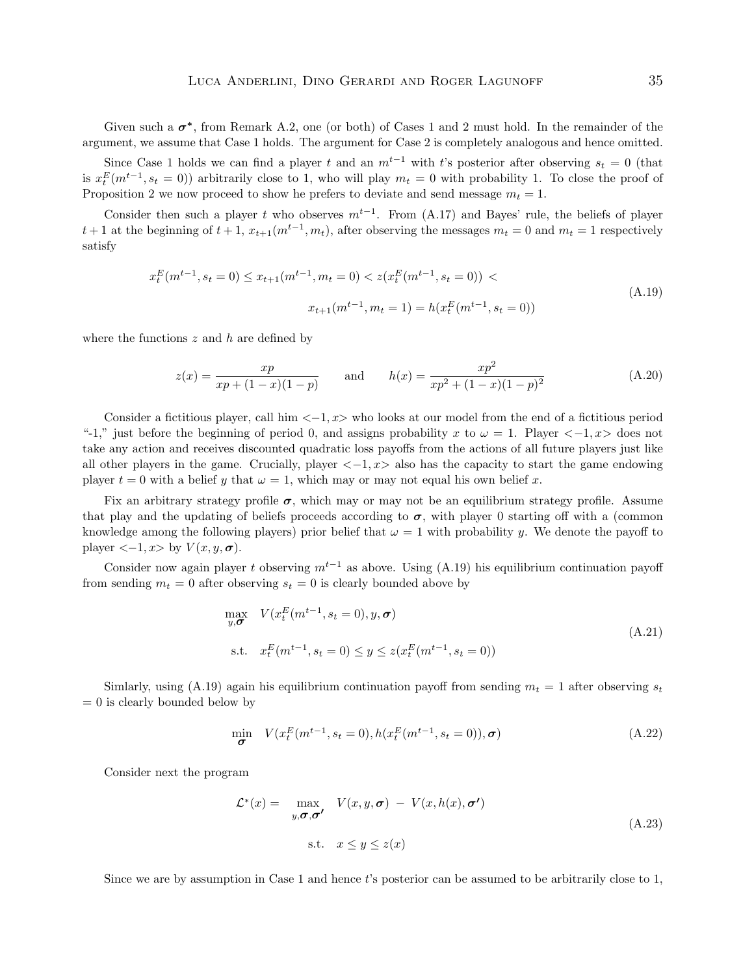Given such a  $\sigma^*$ , from Remark A.2, one (or both) of Cases 1 and 2 must hold. In the remainder of the argument, we assume that Case 1 holds. The argument for Case 2 is completely analogous and hence omitted.

Since Case 1 holds we can find a player t and an  $m^{t-1}$  with t's posterior after observing  $s_t = 0$  (that is  $x_t^E(m^{t-1}, s_t = 0)$  arbitrarily close to 1, who will play  $m_t = 0$  with probability 1. To close the proof of Proposition 2 we now proceed to show he prefers to deviate and send message  $m_t = 1$ .

Consider then such a player t who observes  $m^{t-1}$ . From (A.17) and Bayes' rule, the beliefs of player  $t+1$  at the beginning of  $t+1$ ,  $x_{t+1}(m^{t-1}, m_t)$ , after observing the messages  $m_t = 0$  and  $m_t = 1$  respectively satisfy

$$
x_t^E(m^{t-1}, s_t = 0) \le x_{t+1}(m^{t-1}, m_t = 0) < z(x_t^E(m^{t-1}, s_t = 0)) < \\
x_{t+1}(m^{t-1}, m_t = 1) = h(x_t^E(m^{t-1}, s_t = 0))\n \tag{A.19}
$$

where the functions  $z$  and  $h$  are defined by

$$
z(x) = \frac{xp}{xp + (1-x)(1-p)}
$$
 and 
$$
h(x) = \frac{xp^2}{xp^2 + (1-x)(1-p)^2}
$$
 (A.20)

Consider a fictitious player, call him  $\langle -1, x \rangle$  who looks at our model from the end of a fictitious period "-1," just before the beginning of period 0, and assigns probability x to  $\omega = 1$ . Player  $\langle -1, x \rangle$  does not take any action and receives discounted quadratic loss payoffs from the actions of all future players just like all other players in the game. Crucially, player  $\langle -1, x \rangle$  also has the capacity to start the game endowing player  $t = 0$  with a belief y that  $\omega = 1$ , which may or may not equal his own belief x.

Fix an arbitrary strategy profile  $\sigma$ , which may or may not be an equilibrium strategy profile. Assume that play and the updating of beliefs proceeds according to  $\sigma$ , with player 0 starting off with a (common knowledge among the following players) prior belief that  $\omega = 1$  with probability y. We denote the payoff to player  $\langle -1, x \rangle$  by  $V(x, y, \sigma)$ .

Consider now again player t observing  $m^{t-1}$  as above. Using (A.19) his equilibrium continuation payoff from sending  $m_t = 0$  after observing  $s_t = 0$  is clearly bounded above by

$$
\max_{y,\sigma} V(x_t^E(m^{t-1}, s_t = 0), y, \sigma)
$$
\n
$$
\text{s.t.} \quad x_t^E(m^{t-1}, s_t = 0) \le y \le z(x_t^E(m^{t-1}, s_t = 0))
$$
\n
$$
(A.21)
$$

Simlarly, using (A.19) again his equilibrium continuation payoff from sending  $m_t = 1$  after observing  $s_t$  $= 0$  is clearly bounded below by

$$
\min_{\sigma} V(x_t^E(m^{t-1}, s_t = 0), h(x_t^E(m^{t-1}, s_t = 0)), \sigma)
$$
\n(A.22)

Consider next the program

$$
\mathcal{L}^*(x) = \max_{y, \sigma, \sigma'} V(x, y, \sigma) - V(x, h(x), \sigma')
$$
  
s.t.  $x \le y \le z(x)$  (A.23)

Since we are by assumption in Case 1 and hence t's posterior can be assumed to be arbitrarily close to 1,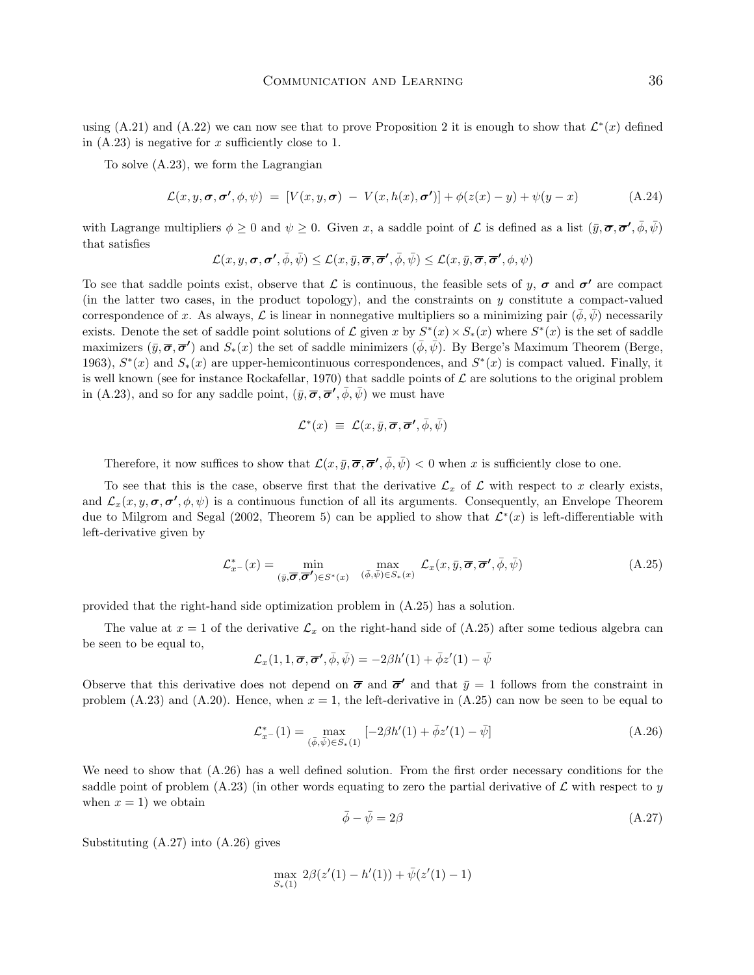using (A.21) and (A.22) we can now see that to prove Proposition 2 it is enough to show that  $\mathcal{L}^*(x)$  defined in  $(A.23)$  is negative for x sufficiently close to 1.

To solve (A.23), we form the Lagrangian

$$
\mathcal{L}(x, y, \sigma, \sigma', \phi, \psi) = [V(x, y, \sigma) - V(x, h(x), \sigma')] + \phi(z(x) - y) + \psi(y - x)
$$
(A.24)

with Lagrange multipliers  $\phi \geq 0$  and  $\psi \geq 0$ . Given x, a saddle point of L is defined as a list  $(\bar{y}, \bar{\sigma}, \bar{\sigma}', \bar{\phi}, \bar{\psi})$ that satisfies

$$
\mathcal{L}(x, y, \sigma, \sigma', \bar{\phi}, \bar{\psi}) \leq \mathcal{L}(x, \bar{y}, \overline{\sigma}, \overline{\sigma}', \bar{\phi}, \bar{\psi}) \leq \mathcal{L}(x, \bar{y}, \overline{\sigma}, \overline{\sigma}', \phi, \psi)
$$

To see that saddle points exist, observe that  $\mathcal L$  is continuous, the feasible sets of y,  $\sigma$  and  $\sigma'$  are compact (in the latter two cases, in the product topology), and the constraints on  $\gamma$  constitute a compact-valued correspondence of x. As always,  $\mathcal L$  is linear in nonnegative multipliers so a minimizing pair  $(\phi, \bar \psi)$  necessarily exists. Denote the set of saddle point solutions of  $\mathcal L$  given x by  $S^*(x) \times S_*(x)$  where  $S^*(x)$  is the set of saddle maximizers  $(\bar{y}, \bar{\sigma}, \bar{\sigma}')$  and  $S_*(x)$  the set of saddle minimizers  $(\bar{\phi}, \bar{\psi})$ . By Berge's Maximum Theorem (Berge, 1963),  $S^*(x)$  and  $S_*(x)$  are upper-hemicontinuous correspondences, and  $S^*(x)$  is compact valued. Finally, it is well known (see for instance Rockafellar, 1970) that saddle points of  $\mathcal L$  are solutions to the original problem in (A.23), and so for any saddle point,  $(\bar{y}, \bar{\sigma}, \bar{\sigma}', \bar{\phi}, \bar{\psi})$  we must have

$$
\mathcal{L}^*(x) \equiv \mathcal{L}(x, \bar{y}, \overline{\boldsymbol{\sigma}}, \overline{\boldsymbol{\sigma}}', \bar{\phi}, \bar{\psi})
$$

Therefore, it now suffices to show that  $\mathcal{L}(x, \bar{y}, \bar{\sigma}, \bar{\sigma}', \bar{\phi}, \bar{\psi}) < 0$  when x is sufficiently close to one.

To see that this is the case, observe first that the derivative  $\mathcal{L}_x$  of  $\mathcal L$  with respect to x clearly exists, and  $\mathcal{L}_x(x, y, \sigma, \sigma', \phi, \psi)$  is a continuous function of all its arguments. Consequently, an Envelope Theorem due to Milgrom and Segal (2002, Theorem 5) can be applied to show that  $\mathcal{L}^*(x)$  is left-differentiable with left-derivative given by

$$
\mathcal{L}_{x^-}^*(x) = \min_{(\bar{y}, \overline{\sigma}, \overline{\sigma}') \in S^*(x)} \max_{(\bar{\phi}, \bar{\psi}) \in S_*(x)} \mathcal{L}_x(x, \bar{y}, \overline{\sigma}, \overline{\sigma}', \bar{\phi}, \bar{\psi})
$$
(A.25)

provided that the right-hand side optimization problem in (A.25) has a solution.

The value at  $x = 1$  of the derivative  $\mathcal{L}_x$  on the right-hand side of (A.25) after some tedious algebra can be seen to be equal to,

$$
\mathcal{L}_x(1,1,\overline{\boldsymbol{\sigma}},\overline{\boldsymbol{\sigma}'},\overline{\phi},\overline{\psi})=-2\beta h'(1)+\overline{\phi}z'(1)-\overline{\psi}
$$

Observe that this derivative does not depend on  $\bar{\sigma}$  and  $\bar{\sigma}'$  and that  $\bar{y} = 1$  follows from the constraint in problem (A.23) and (A.20). Hence, when  $x = 1$ , the left-derivative in (A.25) can now be seen to be equal to

$$
\mathcal{L}_{x^{-}}^{*}(1) = \max_{(\bar{\phi}, \bar{\psi}) \in S_{*}(1)} \left[ -2\beta h'(1) + \bar{\phi}z'(1) - \bar{\psi} \right]
$$
(A.26)

We need to show that  $(A.26)$  has a well defined solution. From the first order necessary conditions for the saddle point of problem  $(A.23)$  (in other words equating to zero the partial derivative of  $\mathcal L$  with respect to y when  $x = 1$ ) we obtain

$$
\bar{\phi} - \bar{\psi} = 2\beta \tag{A.27}
$$

Substituting (A.27) into (A.26) gives

$$
\max_{S_*(1)} 2\beta(z'(1) - h'(1)) + \bar{\psi}(z'(1) - 1)
$$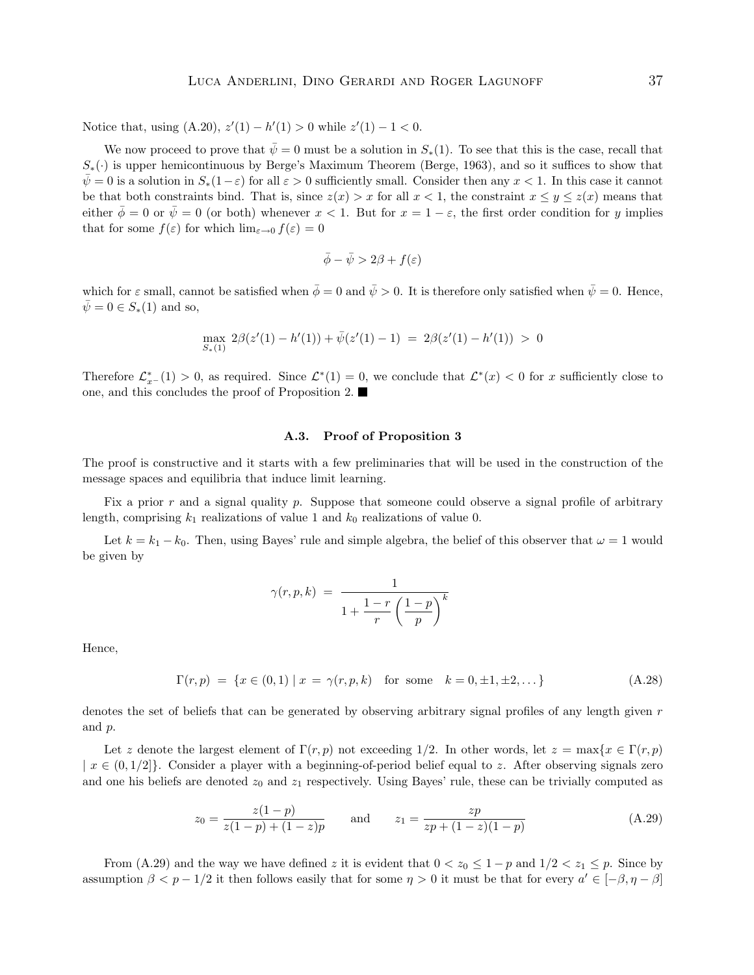Notice that, using  $(A.20)$ ,  $z'(1) - h'(1) > 0$  while  $z'(1) - 1 < 0$ .

We now proceed to prove that  $\bar{\psi} = 0$  must be a solution in  $S_*(1)$ . To see that this is the case, recall that  $S_*(\cdot)$  is upper hemicontinuous by Berge's Maximum Theorem (Berge, 1963), and so it suffices to show that  $\bar{\psi}=0$  is a solution in  $S_*(1-\varepsilon)$  for all  $\varepsilon>0$  sufficiently small. Consider then any  $x<1$ . In this case it cannot be that both constraints bind. That is, since  $z(x) > x$  for all  $x < 1$ , the constraint  $x \le y \le z(x)$  means that either  $\bar{\phi} = 0$  or  $\bar{\psi} = 0$  (or both) whenever  $x < 1$ . But for  $x = 1 - \varepsilon$ , the first order condition for y implies that for some  $f(\varepsilon)$  for which  $\lim_{\varepsilon\to 0} f(\varepsilon) = 0$ 

$$
\bar{\phi} - \bar{\psi} > 2\beta + f(\varepsilon)
$$

which for  $\varepsilon$  small, cannot be satisfied when  $\bar{\phi} = 0$  and  $\bar{\psi} > 0$ . It is therefore only satisfied when  $\bar{\psi} = 0$ . Hence,  $\bar{\psi} = 0 \in S_*(1)$  and so,

$$
\max_{S_*(1)} 2\beta(z'(1) - h'(1)) + \bar{\psi}(z'(1) - 1) = 2\beta(z'(1) - h'(1)) > 0
$$

Therefore  $\mathcal{L}_{x-}^*(1) > 0$ , as required. Since  $\mathcal{L}^*(1) = 0$ , we conclude that  $\mathcal{L}^*(x) < 0$  for x sufficiently close to one, and this concludes the proof of Proposition 2.  $\blacksquare$ 

#### A.3. Proof of Proposition 3

The proof is constructive and it starts with a few preliminaries that will be used in the construction of the message spaces and equilibria that induce limit learning.

Fix a prior  $r$  and a signal quality  $p$ . Suppose that someone could observe a signal profile of arbitrary length, comprising  $k_1$  realizations of value 1 and  $k_0$  realizations of value 0.

Let  $k = k_1 - k_0$ . Then, using Bayes' rule and simple algebra, the belief of this observer that  $\omega = 1$  would be given by

$$
\gamma(r, p, k) = \frac{1}{1 + \frac{1 - r}{r} \left(\frac{1 - p}{p}\right)^k}
$$

Hence,

$$
\Gamma(r, p) = \{x \in (0, 1) \mid x = \gamma(r, p, k) \text{ for some } k = 0, \pm 1, \pm 2, \dots\}
$$
\n(A.28)

denotes the set of beliefs that can be generated by observing arbitrary signal profiles of any length given r and p.

Let z denote the largest element of  $\Gamma(r, p)$  not exceeding 1/2. In other words, let  $z = \max\{x \in \Gamma(r, p)\}$  $x \in (0,1/2]$ . Consider a player with a beginning-of-period belief equal to z. After observing signals zero and one his beliefs are denoted  $z_0$  and  $z_1$  respectively. Using Bayes' rule, these can be trivially computed as

$$
z_0 = \frac{z(1-p)}{z(1-p) + (1-z)p} \qquad \text{and} \qquad z_1 = \frac{zp}{zp + (1-z)(1-p)} \tag{A.29}
$$

From (A.29) and the way we have defined z it is evident that  $0 < z_0 \leq 1 - p$  and  $1/2 < z_1 \leq p$ . Since by assumption  $\beta < p - 1/2$  it then follows easily that for some  $\eta > 0$  it must be that for every  $a' \in [-\beta, \eta - \beta]$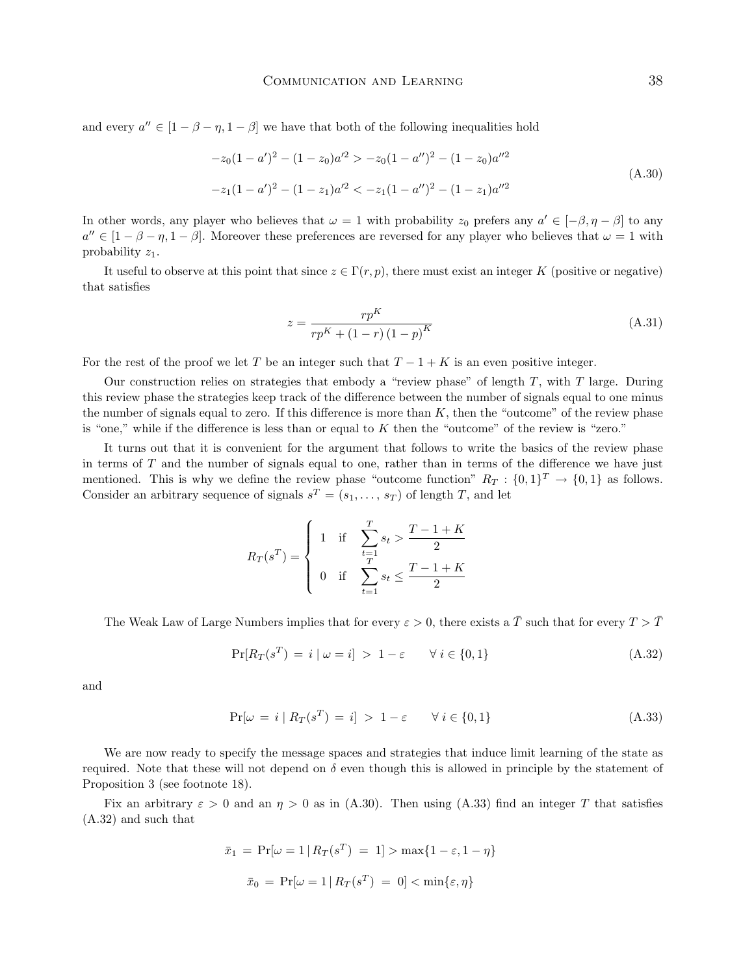and every  $a'' \in [1 - \beta - \eta, 1 - \beta]$  we have that both of the following inequalities hold

$$
-z_0(1-a')^2 - (1-z_0)a'^2 > -z_0(1-a'')^2 - (1-z_0)a''^2
$$
  

$$
-z_1(1-a')^2 - (1-z_1)a'^2 < -z_1(1-a'')^2 - (1-z_1)a''^2
$$
 (A.30)

In other words, any player who believes that  $\omega = 1$  with probability  $z_0$  prefers any  $a' \in [-\beta, \eta - \beta]$  to any  $a'' \in [1 - \beta - \eta, 1 - \beta]$ . Moreover these preferences are reversed for any player who believes that  $\omega = 1$  with probability  $z_1$ .

It useful to observe at this point that since  $z \in \Gamma(r, p)$ , there must exist an integer K (positive or negative) that satisfies

$$
z = \frac{rp^{K}}{rp^{K} + (1-r)(1-p)^{K}}
$$
\n(A.31)

For the rest of the proof we let T be an integer such that  $T - 1 + K$  is an even positive integer.

Our construction relies on strategies that embody a "review phase" of length  $T$ , with  $T$  large. During this review phase the strategies keep track of the difference between the number of signals equal to one minus the number of signals equal to zero. If this difference is more than  $K$ , then the "outcome" of the review phase is "one," while if the difference is less than or equal to K then the "outcome" of the review is "zero."

It turns out that it is convenient for the argument that follows to write the basics of the review phase in terms of T and the number of signals equal to one, rather than in terms of the difference we have just mentioned. This is why we define the review phase "outcome function"  $R_T: \{0,1\}^T \to \{0,1\}$  as follows. Consider an arbitrary sequence of signals  $s^T = (s_1, \ldots, s_T)$  of length T, and let

$$
R_T(s^T) = \begin{cases} 1 & \text{if } \sum_{t=1}^T s_t > \frac{T-1+K}{2} \\ 0 & \text{if } \sum_{t=1}^T s_t \le \frac{T-1+K}{2} \end{cases}
$$

The Weak Law of Large Numbers implies that for every  $\varepsilon > 0$ , there exists a  $\overline{T}$  such that for every  $T > \overline{T}$ 

$$
\Pr[R_T(s^T) = i \mid \omega = i] > 1 - \varepsilon \qquad \forall i \in \{0, 1\} \tag{A.32}
$$

and

$$
\Pr[\omega = i \mid R_T(s^T) = i] > 1 - \varepsilon \qquad \forall \ i \in \{0, 1\} \tag{A.33}
$$

We are now ready to specify the message spaces and strategies that induce limit learning of the state as required. Note that these will not depend on  $\delta$  even though this is allowed in principle by the statement of Proposition 3 (see footnote 18).

Fix an arbitrary  $\varepsilon > 0$  and an  $\eta > 0$  as in (A.30). Then using (A.33) find an integer T that satisfies (A.32) and such that

$$
\bar{x}_1 = \Pr[\omega = 1 | R_T(s^T) = 1] > \max\{1 - \varepsilon, 1 - \eta\}
$$

$$
\bar{x}_0 = \Pr[\omega = 1 | R_T(s^T) = 0] < \min\{\varepsilon, \eta\}
$$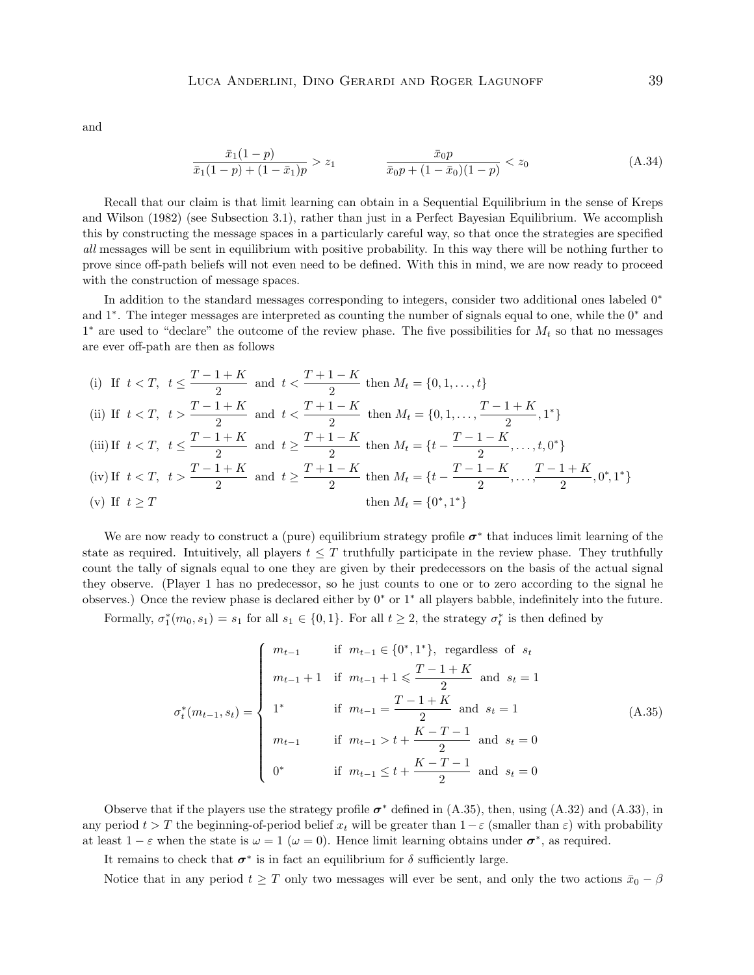#### LUCA ANDERLINI, DINO GERARDI AND ROGER LAGUNOFF 39

and

$$
\frac{\bar{x}_1(1-p)}{\bar{x}_1(1-p)+(1-\bar{x}_1)p} > z_1 \qquad \frac{\bar{x}_0p}{\bar{x}_0p+(1-\bar{x}_0)(1-p)} < z_0 \qquad (A.34)
$$

Recall that our claim is that limit learning can obtain in a Sequential Equilibrium in the sense of Kreps and Wilson (1982) (see Subsection 3.1), rather than just in a Perfect Bayesian Equilibrium. We accomplish this by constructing the message spaces in a particularly careful way, so that once the strategies are specified all messages will be sent in equilibrium with positive probability. In this way there will be nothing further to prove since off-path beliefs will not even need to be defined. With this in mind, we are now ready to proceed with the construction of message spaces.

In addition to the standard messages corresponding to integers, consider two additional ones labeled 0<sup>∗</sup> and 1<sup>∗</sup> . The integer messages are interpreted as counting the number of signals equal to one, while the 0<sup>∗</sup> and  $1^*$  are used to "declare" the outcome of the review phase. The five possibilities for  $M_t$  so that no messages are ever off-path are then as follows

(i) If  $t < T$ ,  $t \leq \frac{T-1+K}{2}$  $\frac{1+K}{2}$  and  $t < \frac{T+1-K}{2}$  $\frac{1}{2}$  then  $M_t = \{0, 1, \ldots, t\}$ (ii) If  $t < T$ ,  $t > \frac{T-1+K}{2}$  and  $t < \frac{T+1-K}{2}$  $\frac{1-K}{2}$  then  $M_t = \{0, 1, \ldots, \frac{T-1+K}{2} \}$  $\frac{1+\Lambda}{2},1^*$ (iii) If  $t < T$ ,  $t \leq \frac{T-1+K}{2}$  $\frac{1+K}{2}$  and  $t \ge \frac{T+1-K}{2}$  $\frac{1-K}{2}$  then  $M_t = \{t - \frac{T-1-K}{2}$  $\frac{1-\kappa}{2}, \ldots, t, 0^* \}$ (iv) If  $t < T$ ,  $t > \frac{T - 1 + K}{2}$  and  $t \ge \frac{T + 1 - K}{2}$  $\frac{1-K}{2}$  then  $M_t = \{t - \frac{T-1-K}{2}$  $\frac{1-K}{2}, \ldots, \frac{T-1+K}{2}$  $\frac{1+\Lambda}{2}, 0^*, 1^*$ (v) If  $t \geq T$ ∗ , 1 ∗}

We are now ready to construct a (pure) equilibrium strategy profile  $\sigma^*$  that induces limit learning of the state as required. Intuitively, all players  $t \leq T$  truthfully participate in the review phase. They truthfully count the tally of signals equal to one they are given by their predecessors on the basis of the actual signal they observe. (Player 1 has no predecessor, so he just counts to one or to zero according to the signal he observes.) Once the review phase is declared either by 0<sup>∗</sup> or 1<sup>∗</sup> all players babble, indefinitely into the future.

Formally,  $\sigma_1^*(m_0, s_1) = s_1$  for all  $s_1 \in \{0, 1\}$ . For all  $t \geq 2$ , the strategy  $\sigma_t^*$  is then defined by

$$
\sigma_t^*(m_{t-1}, s_t) = \begin{cases}\n m_{t-1} & \text{if } m_{t-1} \in \{0^*, 1^*\}, \text{ regardless of } s_t \\
m_{t-1} + 1 & \text{if } m_{t-1} + 1 \le \frac{T-1+K}{2} \text{ and } s_t = 1 \\
1^* & \text{if } m_{t-1} = \frac{T-1+K}{2} \text{ and } s_t = 1 \\
m_{t-1} & \text{if } m_{t-1} > t + \frac{K-T-1}{2} \text{ and } s_t = 0 \\
0^* & \text{if } m_{t-1} \le t + \frac{K-T-1}{2} \text{ and } s_t = 0\n \end{cases}\n \tag{A.35}
$$

Observe that if the players use the strategy profile  $\sigma^*$  defined in (A.35), then, using (A.32) and (A.33), in any period  $t > T$  the beginning-of-period belief  $x_t$  will be greater than  $1-\varepsilon$  (smaller than  $\varepsilon$ ) with probability at least  $1 - \varepsilon$  when the state is  $\omega = 1$  ( $\omega = 0$ ). Hence limit learning obtains under  $\sigma^*$ , as required.

It remains to check that  $\sigma^*$  is in fact an equilibrium for  $\delta$  sufficiently large.

Notice that in any period  $t \geq T$  only two messages will ever be sent, and only the two actions  $\bar{x}_0 - \beta$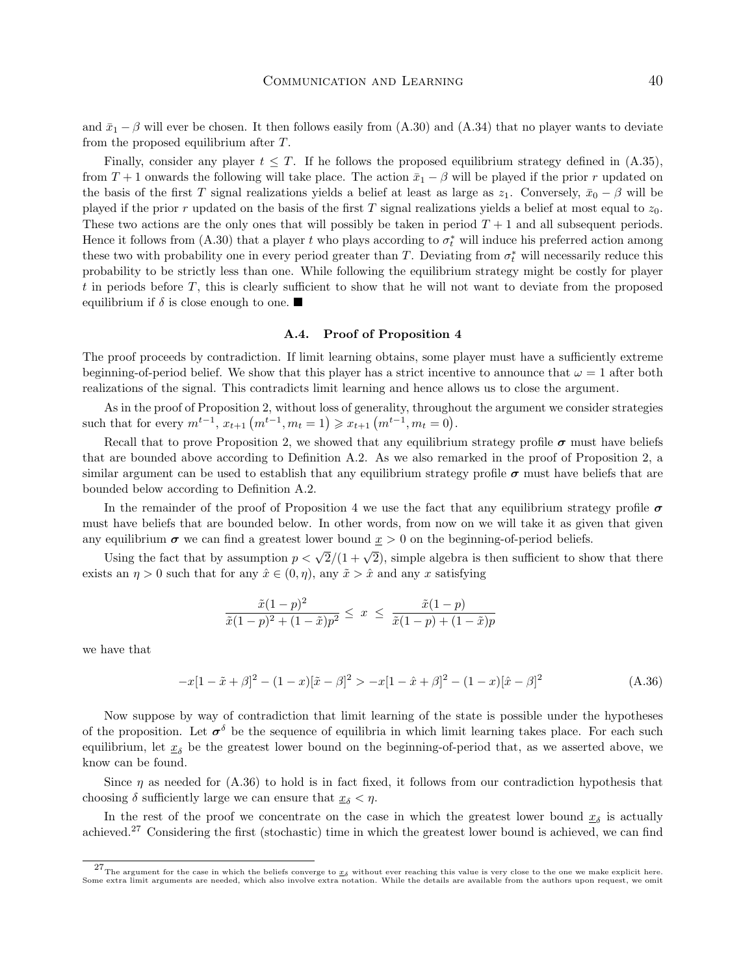and  $\bar{x}_1 - \beta$  will ever be chosen. It then follows easily from (A.30) and (A.34) that no player wants to deviate from the proposed equilibrium after T.

Finally, consider any player  $t \leq T$ . If he follows the proposed equilibrium strategy defined in (A.35), from  $T + 1$  onwards the following will take place. The action  $\bar{x}_1 - \beta$  will be played if the prior r updated on the basis of the first T signal realizations yields a belief at least as large as  $z_1$ . Conversely,  $\bar{x}_0 - \beta$  will be played if the prior r updated on the basis of the first T signal realizations yields a belief at most equal to  $z_0$ . These two actions are the only ones that will possibly be taken in period  $T + 1$  and all subsequent periods. Hence it follows from (A.30) that a player t who plays according to  $\sigma_t^*$  will induce his preferred action among these two with probability one in every period greater than T. Deviating from  $\sigma_t^*$  will necessarily reduce this probability to be strictly less than one. While following the equilibrium strategy might be costly for player t in periods before T, this is clearly sufficient to show that he will not want to deviate from the proposed equilibrium if  $\delta$  is close enough to one.

#### A.4. Proof of Proposition 4

The proof proceeds by contradiction. If limit learning obtains, some player must have a sufficiently extreme beginning-of-period belief. We show that this player has a strict incentive to announce that  $\omega = 1$  after both realizations of the signal. This contradicts limit learning and hence allows us to close the argument.

As in the proof of Proposition 2, without loss of generality, throughout the argument we consider strategies such that for every  $m^{t-1}$ ,  $x_{t+1} (m^{t-1}, m_t = 1) \ge x_{t+1} (m^{t-1}, m_t = 0)$ .

Recall that to prove Proposition 2, we showed that any equilibrium strategy profile  $\sigma$  must have beliefs that are bounded above according to Definition A.2. As we also remarked in the proof of Proposition 2, a similar argument can be used to establish that any equilibrium strategy profile  $\sigma$  must have beliefs that are bounded below according to Definition A.2.

In the remainder of the proof of Proposition 4 we use the fact that any equilibrium strategy profile  $\sigma$ must have beliefs that are bounded below. In other words, from now on we will take it as given that given any equilibrium  $\sigma$  we can find a greatest lower bound  $x > 0$  on the beginning-of-period beliefs.

Using the fact that by assumption  $p < \sqrt{2}/(1+\sqrt{2})$ , simple algebra is then sufficient to show that there exists an  $\eta > 0$  such that for any  $\hat{x} \in (0, \eta)$ , any  $\tilde{x} > \hat{x}$  and any x satisfying

$$
\frac{\tilde{x}(1-p)^2}{\tilde{x}(1-p)^2 + (1-\tilde{x})p^2} \leq x \leq \frac{\tilde{x}(1-p)}{\tilde{x}(1-p) + (1-\tilde{x})p}
$$

we have that

$$
-x[1 - \tilde{x} + \beta]^2 - (1 - x)[\tilde{x} - \beta]^2 > -x[1 - \hat{x} + \beta]^2 - (1 - x)[\hat{x} - \beta]^2
$$
\n(A.36)

Now suppose by way of contradiction that limit learning of the state is possible under the hypotheses of the proposition. Let  $\sigma^{\delta}$  be the sequence of equilibria in which limit learning takes place. For each such equilibrium, let  $x_{\delta}$  be the greatest lower bound on the beginning-of-period that, as we asserted above, we know can be found.

Since  $\eta$  as needed for  $(A.36)$  to hold is in fact fixed, it follows from our contradiction hypothesis that choosing  $\delta$  sufficiently large we can ensure that  $x_{\delta} < \eta$ .

In the rest of the proof we concentrate on the case in which the greatest lower bound  $\underline{x}_{\delta}$  is actually achieved.<sup>27</sup> Considering the first (stochastic) time in which the greatest lower bound is achieved, we can find

<sup>&</sup>lt;sup>27</sup>The argument for the case in which the beliefs converge to  $\underline{x}_{\delta}$  without ever reaching this value is very close to the one we make explicit here.<br>Some extra limit arguments are needed, which also involve extra no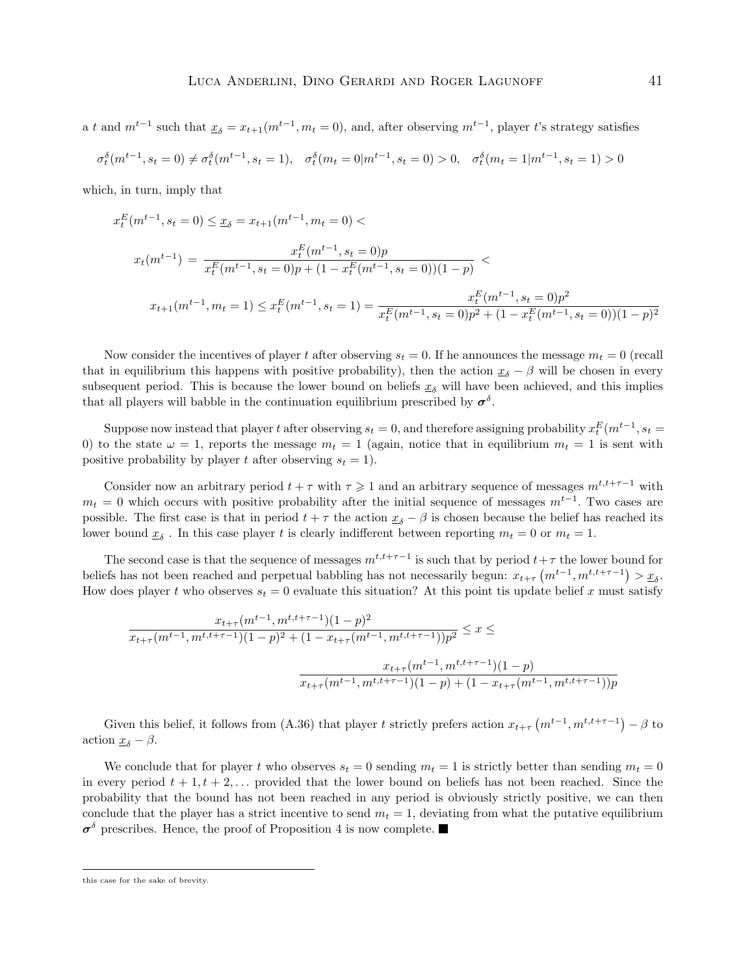a t and  $m^{t-1}$  such that  $\underline{x}_{\delta} = x_{t+1}(m^{t-1}, m_t = 0)$ , and, after observing  $m^{t-1}$ , player t's strategy satisfies

$$
\sigma_t^{\delta}(m^{t-1}, s_t=0) \neq \sigma_t^{\delta}(m^{t-1}, s_t=1), \quad \sigma_t^{\delta}(m_t=0|m^{t-1}, s_t=0)>0, \quad \sigma_t^{\delta}(m_t=1|m^{t-1}, s_t=1)>0
$$

which, in turn, imply that

$$
x_t^E(m^{t-1}, s_t = 0) \le \underline{x}_{\delta} = x_{t+1}(m^{t-1}, m_t = 0) <
$$

$$
x_t(m^{t-1}) = \frac{x_t^E(m^{t-1}, s_t = 0)p}{x_t^E(m^{t-1}, s_t = 0)p + (1 - x_t^E(m^{t-1}, s_t = 0))(1 - p)} x_{t+1}(m^{t-1}, m_t = 1) \le x_t^E(m^{t-1}, s_t = 1) = \frac{x_t^E(m^{t-1}, s_t = 0)p^2}{x_t^E(m^{t-1}, s_t = 0)p^2 + (1 - x_t^E(m^{t-1}, s_t = 0))(1 - p)^2}
$$

Now consider the incentives of player t after observing  $s_t = 0$ . If he announces the message  $m_t = 0$  (recall that in equilibrium this happens with positive probability), then the action  $x_{\delta} - \beta$  will be chosen in every subsequent period. This is because the lower bound on beliefs  $x_{\delta}$  will have been achieved, and this implies that all players will babble in the continuation equilibrium prescribed by  $\sigma^{\delta}$ .

Suppose now instead that player t after observing  $s_t = 0$ , and therefore assigning probability  $x_t^E(m^{t-1}, s_t =$ 0) to the state  $\omega = 1$ , reports the message  $m_t = 1$  (again, notice that in equilibrium  $m_t = 1$  is sent with positive probability by player t after observing  $s_t = 1$ .

Consider now an arbitrary period  $t + \tau$  with  $\tau \geq 1$  and an arbitrary sequence of messages  $m^{t,t+\tau-1}$  with  $m_t = 0$  which occurs with positive probability after the initial sequence of messages  $m^{t-1}$ . Two cases are possible. The first case is that in period  $t + \tau$  the action  $\underline{x}_{\delta} - \beta$  is chosen because the belief has reached its lower bound  $\underline{x}_{\delta}$ . In this case player t is clearly indifferent between reporting  $m_t = 0$  or  $m_t = 1$ .

The second case is that the sequence of messages  $m^{t,t+\tau-1}$  is such that by period  $t+\tau$  the lower bound for beliefs has not been reached and perpetual babbling has not necessarily begun:  $x_{t+\tau}$   $(m^{t-1}, m^{t,t+\tau-1}) > \underline{x}_{\delta}$ . How does player t who observes  $s_t = 0$  evaluate this situation? At this point tis update belief x must satisfy

$$
\frac{x_{t+\tau}(m^{t-1}, m^{t,t+\tau-1})(1-p)^2}{x_{t+\tau}(m^{t-1}, m^{t,t+\tau-1})(1-p)^2 + (1 - x_{t+\tau}(m^{t-1}, m^{t,t+\tau-1}))p^2} \leq x \leq
$$
\n
$$
\frac{x_{t+\tau}(m^{t-1}, m^{t,t+\tau-1})(1-p)}{x_{t+\tau}(m^{t-1}, m^{t,t+\tau-1})(1-p) + (1 - x_{t+\tau}(m^{t-1}, m^{t,t+\tau-1}))p}
$$

Given this belief, it follows from (A.36) that player t strictly prefers action  $x_{t+\tau}$   $(m^{t-1}, m^{t,t+\tau-1}) - \beta$  to action  $\underline{x}_{\delta} - \beta$ .

We conclude that for player t who observes  $s_t = 0$  sending  $m_t = 1$  is strictly better than sending  $m_t = 0$ in every period  $t + 1, t + 2, \ldots$  provided that the lower bound on beliefs has not been reached. Since the probability that the bound has not been reached in any period is obviously strictly positive, we can then conclude that the player has a strict incentive to send  $m_t = 1$ , deviating from what the putative equilibrium  $\sigma^{\delta}$  prescribes. Hence, the proof of Proposition 4 is now complete.

this case for the sake of brevity.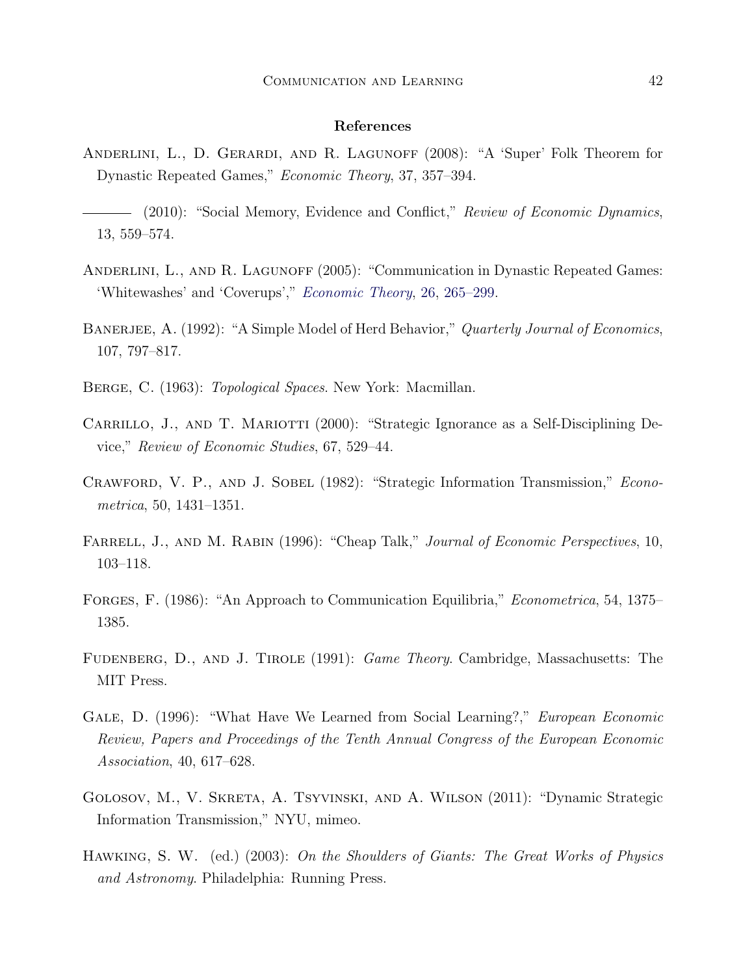#### References

- Anderlini, L., D. Gerardi, and R. Lagunoff (2008): "A 'Super' Folk Theorem for Dynastic Repeated Games," Economic Theory, 37, 357–394.
- (2010): "Social Memory, Evidence and Conflict," Review of Economic Dynamics, 13, 559–574.
- ANDERLINI, L., AND R. LAGUNOFF (2005): "Communication in Dynastic Repeated Games: 'Whitewashes' and 'Coverups'," [Economic Theory](http://www.springerlink.com/content/8452j37238224771/fulltext.pdf), [26,](http://www.springerlink.com/content/8452j37238224771/fulltext.pdf) [265–299.](http://www.springerlink.com/content/8452j37238224771/fulltext.pdf)
- BANERJEE, A. (1992): "A Simple Model of Herd Behavior," *Quarterly Journal of Economics*, 107, 797–817.
- BERGE, C. (1963): *Topological Spaces*. New York: Macmillan.
- CARRILLO, J., AND T. MARIOTTI (2000): "Strategic Ignorance as a Self-Disciplining Device," Review of Economic Studies, 67, 529–44.
- CRAWFORD, V. P., AND J. SOBEL (1982): "Strategic Information Transmission," Econometrica, 50, 1431–1351.
- FARRELL, J., AND M. RABIN (1996): "Cheap Talk," Journal of Economic Perspectives, 10, 103–118.
- FORGES, F. (1986): "An Approach to Communication Equilibria," *Econometrica*, 54, 1375– 1385.
- Fudenberg, D., and J. Tirole (1991): Game Theory. Cambridge, Massachusetts: The MIT Press.
- GALE, D. (1996): "What Have We Learned from Social Learning?," *European Economic* Review, Papers and Proceedings of the Tenth Annual Congress of the European Economic Association, 40, 617–628.
- Golosov, M., V. Skreta, A. Tsyvinski, and A. Wilson (2011): "Dynamic Strategic Information Transmission," NYU, mimeo.
- Hawking, S. W. (ed.) (2003): On the Shoulders of Giants: The Great Works of Physics and Astronomy. Philadelphia: Running Press.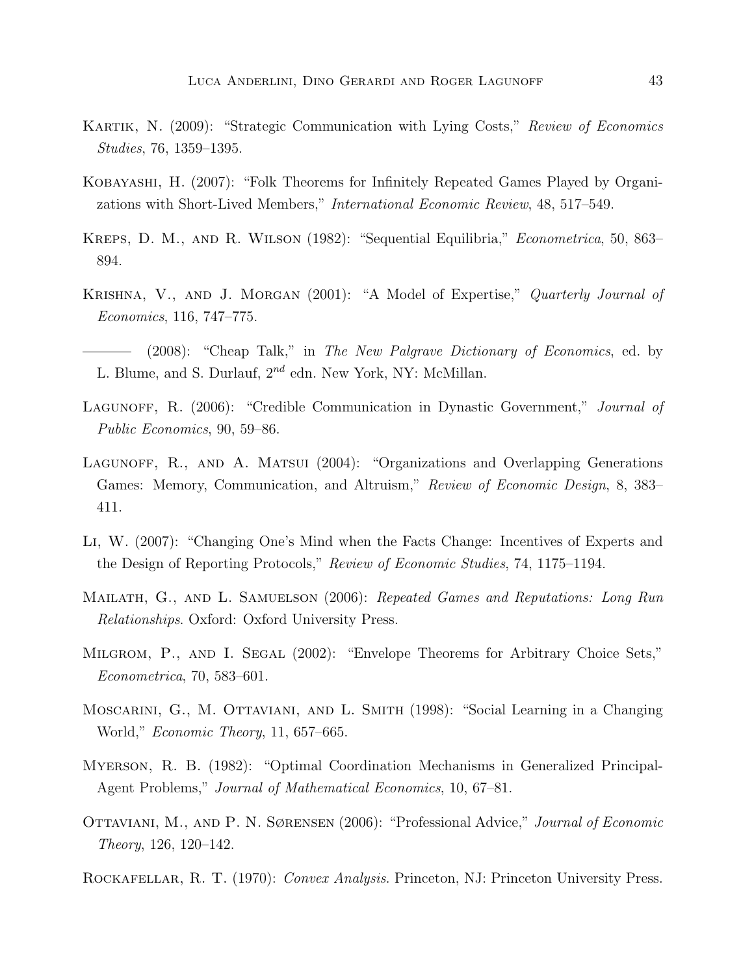- KARTIK, N. (2009): "Strategic Communication with Lying Costs," Review of Economics Studies, 76, 1359–1395.
- Kobayashi, H. (2007): "Folk Theorems for Infinitely Repeated Games Played by Organizations with Short-Lived Members," International Economic Review, 48, 517–549.
- Kreps, D. M., and R. Wilson (1982): "Sequential Equilibria," Econometrica, 50, 863– 894.
- Krishna, V., and J. Morgan (2001): "A Model of Expertise," Quarterly Journal of Economics, 116, 747–775.
- (2008): "Cheap Talk," in The New Palgrave Dictionary of Economics, ed. by L. Blume, and S. Durlauf,  $2^{nd}$  edn. New York, NY: McMillan.
- LAGUNOFF, R. (2006): "Credible Communication in Dynastic Government," Journal of Public Economics, 90, 59–86.
- LAGUNOFF, R., AND A. MATSUI (2004): "Organizations and Overlapping Generations Games: Memory, Communication, and Altruism," Review of Economic Design, 8, 383– 411.
- Li, W. (2007): "Changing One's Mind when the Facts Change: Incentives of Experts and the Design of Reporting Protocols," Review of Economic Studies, 74, 1175–1194.
- Mailath, G., and L. Samuelson (2006): Repeated Games and Reputations: Long Run Relationships. Oxford: Oxford University Press.
- Milgrom, P., and I. Segal (2002): "Envelope Theorems for Arbitrary Choice Sets," Econometrica, 70, 583–601.
- Moscarini, G., M. Ottaviani, and L. Smith (1998): "Social Learning in a Changing World," Economic Theory, 11, 657–665.
- Myerson, R. B. (1982): "Optimal Coordination Mechanisms in Generalized Principal-Agent Problems," Journal of Mathematical Economics, 10, 67–81.
- OTTAVIANI, M., AND P. N. SØRENSEN (2006): "Professional Advice," Journal of Economic Theory, 126, 120–142.
- ROCKAFELLAR, R. T. (1970): Convex Analysis. Princeton, NJ: Princeton University Press.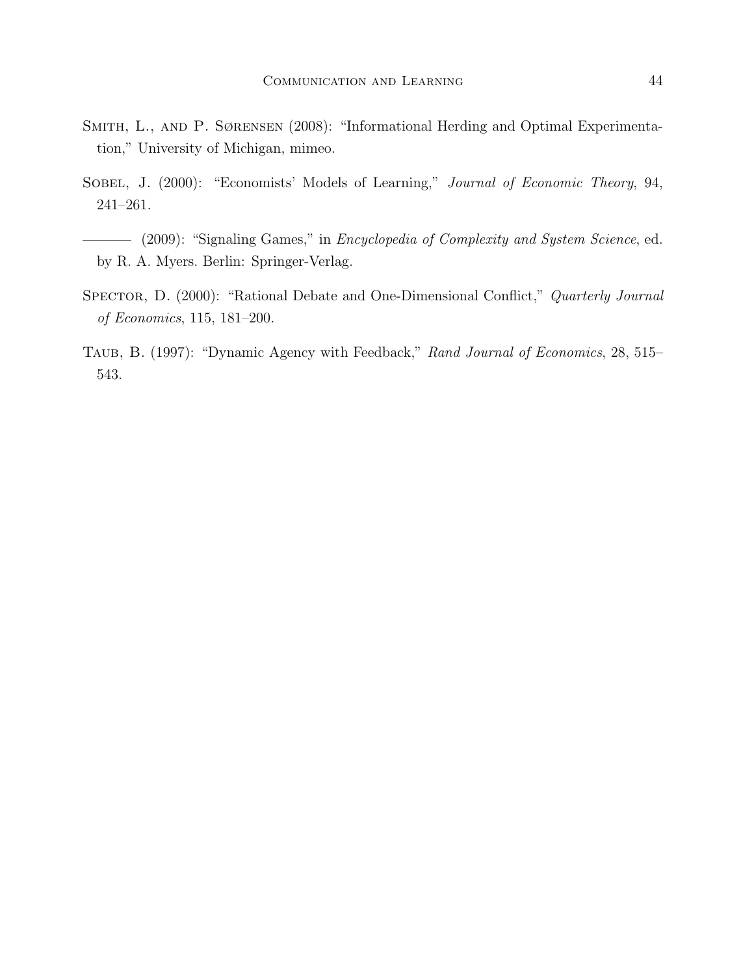- SMITH, L., AND P. SØRENSEN (2008): "Informational Herding and Optimal Experimentation," University of Michigan, mimeo.
- SOBEL, J. (2000): "Economists' Models of Learning," Journal of Economic Theory, 94, 241–261.
- (2009): "Signaling Games," in *Encyclopedia of Complexity and System Science*, ed. by R. A. Myers. Berlin: Springer-Verlag.
- SPECTOR, D. (2000): "Rational Debate and One-Dimensional Conflict," Quarterly Journal of Economics, 115, 181–200.
- TAUB, B. (1997): "Dynamic Agency with Feedback," Rand Journal of Economics, 28, 515– 543.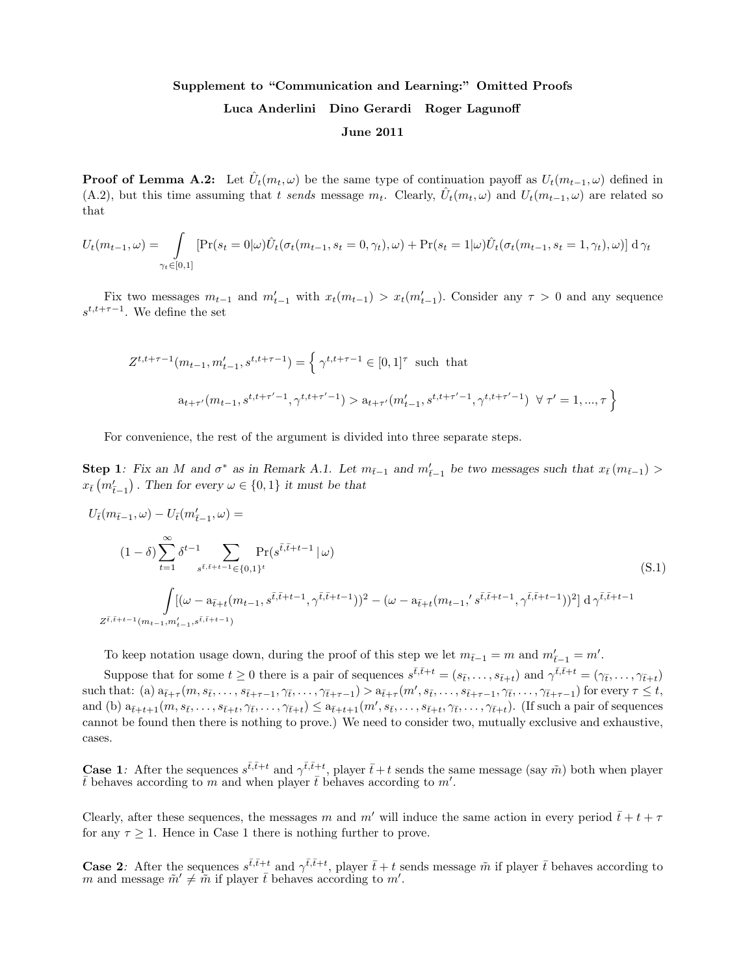## Supplement to "Communication and Learning:" Omitted Proofs Luca Anderlini Dino Gerardi Roger Lagunoff June 2011

**Proof of Lemma A.2:** Let  $\hat{U}_t(m_t, \omega)$  be the same type of continuation payoff as  $U_t(m_{t-1}, \omega)$  defined in (A.2), but this time assuming that t sends message  $m_t$ . Clearly,  $\hat{U}_t(m_t, \omega)$  and  $U_t(m_{t-1}, \omega)$  are related so that

$$
U_t(m_{t-1}, \omega) = \int_{\gamma_t \in [0,1]} \left[ \Pr(s_t = 0 | \omega) \hat{U}_t(\sigma_t(m_{t-1}, s_t = 0, \gamma_t), \omega) + \Pr(s_t = 1 | \omega) \hat{U}_t(\sigma_t(m_{t-1}, s_t = 1, \gamma_t), \omega) \right] d\gamma_t
$$

Fix two messages  $m_{t-1}$  and  $m'_{t-1}$  with  $x_t(m_{t-1}) > x_t(m'_{t-1})$ . Consider any  $\tau > 0$  and any sequence  $s^{t,t+\tau-1}$ . We define the set

$$
Z^{t,t+\tau-1}(m_{t-1}, m'_{t-1}, s^{t,t+\tau-1}) = \left\{ \gamma^{t,t+\tau-1} \in [0, 1]^{\tau} \text{ such that} \right\}
$$

$$
a_{t+\tau'}(m_{t-1}, s^{t,t+\tau'-1}, \gamma^{t,t+\tau'-1}) > a_{t+\tau'}(m'_{t-1}, s^{t,t+\tau'-1}, \gamma^{t,t+\tau'-1}) \ \forall \ \tau' = 1, ..., \tau \right\}
$$

For convenience, the rest of the argument is divided into three separate steps.

**Step 1**: Fix an M and  $\sigma^*$  as in Remark A.1. Let  $m_{\bar{t}-1}$  and  $m'_{\bar{t}-1}$  be two messages such that  $x_{\bar{t}}(m_{\bar{t}-1})$  >  $x_{\bar{t}}\left(m'_{\bar{t}-1}\right)$ . Then for every  $\omega \in \{0,1\}$  it must be that

$$
U_{\bar{t}}(m_{\bar{t}-1},\omega) - U_{\bar{t}}(m'_{\bar{t}-1},\omega) =
$$
\n
$$
(1-\delta) \sum_{t=1}^{\infty} \delta^{t-1} \sum_{s^{\bar{t},\bar{t}+t-1} \in \{0,1\}^t} \Pr(s^{\bar{t},\bar{t}+t-1} | \omega)
$$
\n
$$
\int [(\omega - a_{\bar{t}+t}(m_{t-1}, s^{\bar{t},\bar{t}+t-1}, \gamma^{\bar{t},\bar{t}+t-1}))^2 - (\omega - a_{\bar{t}+t}(m_{t-1}, s^{\bar{t},\bar{t}+t-1}, \gamma^{\bar{t},\bar{t}+t-1}))^2] d\gamma^{\bar{t},\bar{t}+t-1}
$$
\n
$$
Z^{\bar{t},\bar{t}+t-1}(m_{t-1}, m'_{t-1}, s^{\bar{t},\bar{t}+t-1})
$$
\n(S.1)

To keep notation usage down, during the proof of this step we let  $m_{\bar{t}-1} = m$  and  $m'_{\bar{t}-1} = m'$ .

Suppose that for some  $t \geq 0$  there is a pair of sequences  $s^{\bar{t},\bar{t}+t} = (s_{\bar{t}}, \ldots, s_{\bar{t}+t})$  and  $\gamma^{\bar{t},\bar{t}+t} = (\gamma_{\bar{t}}, \ldots, \gamma_{\bar{t}+t})$ such that: (a)  $a_{\bar{t}+\tau}(m, s_{\bar{t}}, \ldots, s_{\bar{t}+\tau-1}, \gamma_{\bar{t}}, \ldots, \gamma_{\bar{t}+\tau-1}) > a_{\bar{t}+\tau}(m', s_{\bar{t}}, \ldots, s_{\bar{t}+\tau-1}, \gamma_{\bar{t}}, \ldots, \gamma_{\bar{t}+\tau-1})$  for every  $\tau \leq t$ , and (b)  $a_{\bar{t}+t+1}(m, s_{\bar{t}}, \ldots, s_{\bar{t}+t}, \gamma_{\bar{t}}, \ldots, \gamma_{\bar{t}+t}) \leq a_{\bar{t}+t+1}(m', s_{\bar{t}}, \ldots, s_{\bar{t}+t}, \gamma_{\bar{t}}, \ldots, \gamma_{\bar{t}+t}).$  (If such a pair of sequences cannot be found then there is nothing to prove.) We need to consider two, mutually exclusive and exhaustive, cases.

**Case 1**: After the sequences  $s^{\bar{t},\bar{t}+t}$  and  $\gamma^{\bar{t},\bar{t}+t}$ , player  $\bar{t}+t$  sends the same message (say  $\tilde{m}$ ) both when player  $\bar{t}$  behaves according to m and when player  $\bar{t}$  behaves according to m'.

Clearly, after these sequences, the messages m and m' will induce the same action in every period  $\bar{t} + t + \tau$ for any  $\tau \geq 1$ . Hence in Case 1 there is nothing further to prove.

**Case 2:** After the sequences  $s^{\bar{t},\bar{t}+t}$  and  $\gamma^{\bar{t},\bar{t}+t}$ , player  $\bar{t}+t$  sends message  $\tilde{m}$  if player  $\bar{t}$  behaves according to m and message  $\tilde{m}' \neq \tilde{m}$  if player  $\bar{t}$  behaves according to m'.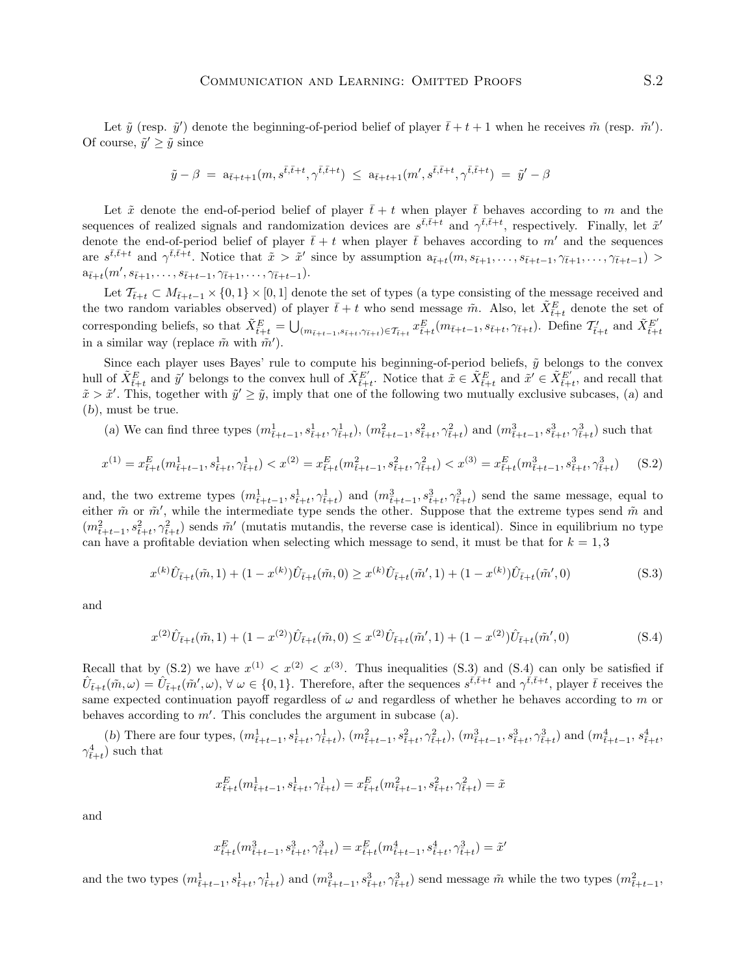Let  $\tilde{y}$  (resp.  $\tilde{y}'$ ) denote the beginning-of-period belief of player  $\bar{t} + t + 1$  when he receives  $\tilde{m}$  (resp.  $\tilde{m}'$ ). Of course,  $\tilde{y}' \geq \tilde{y}$  since

$$
\tilde{y} - \beta = a_{\bar{t}+t+1}(m, s^{\bar{t}, \bar{t}+t}, \gamma^{\bar{t}, \bar{t}+t}) \leq a_{\bar{t}+t+1}(m', s^{\bar{t}, \bar{t}+t}, \gamma^{\bar{t}, \bar{t}+t}) = \tilde{y}' - \beta
$$

Let  $\tilde{x}$  denote the end-of-period belief of player  $\bar{t}$  + t when player  $\bar{t}$  behaves according to m and the sequences of realized signals and randomization devices are  $s^{\bar{t},\bar{t}+t}$  and  $\gamma^{\bar{t},\bar{t}+t}$ , respectively. Finally, let  $\tilde{x}'$ denote the end-of-period belief of player  $\bar{t}+t$  when player  $\bar{t}$  behaves according to m' and the sequences are  $s^{\bar{t},\bar{t}+t}$  and  $\gamma^{\bar{t},\bar{t}+t}$ . Notice that  $\tilde{x} > \tilde{x}'$  since by assumption  $a_{\bar{t}+t}(m, s_{\bar{t}+1},\ldots, s_{\bar{t}+t-1}, \gamma_{\bar{t}+1},\ldots, \gamma_{\bar{t}+t-1})$  $a_{\bar{t}+t}(m', s_{\bar{t}+1}, \ldots, s_{\bar{t}+t-1}, \gamma_{\bar{t}+1}, \ldots, \gamma_{\bar{t}+t-1}).$ 

Let  $\mathcal{T}_{t+t} \subset M_{t+t-1} \times \{0,1\} \times [0,1]$  denote the set of types (a type consisting of the message received and the two random variables observed) of player  $\bar{t}+t$  who send message  $\tilde{m}$ . Also, let  $\tilde{X}^E_{\bar{t}+t}$  denote the set of corresponding beliefs, so that  $\tilde{X}_{\bar{t}+t}^E = \bigcup_{(m_{\bar{t}+t-1}, s_{\bar{t}+t}, \gamma_{\bar{t}+t}) \in \mathcal{T}_{\bar{t}+t}} x_{\bar{t}+t}^E(m_{\bar{t}+t-1}, s_{\bar{t}+t}, \gamma_{\bar{t}+t})$ . Define  $\mathcal{T}_{\bar{t}+t}'$  and  $\tilde{X}_{\bar{t}+t}^{E'}$ in a similar way (replace  $\tilde{m}$  with  $\tilde{m}'$ ).

Since each player uses Bayes' rule to compute his beginning-of-period beliefs,  $\tilde{y}$  belongs to the convex hull of  $\tilde{X}_{\bar{t}+t}^E$  and  $\tilde{y}'$  belongs to the convex hull of  $\tilde{X}_{\bar{t}+t}^{E'}$ . Notice that  $\tilde{x} \in \tilde{X}_{\bar{t}+t}^E$  and  $\tilde{x}' \in \tilde{X}_{\bar{t}+t}^{E'}$ , and recall that  $\tilde{x} > \tilde{x}'$ . This, together with  $\tilde{y}' \geq \tilde{y}$ , imply that one of the following two mutually exclusive subcases, (a) and (b), must be true.

(a) We can find three types  $(m_{\bar{t}+t-1}^1, s_{\bar{t}+t}^1, \gamma_{\bar{t}+t}^1), (m_{\bar{t}+t-1}^2, s_{\bar{t}+t}^2, \gamma_{\bar{t}+t}^2)$  and  $(m_{\bar{t}+t-1}^3, s_{\bar{t}+t}^3, \gamma_{\bar{t}+t}^3)$  such that

$$
x^{(1)} = x_{\bar{t}+t}^E(m_{\bar{t}+t-1}^1, s_{\bar{t}+t}^1, \gamma_{\bar{t}+t}^1) < x^{(2)} = x_{\bar{t}+t}^E(m_{\bar{t}+t-1}^2, s_{\bar{t}+t}^2, \gamma_{\bar{t}+t}^2) < x^{(3)} = x_{\bar{t}+t}^E(m_{\bar{t}+t-1}^3, s_{\bar{t}+t}^3, \gamma_{\bar{t}+t}^3)
$$
(S.2)

and, the two extreme types  $(m_{\bar{t}+t-1}^1, s_{\bar{t}+t}^1, \gamma_{\bar{t}+t}^1)$  and  $(m_{\bar{t}+t-1}^3, s_{\bar{t}+t}^3, \gamma_{\bar{t}+t}^3)$  send the same message, equal to either  $\tilde{m}$  or  $\tilde{m}'$ , while the intermediate type sends the other. Suppose that the extreme types send  $\tilde{m}$  and  $(m_{\tilde{t}+t-1}^2, s_{\tilde{t}+t}^2, \gamma_{\tilde{t}+t}^2)$  sends  $\tilde{m}'$  (mutatis mutandis, the reverse case is identical). Since in equilibrium no type can have a profitable deviation when selecting which message to send, it must be that for  $k = 1, 3$ 

$$
x^{(k)}\hat{U}_{\bar{t}+t}(\tilde{m},1) + (1-x^{(k)})\hat{U}_{\bar{t}+t}(\tilde{m},0) \geq x^{(k)}\hat{U}_{\bar{t}+t}(\tilde{m}',1) + (1-x^{(k)})\hat{U}_{\bar{t}+t}(\tilde{m}',0)
$$
\n(S.3)

and

$$
x^{(2)}\hat{U}_{\bar{t}+t}(\tilde{m},1) + (1-x^{(2)})\hat{U}_{\bar{t}+t}(\tilde{m},0) \leq x^{(2)}\hat{U}_{\bar{t}+t}(\tilde{m}',1) + (1-x^{(2)})\hat{U}_{\bar{t}+t}(\tilde{m}',0) \tag{S.4}
$$

Recall that by (S.2) we have  $x^{(1)} < x^{(2)} < x^{(3)}$ . Thus inequalities (S.3) and (S.4) can only be satisfied if  $\hat{U}_{\bar{t}+t}(\tilde{m},\omega) = \hat{U}_{\bar{t}+t}(\tilde{m}',\omega)$ ,  $\forall \omega \in \{0,1\}$ . Therefore, after the sequences  $s^{\bar{t},\bar{t}+t}$  and  $\gamma^{\bar{t},\bar{t}+t}$ , player  $\bar{t}$  receives the same expected continuation payoff regardless of  $\omega$  and regardless of whether he behaves according to m or behaves according to  $m'$ . This concludes the argument in subcase  $(a)$ .

(b) There are four types,  $(m_{\bar{t}+t-1}^1, s_{\bar{t}+t}^1, \gamma_{\bar{t}+t}^1), (m_{\bar{t}+t-1}^2, s_{\bar{t}+t}^2, \gamma_{\bar{t}+t}^2), (m_{\bar{t}+t-1}^3, s_{\bar{t}+t}^3, \gamma_{\bar{t}+t}^3)$  and  $(m_{\bar{t}+t-1}^4, s_{\bar{t}+t}^4, s_{\bar{t}+t}^4)$  $\gamma_{\bar{t}+t}^4$ ) such that

$$
x_{\bar{t}+t}^E(m_{\bar{t}+t-1}^1,s_{\bar{t}+t}^1,\gamma_{\bar{t}+t}^1) = x_{\bar{t}+t}^E(m_{\bar{t}+t-1}^2,s_{\bar{t}+t}^2,\gamma_{\bar{t}+t}^2) = \tilde{x}
$$

and

$$
x_{t+t}^E(m_{t+t-1}^3,s_{t+t}^3,\gamma_{t+t}^3) = x_{t+t}^E(m_{t+t-1}^4,s_{t+t}^4,\gamma_{t+t}^3) = \tilde{x}'
$$

and the two types  $(m_{\bar{t}+t-1}^1, s_{\bar{t}+t}^1, \gamma_{\bar{t}+t}^1)$  and  $(m_{\bar{t}+t-1}^3, s_{\bar{t}+t}^3, \gamma_{\bar{t}+t}^3)$  send message  $\tilde{m}$  while the two types  $(m_{\bar{t}+t-1}^2, s_{\bar{t}+t}^2, s_{\bar{t}+t}^2, s_{\bar{t}+t}^3)$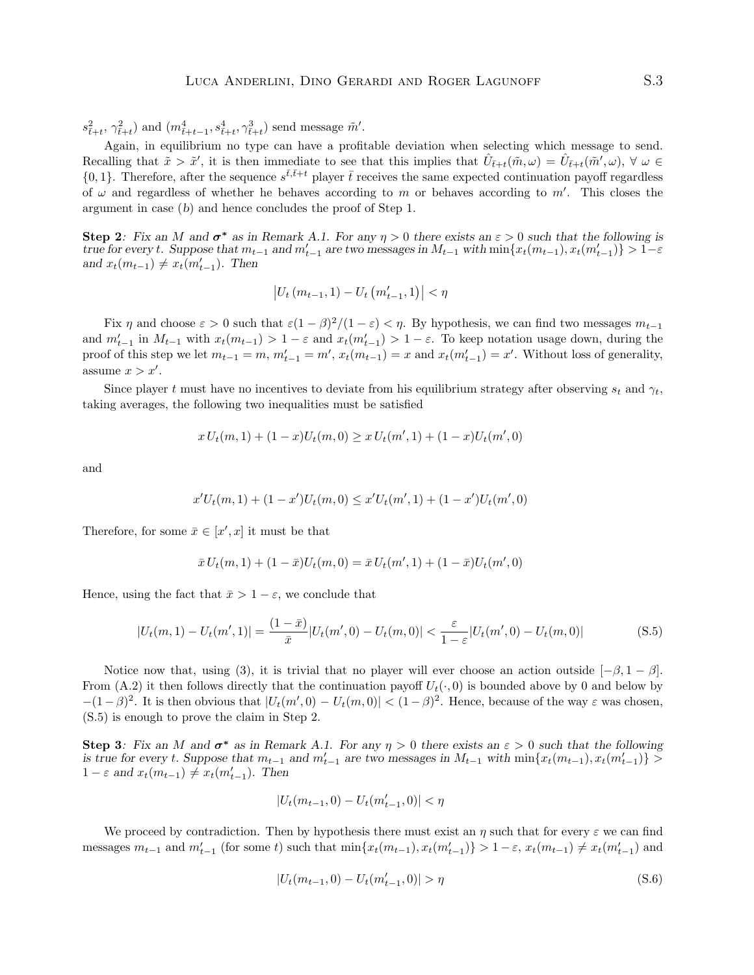$s_{\bar{t}+t}^2$ ,  $\gamma_{\bar{t}+t}^2$ ) and  $(m_{\bar{t}+t-1}^4, s_{\bar{t}+t}^4, \gamma_{\bar{t}+t}^3)$  send message  $\tilde{m}'$ .

Again, in equilibrium no type can have a profitable deviation when selecting which message to send. Recalling that  $\tilde{x} > \tilde{x}'$ , it is then immediate to see that this implies that  $\hat{U}_{\bar{t}+t}(\tilde{m}, \omega) = \hat{U}_{\bar{t}+t}(\tilde{m}', \omega)$ ,  $\forall \omega \in$  $\{0,1\}$ . Therefore, after the sequence  $s^{\bar{t},\bar{t}+t}$  player  $\bar{t}$  receives the same expected continuation payoff regardless of  $\omega$  and regardless of whether he behaves according to m or behaves according to m'. This closes the argument in case (b) and hence concludes the proof of Step 1.

Step 2: Fix an M and  $\sigma^*$  as in Remark A.1. For any  $\eta > 0$  there exists an  $\varepsilon > 0$  such that the following is true for every t. Suppose that  $m_{t-1}$  and  $m'_{t-1}$  are two messages in  $M_{t-1}$  with  $\min\{x_t(m_{t-1}), x_t(m'_{t-1})\} > 1 - \varepsilon$ and  $x_t(m_{t-1}) \neq x_t(m'_{t-1})$ . Then

$$
|U_t(m_{t-1}, 1) - U_t(m'_{t-1}, 1)| < \eta
$$

Fix  $\eta$  and choose  $\varepsilon > 0$  such that  $\varepsilon(1-\beta)^2/(1-\varepsilon) < \eta$ . By hypothesis, we can find two messages  $m_{t-1}$ and  $m'_{t-1}$  in  $M_{t-1}$  with  $x_t(m_{t-1}) > 1 - \varepsilon$  and  $x_t(m'_{t-1}) > 1 - \varepsilon$ . To keep notation usage down, during the proof of this step we let  $m_{t-1} = m$ ,  $m'_{t-1} = m'$ ,  $x_t(m_{t-1}) = x$  and  $x_t(m'_{t-1}) = x'$ . Without loss of generality, assume  $x > x'$ .

Since player t must have no incentives to deviate from his equilibrium strategy after observing  $s_t$  and  $\gamma_t$ , taking averages, the following two inequalities must be satisfied

$$
x Ut(m,1) + (1-x)Ut(m,0) \ge x Ut(m',1) + (1-x)Ut(m',0)
$$

and

$$
x'U_t(m,1) + (1-x')U_t(m,0) \le x'U_t(m',1) + (1-x')U_t(m',0)
$$

Therefore, for some  $\bar{x} \in [x',x]$  it must be that

$$
\bar{x} U_t(m,1) + (1-\bar{x}) U_t(m,0) = \bar{x} U_t(m',1) + (1-\bar{x}) U_t(m',0)
$$

Hence, using the fact that  $\bar{x} > 1 - \varepsilon$ , we conclude that

$$
|U_t(m,1) - U_t(m',1)| = \frac{(1-\bar{x})}{\bar{x}} |U_t(m',0) - U_t(m,0)| < \frac{\varepsilon}{1-\varepsilon} |U_t(m',0) - U_t(m,0)|
$$
\n(S.5)

Notice now that, using (3), it is trivial that no player will ever choose an action outside  $[-\beta, 1-\beta]$ . From (A.2) it then follows directly that the continuation payoff  $U_t(\cdot, 0)$  is bounded above by 0 and below by  $-(1-\beta)^2$ . It is then obvious that  $|U_t(m',0) - U_t(m,0)| < (1-\beta)^2$ . Hence, because of the way  $\varepsilon$  was chosen, (S.5) is enough to prove the claim in Step 2.

Step 3: Fix an M and  $\sigma^*$  as in Remark A.1. For any  $\eta > 0$  there exists an  $\varepsilon > 0$  such that the following is true for every t. Suppose that  $m_{t-1}$  and  $m'_{t-1}$  are two messages in  $M_{t-1}$  with  $\min\{x_t(m_{t-1}), x_t(m'_{t-1})\}$  $1 - \varepsilon$  and  $x_t(m_{t-1}) \neq x_t(m'_{t-1})$ . Then

$$
|U_t(m_{t-1},0) - U_t(m'_{t-1},0)| < \eta
$$

We proceed by contradiction. Then by hypothesis there must exist an  $\eta$  such that for every  $\varepsilon$  we can find messages  $m_{t-1}$  and  $m'_{t-1}$  (for some t) such that  $\min\{x_t(m_{t-1}), x_t(m'_{t-1})\} > 1 - \varepsilon$ ,  $x_t(m_{t-1}) \neq x_t(m'_{t-1})$  and

$$
|U_t(m_{t-1}, 0) - U_t(m'_{t-1}, 0)| > \eta
$$
\n(S.6)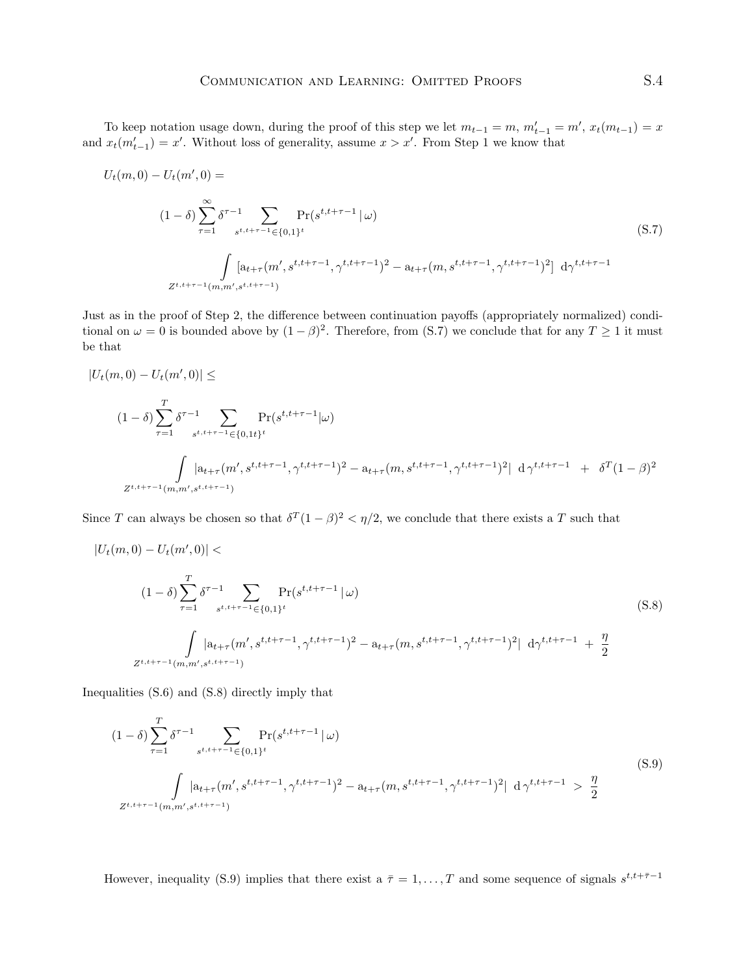To keep notation usage down, during the proof of this step we let  $m_{t-1} = m$ ,  $m'_{t-1} = m'$ ,  $x_t(m_{t-1}) = x$ and  $x_t(m'_{t-1}) = x'$ . Without loss of generality, assume  $x > x'$ . From Step 1 we know that

$$
U_t(m,0) - U_t(m',0) =
$$
  
\n
$$
(1 - \delta) \sum_{\tau=1}^{\infty} \delta^{\tau-1} \sum_{s^{t,t+\tau-1} \in \{0,1\}^t} \Pr(s^{t,t+\tau-1} | \omega)
$$
  
\n
$$
\int_{Z^{t,t+\tau-1}(m,m',s^{t,t+\tau-1})} [a_{t+\tau}(m',s^{t,t+\tau-1}, \gamma^{t,t+\tau-1})^2 - a_{t+\tau}(m, s^{t,t+\tau-1}, \gamma^{t,t+\tau-1})^2] d\gamma^{t,t+\tau-1}
$$
\n(S.7)

Just as in the proof of Step 2, the difference between continuation payoffs (appropriately normalized) conditional on  $\omega = 0$  is bounded above by  $(1 - \beta)^2$ . Therefore, from (S.7) we conclude that for any  $T \ge 1$  it must be that

$$
|U_t(m,0) - U_t(m',0)| \le
$$
  
\n
$$
(1 - \delta) \sum_{\tau=1}^T \delta^{\tau-1} \sum_{s^{t,t+\tau-1} \in \{0,1t\}^t} \Pr(s^{t,t+\tau-1}|\omega)
$$
  
\n
$$
\int_{Z^{t,t+\tau-1}(m,m',s^{t,t+\tau-1})} |a_{t+\tau}(m',s^{t,t+\tau-1},\gamma^{t,t+\tau-1})^2 - a_{t+\tau}(m,s^{t,t+\tau-1},\gamma^{t,t+\tau-1})^2| d\gamma^{t,t+\tau-1} + \delta^T (1 - \beta)^2
$$

Since T can always be chosen so that  $\delta^T(1-\beta)^2 < \eta/2$ , we conclude that there exists a T such that

$$
|U_t(m,0) - U_t(m',0)| \n(1-\delta) \sum_{\tau=1}^T \delta^{\tau-1} \sum_{s^{t,t+\tau-1} \in \{0,1\}^t} \Pr(s^{t,t+\tau-1}|\omega) \n\int_{Z^{t,t+\tau-1}(m,m',s^{t,t+\tau-1})} |a_{t+\tau}(m',s^{t,t+\tau-1},\gamma^{t,t+\tau-1})^2 - a_{t+\tau}(m,s^{t,t+\tau-1},\gamma^{t,t+\tau-1})^2| d\gamma^{t,t+\tau-1} + \frac{\eta}{2}
$$
\n(S.8)

Inequalities (S.6) and (S.8) directly imply that

$$
(1 - \delta) \sum_{\tau=1}^{T} \delta^{\tau-1} \sum_{s^{t,t+\tau-1} \in \{0,1\}^t} \Pr(s^{t,t+\tau-1} | \omega)
$$
  

$$
\int_{Z^{t,t+\tau-1}(m,m',s^{t,t+\tau-1})} |a_{t+\tau}(m',s^{t,t+\tau-1},\gamma^{t,t+\tau-1})^2 - a_{t+\tau}(m,s^{t,t+\tau-1},\gamma^{t,t+\tau-1})^2| d\gamma^{t,t+\tau-1} > \frac{\eta}{2}
$$
\n(S.9)

However, inequality (S.9) implies that there exist a  $\bar{\tau} = 1, \ldots, T$  and some sequence of signals  $s^{t,t+\bar{\tau}-1}$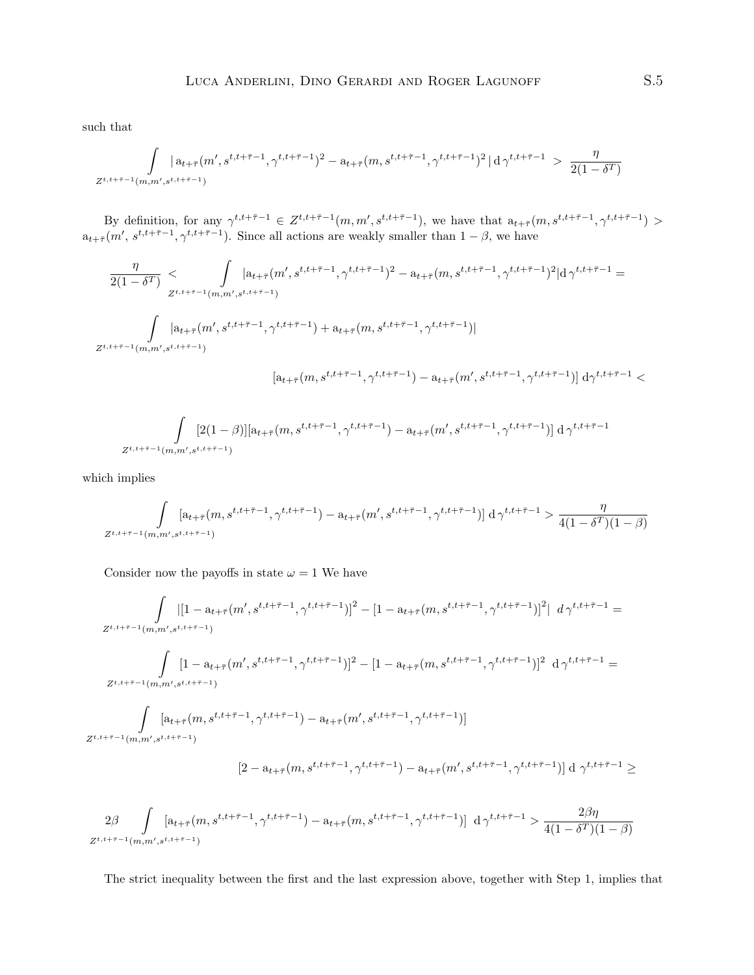such that

$$
\int_{Z^{t,t+\bar{\tau}-1}(m,m',s^{t,t+\bar{\tau}-1},\gamma} |a_{t+\bar{\tau}}(m',s^{t,t+\bar{\tau}-1},\gamma^{t,t+\bar{\tau}-1})^2 - a_{t+\bar{\tau}}(m,s^{t,t+\bar{\tau}-1},\gamma^{t,t+\bar{\tau}-1})^2 |d\gamma^{t,t+\bar{\tau}-1} > \frac{\eta}{2(1-\delta^T)}
$$

By definition, for any  $\gamma^{t,t+\bar{\tau}-1} \in Z^{t,t+\bar{\tau}-1}(m,m',s^{t,t+\bar{\tau}-1})$ , we have that  $a_{t+\bar{\tau}}(m,s^{t,t+\bar{\tau}-1},\gamma^{t,t+\bar{\tau}-1}) >$  $a_{t+\bar{\tau}}(m', s^{t,t+\bar{\tau}-1}, \gamma^{t,t+\bar{\tau}-1})$ . Since all actions are weakly smaller than  $1-\beta$ , we have

$$
\frac{\eta}{2(1-\delta^T)} \leq \int_{Z^{t,t+\bar{\tau}-1}(m,m',s^{t,t+\bar{\tau}-1},\gamma^{t,t+\bar{\tau}-1},\gamma^{t,t+\bar{\tau}-1})^2 - a_{t+\bar{\tau}}(m,s^{t,t+\bar{\tau}-1},\gamma^{t,t+\bar{\tau}-1})^2 |\mathbf{d}\gamma^{t,t+\bar{\tau}-1} =
$$
\n
$$
\int_{Z^{t,t+\bar{\tau}-1}(m,m',s^{t,t+\bar{\tau}-1},s^{t,t+\bar{\tau}-1},\gamma^{t,t+\bar{\tau}-1}) + a_{t+\bar{\tau}}(m,s^{t,t+\bar{\tau}-1},\gamma^{t,t+\bar{\tau}-1})^2 |\mathbf{d}\gamma^{t,t+\bar{\tau}-1} + a_{t+\bar{\tau}}(m,s^{t,t+\bar{\tau}-1},\gamma^{t,t+\bar{\tau}-1})^2|
$$
\n
$$
= \int_{Z^{t,t+\bar{\tau}-1}(m,m',s^{t,t+\bar{\tau}-1})} \left( \int_{Z^{t,t+\bar{\tau}-1}(m,m',s^{t,t+\bar{\tau}-1},\gamma^{t,t+\bar{\tau}-1})} \right) |\mathbf{d}\gamma^{t,t+\bar{\tau}-1} + a_{t+\bar{\tau}}(m,s^{t,t+\bar{\tau}-1},\gamma^{t,t+\bar{\tau}-1})^2|
$$

$$
[a_{t+\bar{\tau}}(m, s^{t,t+\bar{\tau}-1}, \gamma^{t,t+\bar{\tau}-1}) - a_{t+\bar{\tau}}(m', s^{t,t+\bar{\tau}-1}, \gamma^{t,t+\bar{\tau}-1})] d\gamma^{t,t+\bar{\tau}-1} <
$$

$$
\int_{Z^{t,t+\bar{\tau}-1}(m,m',s^{t,t+\bar{\tau}-1})} [2(1-\beta)][a_{t+\bar{\tau}}(m,s^{t,t+\bar{\tau}-1},\gamma^{t,t+\bar{\tau}-1}) - a_{t+\bar{\tau}}(m',s^{t,t+\bar{\tau}-1},\gamma^{t,t+\bar{\tau}-1})] d\gamma^{t,t+\bar{\tau}-1}
$$

which implies

$$
\int_{Z^{t,t+\bar{\tau}-1}(m,m',s^{t,t+\bar{\tau}-1},\gamma} [a_{t+\bar{\tau}}(m,s^{t,t+\bar{\tau}-1},\gamma^{t,t+\bar{\tau}-1}) - a_{t+\bar{\tau}}(m',s^{t,t+\bar{\tau}-1},\gamma^{t,t+\bar{\tau}-1})] d\gamma^{t,t+\bar{\tau}-1} > \frac{\eta}{4(1-\delta^T)(1-\beta)}
$$

Consider now the payoffs in state  $\omega = 1$  We have

$$
\int_{Z^{t,t+\bar{\tau}-1}(m,m',s^{t,t+\bar{\tau}-1})} \left| [1 - a_{t+\bar{\tau}}(m',s^{t,t+\bar{\tau}-1},\gamma^{t,t+\bar{\tau}-1})]^2 - [1 - a_{t+\bar{\tau}}(m,s^{t,t+\bar{\tau}-1},\gamma^{t,t+\bar{\tau}-1})]^2 \right| d\gamma^{t,t+\bar{\tau}-1} =
$$
\n
$$
\int_{Z^{t,t+\bar{\tau}-1}(m,m',s^{t,t+\bar{\tau}-1})} \left| [1 - a_{t+\bar{\tau}}(m',s^{t,t+\bar{\tau}-1},\gamma^{t,t+\bar{\tau}-1})]^2 - [1 - a_{t+\bar{\tau}}(m,s^{t,t+\bar{\tau}-1},\gamma^{t,t+\bar{\tau}-1})]^2 \right| d\gamma^{t,t+\bar{\tau}-1} =
$$
\n
$$
\int_{Z^{t,t+\bar{\tau}-1}(m,m',s^{t,t+\bar{\tau}-1})} \left[ a_{t+\bar{\tau}}(m,s^{t,t+\bar{\tau}-1},\gamma^{t,t+\bar{\tau}-1}) - a_{t+\bar{\tau}}(m',s^{t,t+\bar{\tau}-1},\gamma^{t,t+\bar{\tau}-1},\gamma^{t,t+\bar{\tau}-1},\gamma^{t,t+\bar{\tau}-1}) \right] d\gamma^{t,t+\bar{\tau}-1} \ge
$$
\n
$$
[2 - a_{t+\bar{\tau}}(m,s^{t,t+\bar{\tau}-1},\gamma^{t,t+\bar{\tau}-1}) - a_{t+\bar{\tau}}(m',s^{t,t+\bar{\tau}-1},\gamma^{t,t+\bar{\tau}-1})] d\gamma^{t,t+\bar{\tau}-1} \ge
$$

$$
2\beta \int_{Z^{t,t+\bar{\tau}-1}(m,m',s^{t,t+\bar{\tau}-1},\gamma)} [a_{t+\bar{\tau}}(m,s^{t,t+\bar{\tau}-1},\gamma^{t,t+\bar{\tau}-1}) - a_{t+\bar{\tau}}(m,s^{t,t+\bar{\tau}-1},\gamma^{t,t+\bar{\tau}-1})] d\gamma^{t,t+\bar{\tau}-1} > \frac{2\beta\eta}{4(1-\delta^T)(1-\beta)}
$$

The strict inequality between the first and the last expression above, together with Step 1, implies that